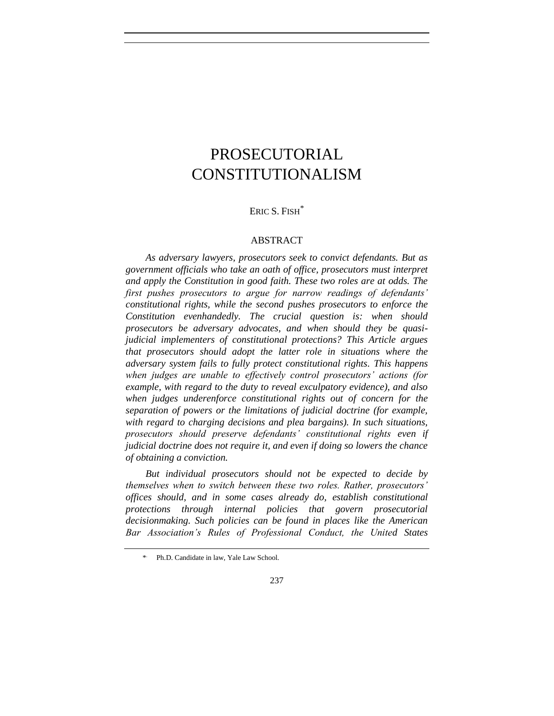# PROSECUTORIAL CONSTITUTIONALISM

# ERIC S. FISH<sup>\*</sup>

#### ABSTRACT

*As adversary lawyers, prosecutors seek to convict defendants. But as government officials who take an oath of office, prosecutors must interpret and apply the Constitution in good faith. These two roles are at odds. The first pushes prosecutors to argue for narrow readings of defendants' constitutional rights, while the second pushes prosecutors to enforce the Constitution evenhandedly. The crucial question is: when should prosecutors be adversary advocates, and when should they be quasijudicial implementers of constitutional protections? This Article argues that prosecutors should adopt the latter role in situations where the adversary system fails to fully protect constitutional rights. This happens when judges are unable to effectively control prosecutors' actions (for example, with regard to the duty to reveal exculpatory evidence), and also when judges underenforce constitutional rights out of concern for the separation of powers or the limitations of judicial doctrine (for example, with regard to charging decisions and plea bargains). In such situations, prosecutors should preserve defendants' constitutional rights even if judicial doctrine does not require it, and even if doing so lowers the chance of obtaining a conviction.*

*But individual prosecutors should not be expected to decide by themselves when to switch between these two roles. Rather, prosecutors' offices should, and in some cases already do, establish constitutional protections through internal policies that govern prosecutorial decisionmaking. Such policies can be found in places like the American Bar Association's Rules of Professional Conduct, the United States* 

<sup>\*</sup> . Ph.D. Candidate in law, Yale Law School.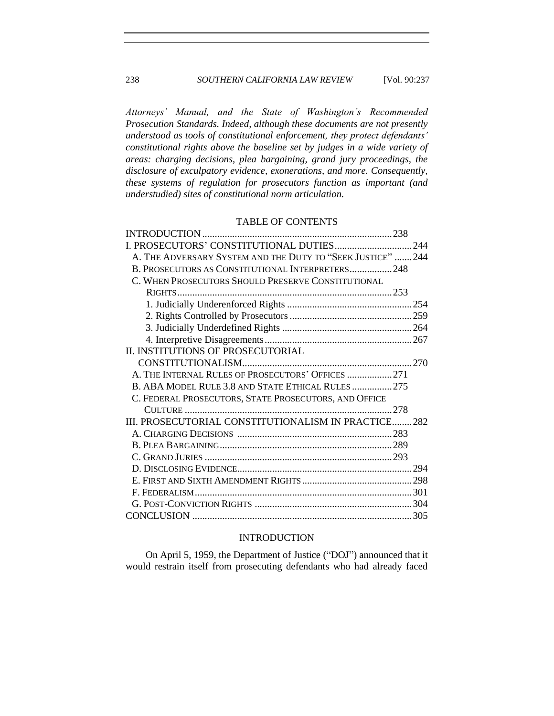*Attorneys' Manual, and the State of Washington's Recommended Prosecution Standards. Indeed, although these documents are not presently understood as tools of constitutional enforcement, they protect defendants' constitutional rights above the baseline set by judges in a wide variety of areas: charging decisions, plea bargaining, grand jury proceedings, the disclosure of exculpatory evidence, exonerations, and more. Consequently, these systems of regulation for prosecutors function as important (and understudied) sites of constitutional norm articulation.*

## TABLE OF CONTENTS

| I. PROSECUTORS' CONSTITUTIONAL DUTIES244                    |  |
|-------------------------------------------------------------|--|
| A. THE ADVERSARY SYSTEM AND THE DUTY TO "SEEK JUSTICE"  244 |  |
| B. PROSECUTORS AS CONSTITUTIONAL INTERPRETERS248            |  |
| C. WHEN PROSECUTORS SHOULD PRESERVE CONSTITUTIONAL          |  |
|                                                             |  |
|                                                             |  |
|                                                             |  |
|                                                             |  |
|                                                             |  |
| II. INSTITUTIONS OF PROSECUTORIAL                           |  |
|                                                             |  |
| A. THE INTERNAL RULES OF PROSECUTORS' OFFICES 271           |  |
| B. ABA MODEL RULE 3.8 AND STATE ETHICAL RULES275            |  |
| C. FEDERAL PROSECUTORS, STATE PROSECUTORS, AND OFFICE       |  |
|                                                             |  |
| III. PROSECUTORIAL CONSTITUTIONALISM IN PRACTICE282         |  |
|                                                             |  |
|                                                             |  |
|                                                             |  |
|                                                             |  |
|                                                             |  |
|                                                             |  |
|                                                             |  |
|                                                             |  |

## INTRODUCTION

On April 5, 1959, the Department of Justice ("DOJ") announced that it would restrain itself from prosecuting defendants who had already faced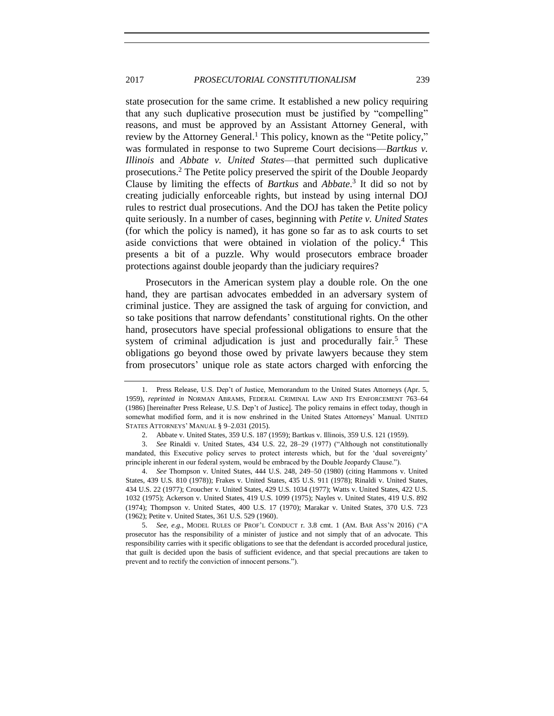<span id="page-2-2"></span><span id="page-2-0"></span>state prosecution for the same crime. It established a new policy requiring that any such duplicative prosecution must be justified by "compelling" reasons, and must be approved by an Assistant Attorney General, with review by the Attorney General.<sup>1</sup> This policy, known as the "Petite policy," was formulated in response to two Supreme Court decisions—*Bartkus v. Illinois* and *Abbate v. United States*—that permitted such duplicative prosecutions.<sup>2</sup> The Petite policy preserved the spirit of the Double Jeopardy Clause by limiting the effects of *Bartkus* and *Abbate*. 3 It did so not by creating judicially enforceable rights, but instead by using internal DOJ rules to restrict dual prosecutions. And the DOJ has taken the Petite policy quite seriously. In a number of cases, beginning with *Petite v. United States*  (for which the policy is named), it has gone so far as to ask courts to set aside convictions that were obtained in violation of the policy.<sup>4</sup> This presents a bit of a puzzle. Why would prosecutors embrace broader protections against double jeopardy than the judiciary requires?

<span id="page-2-1"></span>Prosecutors in the American system play a double role. On the one hand, they are partisan advocates embedded in an adversary system of criminal justice. They are assigned the task of arguing for conviction, and so take positions that narrow defendants' constitutional rights. On the other hand, prosecutors have special professional obligations to ensure that the system of criminal adjudication is just and procedurally fair.<sup>5</sup> These obligations go beyond those owed by private lawyers because they stem from prosecutors' unique role as state actors charged with enforcing the

<sup>1.</sup> Press Release, U.S. Dep't of Justice, Memorandum to the United States Attorneys (Apr. 5, 1959), *reprinted in* NORMAN ABRAMS, FEDERAL CRIMINAL LAW AND ITS ENFORCEMENT 763–64 (1986) [hereinafter Press Release, U.S. Dep't of Justice]. The policy remains in effect today, though in somewhat modified form, and it is now enshrined in the United States Attorneys' Manual. UNITED STATES ATTORNEYS' MANUAL § 9–2.031 (2015).

<sup>2.</sup> Abbate v. United States, 359 U.S. 187 (1959); Bartkus v. Illinois, 359 U.S. 121 (1959).

<sup>3.</sup> *See* Rinaldi v. United States, 434 U.S. 22, 28–29 (1977) ("Although not constitutionally mandated, this Executive policy serves to protect interests which, but for the 'dual sovereignty' principle inherent in our federal system, would be embraced by the Double Jeopardy Clause.").

<sup>4.</sup> *See* Thompson v. United States, 444 U.S. 248, 249–50 (1980) (citing Hammons v. United States, 439 U.S. 810 (1978)); Frakes v. United States, 435 U.S. 911 (1978); Rinaldi v. United States, 434 U.S. 22 (1977); Croucher v. United States, 429 U.S. 1034 (1977); Watts v. United States, 422 U.S. 1032 (1975); Ackerson v. United States, 419 U.S. 1099 (1975); Nayles v. United States, 419 U.S. 892 (1974); Thompson v. United States, 400 U.S. 17 (1970); Marakar v. United States, 370 U.S. 723 (1962); Petite v. United States, 361 U.S. 529 (1960).

<sup>5.</sup> *See, e.g.*, MODEL RULES OF PROF'L CONDUCT r. 3.8 cmt. 1 (AM. BAR ASS'N 2016) ("A prosecutor has the responsibility of a minister of justice and not simply that of an advocate. This responsibility carries with it specific obligations to see that the defendant is accorded procedural justice, that guilt is decided upon the basis of sufficient evidence, and that special precautions are taken to prevent and to rectify the conviction of innocent persons.").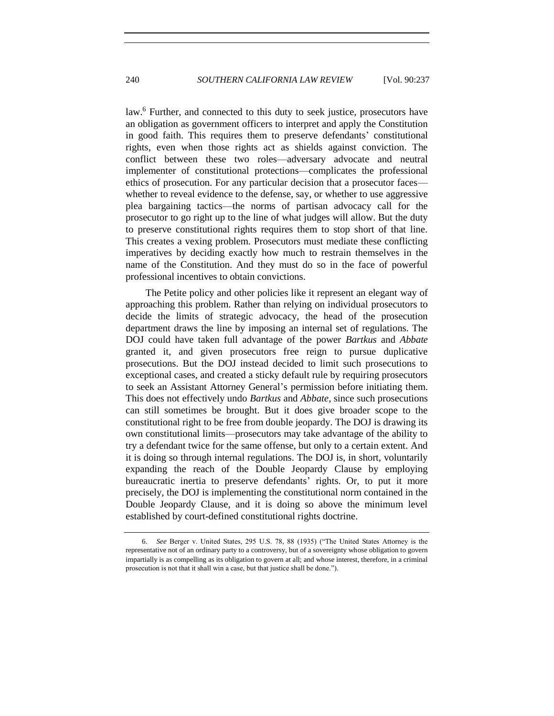law.<sup>6</sup> Further, and connected to this duty to seek justice, prosecutors have an obligation as government officers to interpret and apply the Constitution in good faith. This requires them to preserve defendants' constitutional rights, even when those rights act as shields against conviction. The conflict between these two roles—adversary advocate and neutral implementer of constitutional protections—complicates the professional ethics of prosecution. For any particular decision that a prosecutor faces whether to reveal evidence to the defense, say, or whether to use aggressive plea bargaining tactics—the norms of partisan advocacy call for the prosecutor to go right up to the line of what judges will allow. But the duty to preserve constitutional rights requires them to stop short of that line. This creates a vexing problem. Prosecutors must mediate these conflicting imperatives by deciding exactly how much to restrain themselves in the name of the Constitution. And they must do so in the face of powerful professional incentives to obtain convictions.

The Petite policy and other policies like it represent an elegant way of approaching this problem. Rather than relying on individual prosecutors to decide the limits of strategic advocacy, the head of the prosecution department draws the line by imposing an internal set of regulations. The DOJ could have taken full advantage of the power *Bartkus* and *Abbate* granted it, and given prosecutors free reign to pursue duplicative prosecutions. But the DOJ instead decided to limit such prosecutions to exceptional cases, and created a sticky default rule by requiring prosecutors to seek an Assistant Attorney General's permission before initiating them. This does not effectively undo *Bartkus* and *Abbate*, since such prosecutions can still sometimes be brought. But it does give broader scope to the constitutional right to be free from double jeopardy. The DOJ is drawing its own constitutional limits—prosecutors may take advantage of the ability to try a defendant twice for the same offense, but only to a certain extent. And it is doing so through internal regulations. The DOJ is, in short, voluntarily expanding the reach of the Double Jeopardy Clause by employing bureaucratic inertia to preserve defendants' rights. Or, to put it more precisely, the DOJ is implementing the constitutional norm contained in the Double Jeopardy Clause, and it is doing so above the minimum level established by court-defined constitutional rights doctrine.

<sup>6.</sup> *See* Berger v. United States, 295 U.S. 78, 88 (1935) ("The United States Attorney is the representative not of an ordinary party to a controversy, but of a sovereignty whose obligation to govern impartially is as compelling as its obligation to govern at all; and whose interest, therefore, in a criminal prosecution is not that it shall win a case, but that justice shall be done.").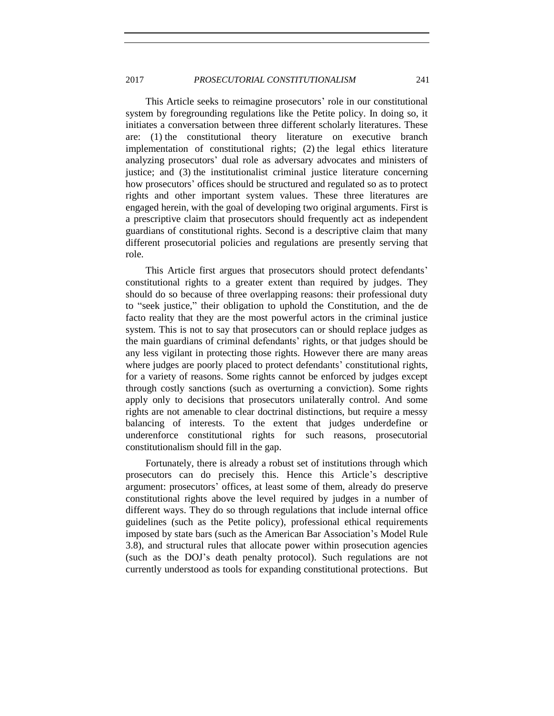This Article seeks to reimagine prosecutors' role in our constitutional system by foregrounding regulations like the Petite policy. In doing so, it initiates a conversation between three different scholarly literatures. These are: (1) the constitutional theory literature on executive branch implementation of constitutional rights; (2) the legal ethics literature analyzing prosecutors' dual role as adversary advocates and ministers of justice; and (3) the institutionalist criminal justice literature concerning how prosecutors' offices should be structured and regulated so as to protect rights and other important system values. These three literatures are engaged herein, with the goal of developing two original arguments. First is a prescriptive claim that prosecutors should frequently act as independent guardians of constitutional rights. Second is a descriptive claim that many different prosecutorial policies and regulations are presently serving that role.

This Article first argues that prosecutors should protect defendants' constitutional rights to a greater extent than required by judges. They should do so because of three overlapping reasons: their professional duty to "seek justice," their obligation to uphold the Constitution, and the de facto reality that they are the most powerful actors in the criminal justice system. This is not to say that prosecutors can or should replace judges as the main guardians of criminal defendants' rights, or that judges should be any less vigilant in protecting those rights. However there are many areas where judges are poorly placed to protect defendants' constitutional rights, for a variety of reasons. Some rights cannot be enforced by judges except through costly sanctions (such as overturning a conviction). Some rights apply only to decisions that prosecutors unilaterally control. And some rights are not amenable to clear doctrinal distinctions, but require a messy balancing of interests. To the extent that judges underdefine or underenforce constitutional rights for such reasons, prosecutorial constitutionalism should fill in the gap.

Fortunately, there is already a robust set of institutions through which prosecutors can do precisely this. Hence this Article's descriptive argument: prosecutors' offices, at least some of them, already do preserve constitutional rights above the level required by judges in a number of different ways. They do so through regulations that include internal office guidelines (such as the Petite policy), professional ethical requirements imposed by state bars (such as the American Bar Association's Model Rule 3.8), and structural rules that allocate power within prosecution agencies (such as the DOJ's death penalty protocol). Such regulations are not currently understood as tools for expanding constitutional protections. But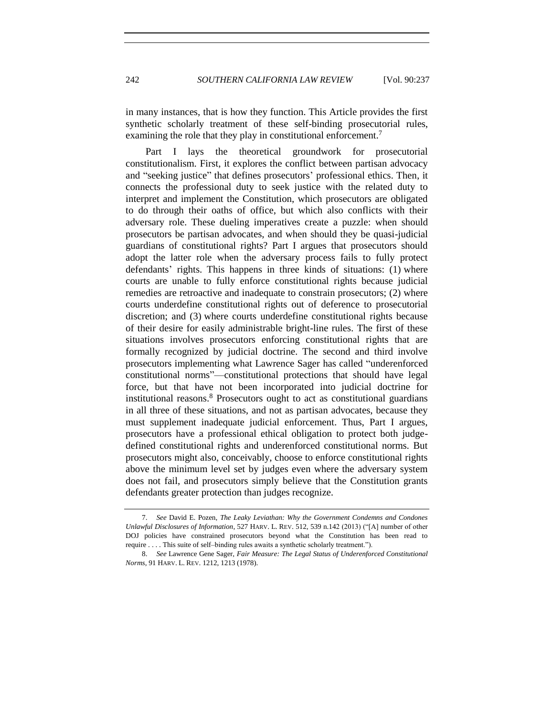in many instances, that is how they function. This Article provides the first synthetic scholarly treatment of these self-binding prosecutorial rules, examining the role that they play in constitutional enforcement.<sup>7</sup>

<span id="page-5-1"></span>Part I lays the theoretical groundwork for prosecutorial constitutionalism. First, it explores the conflict between partisan advocacy and "seeking justice" that defines prosecutors' professional ethics. Then, it connects the professional duty to seek justice with the related duty to interpret and implement the Constitution, which prosecutors are obligated to do through their oaths of office, but which also conflicts with their adversary role. These dueling imperatives create a puzzle: when should prosecutors be partisan advocates, and when should they be quasi-judicial guardians of constitutional rights? Part I argues that prosecutors should adopt the latter role when the adversary process fails to fully protect defendants' rights. This happens in three kinds of situations: (1) where courts are unable to fully enforce constitutional rights because judicial remedies are retroactive and inadequate to constrain prosecutors; (2) where courts underdefine constitutional rights out of deference to prosecutorial discretion; and (3) where courts underdefine constitutional rights because of their desire for easily administrable bright-line rules. The first of these situations involves prosecutors enforcing constitutional rights that are formally recognized by judicial doctrine. The second and third involve prosecutors implementing what Lawrence Sager has called "underenforced constitutional norms"—constitutional protections that should have legal force, but that have not been incorporated into judicial doctrine for institutional reasons.<sup>8</sup> Prosecutors ought to act as constitutional guardians in all three of these situations, and not as partisan advocates, because they must supplement inadequate judicial enforcement. Thus, Part I argues, prosecutors have a professional ethical obligation to protect both judgedefined constitutional rights and underenforced constitutional norms. But prosecutors might also, conceivably, choose to enforce constitutional rights above the minimum level set by judges even where the adversary system does not fail, and prosecutors simply believe that the Constitution grants defendants greater protection than judges recognize.

<span id="page-5-0"></span><sup>7.</sup> *See* David E. Pozen, *The Leaky Leviathan: Why the Government Condemns and Condones Unlawful Disclosures of Information*, 527 HARV. L. REV. 512, 539 n.142 (2013) ("[A] number of other DOJ policies have constrained prosecutors beyond what the Constitution has been read to require . . . . This suite of self–binding rules awaits a synthetic scholarly treatment.").

<sup>8.</sup> *See* Lawrence Gene Sager, *Fair Measure: The Legal Status of Underenforced Constitutional Norms*, 91 HARV. L. REV. 1212, 1213 (1978).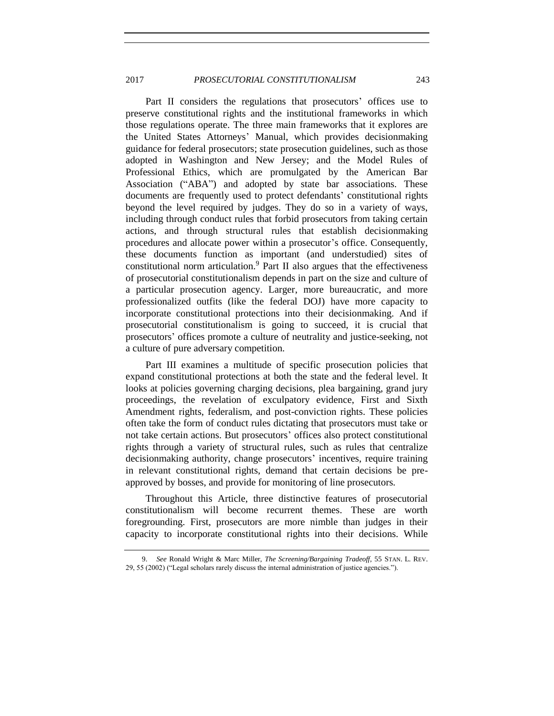Part II considers the regulations that prosecutors' offices use to preserve constitutional rights and the institutional frameworks in which those regulations operate. The three main frameworks that it explores are the United States Attorneys' Manual, which provides decisionmaking guidance for federal prosecutors; state prosecution guidelines, such as those adopted in Washington and New Jersey; and the Model Rules of Professional Ethics, which are promulgated by the American Bar Association ("ABA") and adopted by state bar associations. These documents are frequently used to protect defendants' constitutional rights beyond the level required by judges. They do so in a variety of ways, including through conduct rules that forbid prosecutors from taking certain actions, and through structural rules that establish decisionmaking procedures and allocate power within a prosecutor's office. Consequently, these documents function as important (and understudied) sites of constitutional norm articulation.<sup>9</sup> Part II also argues that the effectiveness of prosecutorial constitutionalism depends in part on the size and culture of a particular prosecution agency. Larger, more bureaucratic, and more professionalized outfits (like the federal DOJ) have more capacity to incorporate constitutional protections into their decisionmaking. And if prosecutorial constitutionalism is going to succeed, it is crucial that prosecutors' offices promote a culture of neutrality and justice-seeking, not a culture of pure adversary competition.

<span id="page-6-0"></span>Part III examines a multitude of specific prosecution policies that expand constitutional protections at both the state and the federal level. It looks at policies governing charging decisions, plea bargaining, grand jury proceedings, the revelation of exculpatory evidence, First and Sixth Amendment rights, federalism, and post-conviction rights. These policies often take the form of conduct rules dictating that prosecutors must take or not take certain actions. But prosecutors' offices also protect constitutional rights through a variety of structural rules, such as rules that centralize decisionmaking authority, change prosecutors' incentives, require training in relevant constitutional rights, demand that certain decisions be preapproved by bosses, and provide for monitoring of line prosecutors.

Throughout this Article, three distinctive features of prosecutorial constitutionalism will become recurrent themes. These are worth foregrounding. First, prosecutors are more nimble than judges in their capacity to incorporate constitutional rights into their decisions. While

<sup>9.</sup> *See* Ronald Wright & Marc Miller, *The Screening/Bargaining Tradeoff*, 55 STAN. L. REV. 29, 55 (2002) ("Legal scholars rarely discuss the internal administration of justice agencies.").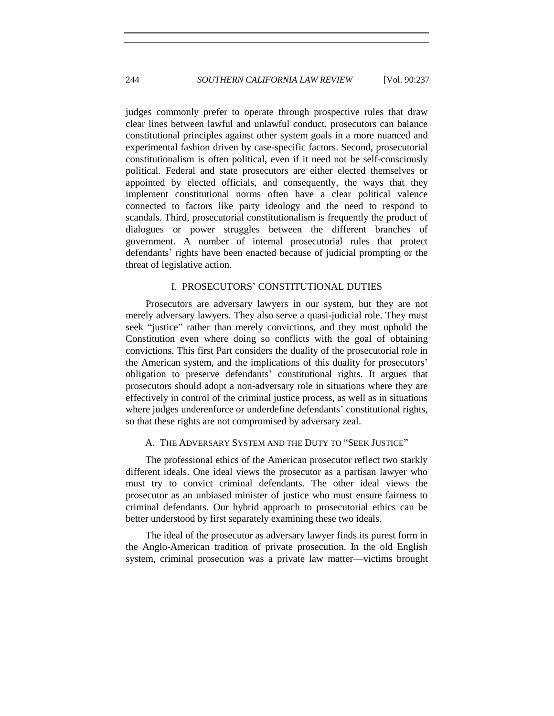judges commonly prefer to operate through prospective rules that draw clear lines between lawful and unlawful conduct, prosecutors can balance constitutional principles against other system goals in a more nuanced and experimental fashion driven by case-specific factors. Second, prosecutorial constitutionalism is often political, even if it need not be self-consciously political. Federal and state prosecutors are either elected themselves or appointed by elected officials, and consequently, the ways that they implement constitutional norms often have a clear political valence connected to factors like party ideology and the need to respond to scandals. Third, prosecutorial constitutionalism is frequently the product of dialogues or power struggles between the different branches of government. A number of internal prosecutorial rules that protect defendants' rights have been enacted because of judicial prompting or the threat of legislative action.

## I. PROSECUTORS' CONSTITUTIONAL DUTIES

Prosecutors are adversary lawyers in our system, but they are not merely adversary lawyers. They also serve a quasi-judicial role. They must seek "justice" rather than merely convictions, and they must uphold the Constitution even where doing so conflicts with the goal of obtaining convictions. This first Part considers the duality of the prosecutorial role in the American system, and the implications of this duality for prosecutors' obligation to preserve defendants' constitutional rights. It argues that prosecutors should adopt a non-adversary role in situations where they are effectively in control of the criminal justice process, as well as in situations where judges underenforce or underdefine defendants' constitutional rights, so that these rights are not compromised by adversary zeal.

# A. THE ADVERSARY SYSTEM AND THE DUTY TO "SEEK JUSTICE"

The professional ethics of the American prosecutor reflect two starkly different ideals. One ideal views the prosecutor as a partisan lawyer who must try to convict criminal defendants. The other ideal views the prosecutor as an unbiased minister of justice who must ensure fairness to criminal defendants. Our hybrid approach to prosecutorial ethics can be better understood by first separately examining these two ideals.

The ideal of the prosecutor as adversary lawyer finds its purest form in the Anglo-American tradition of private prosecution. In the old English system, criminal prosecution was a private law matter—victims brought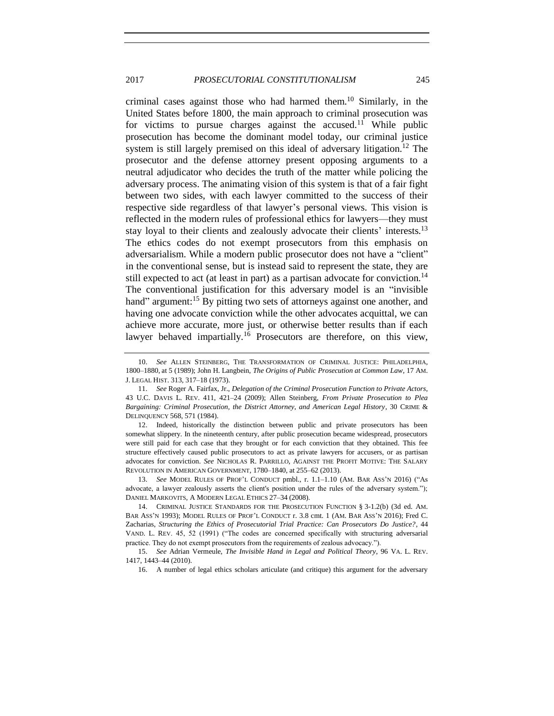<span id="page-8-0"></span>criminal cases against those who had harmed them.<sup>10</sup> Similarly, in the United States before 1800, the main approach to criminal prosecution was for victims to pursue charges against the accused.<sup>11</sup> While public prosecution has become the dominant model today, our criminal justice system is still largely premised on this ideal of adversary litigation.<sup>12</sup> The prosecutor and the defense attorney present opposing arguments to a neutral adjudicator who decides the truth of the matter while policing the adversary process. The animating vision of this system is that of a fair fight between two sides, with each lawyer committed to the success of their respective side regardless of that lawyer's personal views. This vision is reflected in the modern rules of professional ethics for lawyers—they must stay loyal to their clients and zealously advocate their clients' interests.<sup>13</sup> The ethics codes do not exempt prosecutors from this emphasis on adversarialism. While a modern public prosecutor does not have a "client" in the conventional sense, but is instead said to represent the state, they are still expected to act (at least in part) as a partisan advocate for conviction.<sup>14</sup> The conventional justification for this adversary model is an "invisible hand" argument:<sup>15</sup> By pitting two sets of attorneys against one another, and having one advocate conviction while the other advocates acquittal, we can achieve more accurate, more just, or otherwise better results than if each lawyer behaved impartially.<sup>16</sup> Prosecutors are therefore, on this view,

12. Indeed, historically the distinction between public and private prosecutors has been somewhat slippery. In the nineteenth century, after public prosecution became widespread, prosecutors were still paid for each case that they brought or for each conviction that they obtained. This fee structure effectively caused public prosecutors to act as private lawyers for accusers, or as partisan advocates for conviction. *See* NICHOLAS R. PARRILLO, AGAINST THE PROFIT MOTIVE: THE SALARY REVOLUTION IN AMERICAN GOVERNMENT, 1780–1840, at 255–62 (2013).

13. *See* MODEL RULES OF PROF'L CONDUCT pmbl., r. 1.1–1.10 (AM. BAR ASS'N 2016) ("As advocate, a lawyer zealously asserts the client's position under the rules of the adversary system."); DANIEL MARKOVITS, A MODERN LEGAL ETHICS 27–34 (2008).

14. CRIMINAL JUSTICE STANDARDS FOR THE PROSECUTION FUNCTION § 3-1.2(b) (3d ed. AM. BAR ASS'N 1993); MODEL RULES OF PROF'L CONDUCT r. 3.8 cmt. 1 (AM. BAR ASS'N 2016); Fred C. Zacharias, *Structuring the Ethics of Prosecutorial Trial Practice: Can Prosecutors Do Justice?*, 44 VAND. L. REV. 45, 52 (1991) ("The codes are concerned specifically with structuring adversarial practice. They do not exempt prosecutors from the requirements of zealous advocacy.").

15. *See* Adrian Vermeule, *The Invisible Hand in Legal and Political Theory*, 96 VA. L. REV. 1417, 1443–44 (2010).

16. A number of legal ethics scholars articulate (and critique) this argument for the adversary

<span id="page-8-3"></span><span id="page-8-2"></span><span id="page-8-1"></span><sup>10.</sup> *See* ALLEN STEINBERG, THE TRANSFORMATION OF CRIMINAL JUSTICE: PHILADELPHIA, 1800–1880, at 5 (1989); John H. Langbein, *The Origins of Public Prosecution at Common Law*, 17 AM. J. LEGAL HIST. 313, 317–18 (1973).

<sup>11.</sup> *See* Roger A. Fairfax, Jr., *Delegation of the Criminal Prosecution Function to Private Actors*, 43 U.C. DAVIS L. REV. 411, 421–24 (2009); Allen Steinberg, *From Private Prosecution to Plea Bargaining: Criminal Prosecution, the District Attorney, and American Legal History*, 30 CRIME & DELINQUENCY 568, 571 (1984).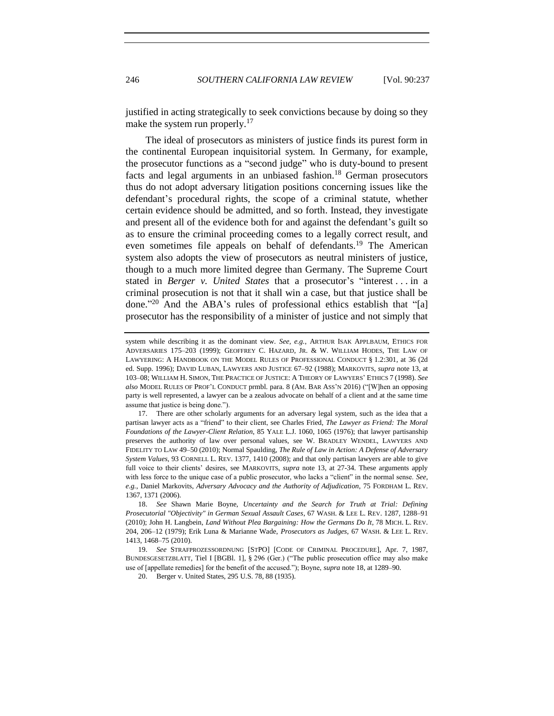<span id="page-9-0"></span>

<span id="page-9-1"></span>justified in acting strategically to seek convictions because by doing so they make the system run properly.<sup>17</sup>

The ideal of prosecutors as ministers of justice finds its purest form in the continental European inquisitorial system. In Germany, for example, the prosecutor functions as a "second judge" who is duty-bound to present facts and legal arguments in an unbiased fashion.<sup>18</sup> German prosecutors thus do not adopt adversary litigation positions concerning issues like the defendant's procedural rights, the scope of a criminal statute, whether certain evidence should be admitted, and so forth. Instead, they investigate and present all of the evidence both for and against the defendant's guilt so as to ensure the criminal proceeding comes to a legally correct result, and even sometimes file appeals on behalf of defendants.<sup>19</sup> The American system also adopts the view of prosecutors as neutral ministers of justice, though to a much more limited degree than Germany. The Supreme Court stated in *Berger v. United States* that a prosecutor's "interest . . . in a criminal prosecution is not that it shall win a case, but that justice shall be done." <sup>20</sup> And the ABA's rules of professional ethics establish that "[a] prosecutor has the responsibility of a minister of justice and not simply that

system while describing it as the dominant view. *See, e.g.*, ARTHUR ISAK APPLBAUM, ETHICS FOR ADVERSARIES 175–203 (1999); GEOFFREY C. HAZARD, JR. & W. WILLIAM HODES, THE LAW OF LAWYERING: A HANDBOOK ON THE MODEL RULES OF PROFESSIONAL CONDUCT § 1.2:301, at 36 (2d ed. Supp. 1996); DAVID LUBAN, LAWYERS AND JUSTICE 67–92 (1988); MARKOVITS, *supra* note [13,](#page-8-0) at 103–08; WILLIAM H. SIMON, THE PRACTICE OF JUSTICE: A THEORY OF LAWYERS' ETHICS 7 (1998). *See also* MODEL RULES OF PROF'L CONDUCT prmbl. para. 8 (AM. BAR ASS'N 2016) ("[W]hen an opposing party is well represented, a lawyer can be a zealous advocate on behalf of a client and at the same time assume that justice is being done.").

<sup>17.</sup> There are other scholarly arguments for an adversary legal system, such as the idea that a partisan lawyer acts as a "friend" to their client, see Charles Fried, *The Lawyer as Friend: The Moral Foundations of the Lawyer-Client Relation*, 85 YALE L.J. 1060, 1065 (1976); that lawyer partisanship preserves the authority of law over personal values, see W. BRADLEY WENDEL, LAWYERS AND FIDELITY TO LAW 49–50 (2010); Normal Spaulding, *The Rule of Law in Action: A Defense of Adversary System Values*, 93 CORNELL L. REV. 1377, 1410 (2008); and that only partisan lawyers are able to give full voice to their clients' desires, see MARKOVITS, *supra* note [13,](#page-8-0) at 27-34. These arguments apply with less force to the unique case of a public prosecutor, who lacks a "client" in the normal sense. *See, e.g.*, Daniel Markovits, *Adversary Advocacy and the Authority of Adjudication*, 75 FORDHAM L. REV. 1367, 1371 (2006).

<sup>18.</sup> *See* Shawn Marie Boyne, *Uncertainty and the Search for Truth at Trial: Defining Prosecutorial "Objectivity" in German Sexual Assault Cases*, 67 WASH. & LEE L. REV. 1287, 1288–91 (2010); John H. Langbein, *Land Without Plea Bargaining: How the Germans Do It*, 78 MICH. L. REV. 204, 206–12 (1979); Erik Luna & Marianne Wade, *Prosecutors as Judges*, 67 WASH. & LEE L. REV. 1413, 1468–75 (2010).

<sup>19.</sup> *See* STRAFPROZESSORDNUNG [STPO] [CODE OF CRIMINAL PROCEDURE], Apr. 7, 1987, BUNDESGESETZBLATT, Tiel I [BGBl. 1], § 296 (Ger.) ("The public prosecution office may also make use of [appellate remedies] for the benefit of the accused."); Boyne, *supra* note [18,](#page-9-0) at 1289–90.

<sup>20.</sup> Berger v. United States, 295 U.S. 78, 88 (1935).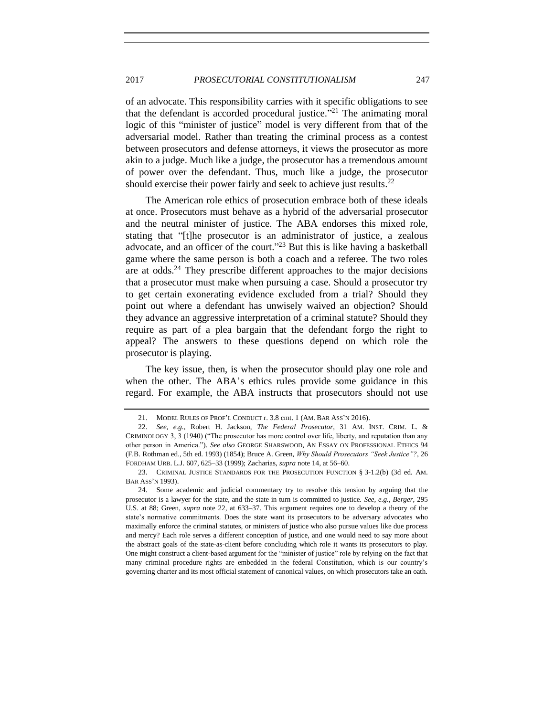## 2017 *PROSECUTORIAL CONSTITUTIONALISM* 247

of an advocate. This responsibility carries with it specific obligations to see that the defendant is accorded procedural justice."<sup>21</sup> The animating moral logic of this "minister of justice" model is very different from that of the adversarial model. Rather than treating the criminal process as a contest between prosecutors and defense attorneys, it views the prosecutor as more akin to a judge. Much like a judge, the prosecutor has a tremendous amount of power over the defendant. Thus, much like a judge, the prosecutor should exercise their power fairly and seek to achieve just results.<sup>22</sup>

The American role ethics of prosecution embrace both of these ideals at once. Prosecutors must behave as a hybrid of the adversarial prosecutor and the neutral minister of justice. The ABA endorses this mixed role, stating that "[t]he prosecutor is an administrator of justice, a zealous advocate, and an officer of the court."<sup>23</sup> But this is like having a basketball game where the same person is both a coach and a referee. The two roles are at odds.<sup>24</sup> They prescribe different approaches to the major decisions that a prosecutor must make when pursuing a case. Should a prosecutor try to get certain exonerating evidence excluded from a trial? Should they point out where a defendant has unwisely waived an objection? Should they advance an aggressive interpretation of a criminal statute? Should they require as part of a plea bargain that the defendant forgo the right to appeal? The answers to these questions depend on which role the prosecutor is playing.

The key issue, then, is when the prosecutor should play one role and when the other. The ABA's ethics rules provide some guidance in this regard. For example, the ABA instructs that prosecutors should not use

<span id="page-10-0"></span>

<sup>21.</sup> MODEL RULES OF PROF'L CONDUCT r. 3.8 cmt. 1 (AM. BAR ASS'N 2016).

<sup>22.</sup> *See, e.g.*, Robert H. Jackson, *The Federal Prosecutor*, 31 AM. INST. CRIM. L. & CRIMINOLOGY 3, 3 (1940) ("The prosecutor has more control over life, liberty, and reputation than any other person in America."). *See also* GEORGE SHARSWOOD, AN ESSAY ON PROFESSIONAL ETHICS 94 (F.B. Rothman ed., 5th ed. 1993) (1854); Bruce A. Green, *Why Should Prosecutors "Seek Justice"?*, 26 FORDHAM URB. L.J. 607, 625–33 (1999); Zacharias, *supra* not[e 14,](#page-8-1) at 56–60.

<sup>23.</sup> CRIMINAL JUSTICE STANDARDS FOR THE PROSECUTION FUNCTION § 3-1.2(b) (3d ed. AM. BAR ASS'N 1993).

<sup>24.</sup> Some academic and judicial commentary try to resolve this tension by arguing that the prosecutor is a lawyer for the state, and the state in turn is committed to justice. *See, e.g.*, *Berger*, 295 U.S. at 88; Green, *supra* note [22,](#page-10-0) at 633–37. This argument requires one to develop a theory of the state's normative commitments. Does the state want its prosecutors to be adversary advocates who maximally enforce the criminal statutes, or ministers of justice who also pursue values like due process and mercy? Each role serves a different conception of justice, and one would need to say more about the abstract goals of the state-as-client before concluding which role it wants its prosecutors to play. One might construct a client-based argument for the "minister of justice" role by relying on the fact that many criminal procedure rights are embedded in the federal Constitution, which is our country's governing charter and its most official statement of canonical values, on which prosecutors take an oath.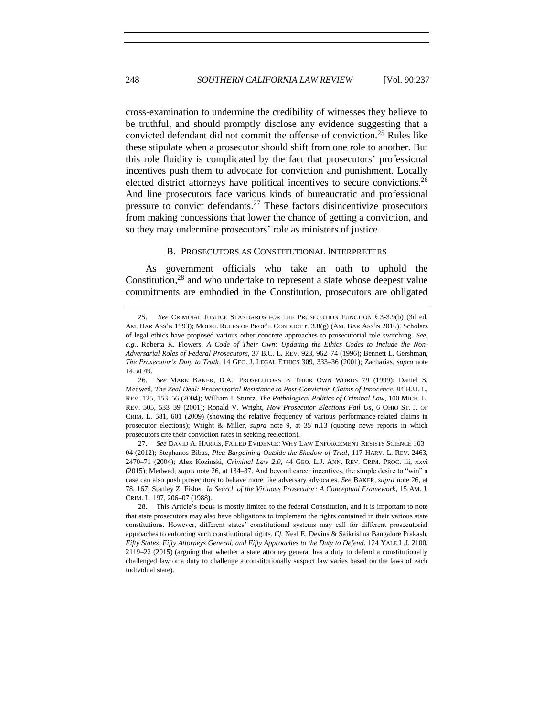cross-examination to undermine the credibility of witnesses they believe to be truthful, and should promptly disclose any evidence suggesting that a convicted defendant did not commit the offense of conviction.<sup>25</sup> Rules like these stipulate when a prosecutor should shift from one role to another. But this role fluidity is complicated by the fact that prosecutors' professional incentives push them to advocate for conviction and punishment. Locally elected district attorneys have political incentives to secure convictions.<sup>26</sup> And line prosecutors face various kinds of bureaucratic and professional pressure to convict defendants.<sup>27</sup> These factors disincentivize prosecutors from making concessions that lower the chance of getting a conviction, and so they may undermine prosecutors' role as ministers of justice.

#### <span id="page-11-1"></span><span id="page-11-0"></span>B. PROSECUTORS AS CONSTITUTIONAL INTERPRETERS

As government officials who take an oath to uphold the Constitution, $^{28}$  and who undertake to represent a state whose deepest value commitments are embodied in the Constitution, prosecutors are obligated

27. *See* DAVID A. HARRIS, FAILED EVIDENCE: WHY LAW ENFORCEMENT RESISTS SCIENCE 103– 04 (2012); Stephanos Bibas, *Plea Bargaining Outside the Shadow of Trial*, 117 HARV. L. REV. 2463, 2470–71 (2004); Alex Kozinski, *Criminal Law 2.0*, 44 GEO. L.J. ANN. REV. CRIM. PROC. iii, xxvi (2015); Medwed, *supra* not[e 26,](#page-11-0) at 134–37. And beyond career incentives, the simple desire to "win" a case can also push prosecutors to behave more like adversary advocates. *See* BAKER, *supra* note [26,](#page-11-0) at 78, 167; Stanley Z. Fisher, *In Search of the Virtuous Prosecutor: A Conceptual Framework*, 15 AM. J. CRIM. L. 197, 206–07 (1988).

<sup>25.</sup> *See* CRIMINAL JUSTICE STANDARDS FOR THE PROSECUTION FUNCTION § 3-3.9(b) (3d ed. AM. BAR ASS'N 1993); MODEL RULES OF PROF'L CONDUCT r. 3.8(g) (AM. BAR ASS'N 2016). Scholars of legal ethics have proposed various other concrete approaches to prosecutorial role switching. *See, e.g.*, Roberta K. Flowers, *A Code of Their Own: Updating the Ethics Codes to Include the Non-Adversarial Roles of Federal Prosecutors*, 37 B.C. L. REV. 923, 962–74 (1996); Bennett L. Gershman, *The Prosecutor's Duty to Truth*, 14 GEO. J. LEGAL ETHICS 309, 333–36 (2001); Zacharias, *supra* note [14,](#page-8-1) at 49.

<sup>26.</sup> *See* MARK BAKER, D.A.: PROSECUTORS IN THEIR OWN WORDS 79 (1999); Daniel S. Medwed, *The Zeal Deal: Prosecutorial Resistance to Post-Conviction Claims of Innocence*, 84 B.U. L. REV. 125, 153–56 (2004); William J. Stuntz, *The Pathological Politics of Criminal Law*, 100 MICH. L. REV. 505, 533–39 (2001); Ronald V. Wright, *How Prosecutor Elections Fail Us*, 6 OHIO ST. J. OF CRIM. L. 581, 601 (2009) (showing the relative frequency of various performance-related claims in prosecutor elections); Wright & Miller, *supra* note [9,](#page-6-0) at 35 n.13 (quoting news reports in which prosecutors cite their conviction rates in seeking reelection).

<sup>28.</sup> This Article's focus is mostly limited to the federal Constitution, and it is important to note that state prosecutors may also have obligations to implement the rights contained in their various state constitutions. However, different states' constitutional systems may call for different prosecutorial approaches to enforcing such constitutional rights. *Cf.* Neal E. Devins & Saikrishna Bangalore Prakash, *Fifty States, Fifty Attorneys General, and Fifty Approaches to the Duty to Defend*, 124 YALE L.J. 2100, 2119–22 (2015) (arguing that whether a state attorney general has a duty to defend a constitutionally challenged law or a duty to challenge a constitutionally suspect law varies based on the laws of each individual state).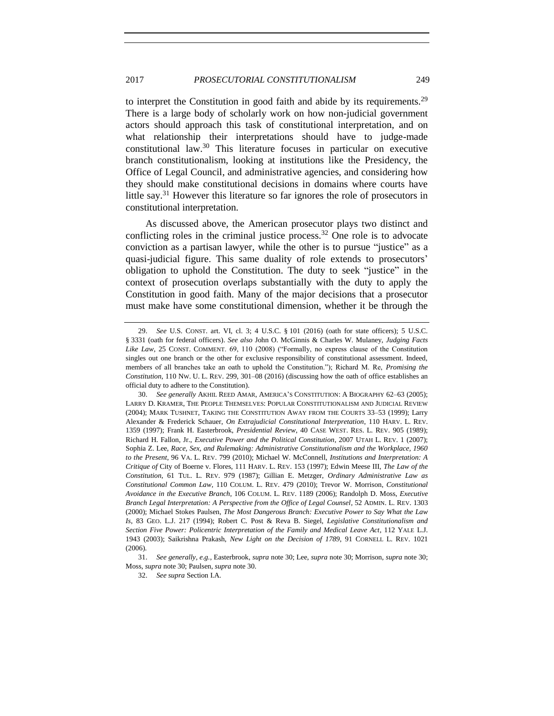## 2017 *PROSECUTORIAL CONSTITUTIONALISM* 249

<span id="page-12-0"></span>to interpret the Constitution in good faith and abide by its requirements.<sup>29</sup> There is a large body of scholarly work on how non-judicial government actors should approach this task of constitutional interpretation, and on what relationship their interpretations should have to judge-made constitutional law.<sup>30</sup> This literature focuses in particular on executive branch constitutionalism, looking at institutions like the Presidency, the Office of Legal Council, and administrative agencies, and considering how they should make constitutional decisions in domains where courts have little say.<sup>31</sup> However this literature so far ignores the role of prosecutors in constitutional interpretation.

As discussed above, the American prosecutor plays two distinct and conflicting roles in the criminal justice process.<sup>32</sup> One role is to advocate conviction as a partisan lawyer, while the other is to pursue "justice" as a quasi-judicial figure. This same duality of role extends to prosecutors' obligation to uphold the Constitution. The duty to seek "justice" in the context of prosecution overlaps substantially with the duty to apply the Constitution in good faith. Many of the major decisions that a prosecutor must make have some constitutional dimension, whether it be through the

<sup>29.</sup> *See* U.S. CONST. art. VI, cl. 3; 4 U.S.C. § 101 (2016) (oath for state officers); 5 U.S.C. § 3331 (oath for federal officers). *See also* John O. McGinnis & Charles W. Mulaney, *Judging Facts Like Law*, 25 CONST. COMMENT. 69, 110 (2008) ("Formally, no express clause of the Constitution singles out one branch or the other for exclusive responsibility of constitutional assessment. Indeed, members of all branches take an oath to uphold the Constitution."); Richard M. Re, *Promising the Constitution*, 110 NW. U. L. REV. 299, 301–08 (2016) (discussing how the oath of office establishes an official duty to adhere to the Constitution).

<sup>30.</sup> *See generally* AKHIL REED AMAR, AMERICA'S CONSTITUTION: A BIOGRAPHY 62–63 (2005); LARRY D. KRAMER, THE PEOPLE THEMSELVES: POPULAR CONSTITUTIONALISM AND JUDICIAL REVIEW (2004); MARK TUSHNET, TAKING THE CONSTITUTION AWAY FROM THE COURTS 33–53 (1999); Larry Alexander & Frederick Schauer, *On Extrajudicial Constitutional Interpretation*, 110 HARV. L. REV. 1359 (1997); Frank H. Easterbrook, *Presidential Review*, 40 CASE WEST. RES. L. REV. 905 (1989); Richard H. Fallon, Jr., *Executive Power and the Political Constitution*, 2007 UTAH L. REV. 1 (2007); Sophia Z. Lee, *Race, Sex, and Rulemaking: Administrative Constitutionalism and the Workplace, 1960 to the Present*, 96 VA. L. REV. 799 (2010); Michael W. McConnell, *Institutions and Interpretation: A Critique of* City of Boerne v. Flores, 111 HARV. L. REV. 153 (1997); Edwin Meese III, *The Law of the Constitution*, 61 TUL. L. REV. 979 (1987); Gillian E. Metzger, *Ordinary Administrative Law as Constitutional Common Law*, 110 COLUM. L. REV. 479 (2010); Trevor W. Morrison, *Constitutional Avoidance in the Executive Branch*, 106 COLUM. L. REV. 1189 (2006); Randolph D. Moss, *Executive Branch Legal Interpretation: A Perspective from the Office of Legal Counsel*, 52 ADMIN. L. REV. 1303 (2000); Michael Stokes Paulsen, *The Most Dangerous Branch: Executive Power to Say What the Law Is*, 83 GEO. L.J. 217 (1994); Robert C. Post & Reva B. Siegel, *Legislative Constitutionalism and Section Five Power: Policentric Interpretation of the Family and Medical Leave Act*, 112 YALE L.J. 1943 (2003); Saikrishna Prakash, *New Light on the Decision of 1789*, 91 CORNELL L. REV. 1021 (2006).

<sup>31.</sup> *See generally, e.g.*, Easterbrook, *supra* not[e 30;](#page-12-0) Lee, *supra* not[e 30;](#page-12-0) Morrison, *supra* note [30;](#page-12-0) Moss, *supra* not[e 30;](#page-12-0) Paulsen, *supra* not[e 30.](#page-12-0)

<sup>32.</sup> *See supra* Section I.A.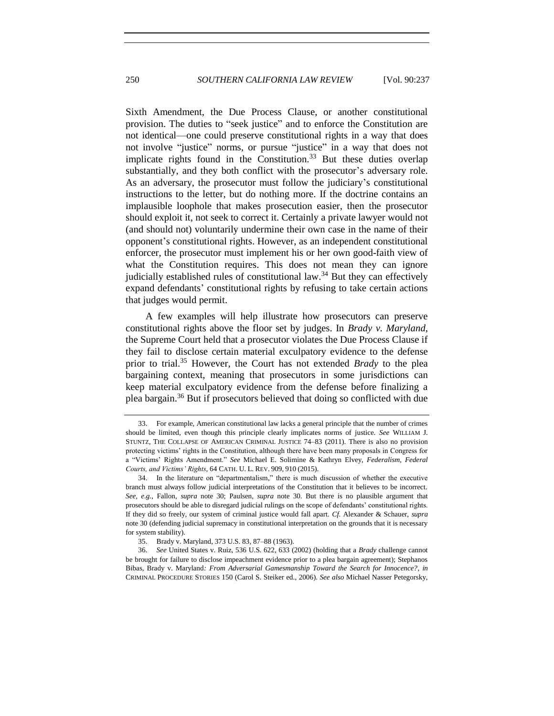Sixth Amendment, the Due Process Clause, or another constitutional provision. The duties to "seek justice" and to enforce the Constitution are not identical—one could preserve constitutional rights in a way that does not involve "justice" norms, or pursue "justice" in a way that does not implicate rights found in the Constitution.<sup>33</sup> But these duties overlap substantially, and they both conflict with the prosecutor's adversary role. As an adversary, the prosecutor must follow the judiciary's constitutional instructions to the letter, but do nothing more. If the doctrine contains an implausible loophole that makes prosecution easier, then the prosecutor should exploit it, not seek to correct it. Certainly a private lawyer would not (and should not) voluntarily undermine their own case in the name of their opponent's constitutional rights. However, as an independent constitutional enforcer, the prosecutor must implement his or her own good-faith view of what the Constitution requires. This does not mean they can ignore judicially established rules of constitutional law.<sup>34</sup> But they can effectively expand defendants' constitutional rights by refusing to take certain actions that judges would permit.

A few examples will help illustrate how prosecutors can preserve constitutional rights above the floor set by judges. In *Brady v. Maryland*, the Supreme Court held that a prosecutor violates the Due Process Clause if they fail to disclose certain material exculpatory evidence to the defense prior to trial.<sup>35</sup> However, the Court has not extended *Brady* to the plea bargaining context, meaning that prosecutors in some jurisdictions can keep material exculpatory evidence from the defense before finalizing a plea bargain.<sup>36</sup> But if prosecutors believed that doing so conflicted with due

<span id="page-13-0"></span><sup>33.</sup> For example, American constitutional law lacks a general principle that the number of crimes should be limited, even though this principle clearly implicates norms of justice. *See* WILLIAM J. STUNTZ, THE COLLAPSE OF AMERICAN CRIMINAL JUSTICE 74–83 (2011). There is also no provision protecting victims' rights in the Constitution, although there have been many proposals in Congress for a "Victims' Rights Amendment." *See* Michael E. Solimine & Kathryn Elvey, *Federalism, Federal Courts, and Victims' Rights*, 64 CATH. U. L. REV. 909, 910 (2015).

<sup>34.</sup> In the literature on "departmentalism," there is much discussion of whether the executive branch must always follow judicial interpretations of the Constitution that it believes to be incorrect. *See, e.g.*, Fallon, *supra* note [30;](#page-12-0) Paulsen, *supra* note [30.](#page-12-0) But there is no plausible argument that prosecutors should be able to disregard judicial rulings on the scope of defendants' constitutional rights. If they did so freely, our system of criminal justice would fall apart. *Cf.* Alexander & Schauer, *supra*  note [30](#page-12-0) (defending judicial supremacy in constitutional interpretation on the grounds that it is necessary for system stability).

<sup>35.</sup> Brady v. Maryland, 373 U.S. 83, 87–88 (1963).

<sup>36.</sup> *See* United States v. Ruiz, 536 U.S. 622, 633 (2002) (holding that a *Brady* challenge cannot be brought for failure to disclose impeachment evidence prior to a plea bargain agreement); Stephanos Bibas, Brady v. Maryland*: From Adversarial Gamesmanship Toward the Search for Innocence?*, *in* CRIMINAL PROCEDURE STORIES 150 (Carol S. Steiker ed., 2006). *See also* Michael Nasser Petegorsky,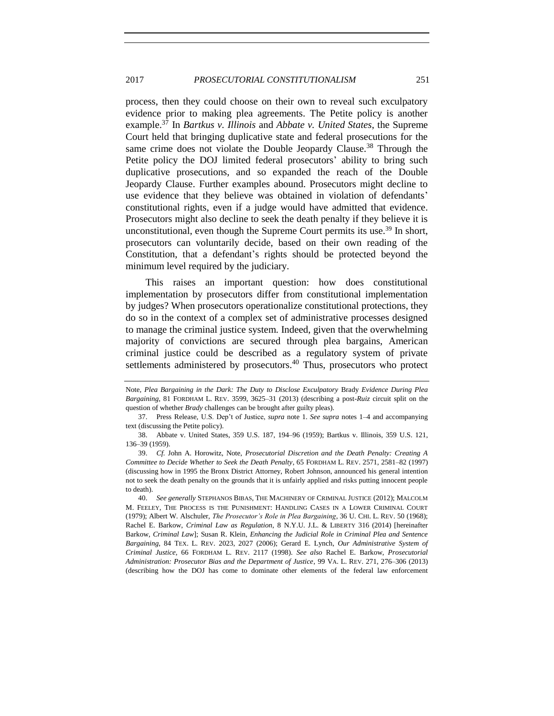process, then they could choose on their own to reveal such exculpatory evidence prior to making plea agreements. The Petite policy is another example.<sup>37</sup> In *Bartkus v. Illinois* and *Abbate v. United States*, the Supreme Court held that bringing duplicative state and federal prosecutions for the same crime does not violate the Double Jeopardy Clause.<sup>38</sup> Through the Petite policy the DOJ limited federal prosecutors' ability to bring such duplicative prosecutions, and so expanded the reach of the Double Jeopardy Clause. Further examples abound. Prosecutors might decline to use evidence that they believe was obtained in violation of defendants' constitutional rights, even if a judge would have admitted that evidence. Prosecutors might also decline to seek the death penalty if they believe it is unconstitutional, even though the Supreme Court permits its use.<sup>39</sup> In short, prosecutors can voluntarily decide, based on their own reading of the Constitution, that a defendant's rights should be protected beyond the minimum level required by the judiciary.

This raises an important question: how does constitutional implementation by prosecutors differ from constitutional implementation by judges? When prosecutors operationalize constitutional protections, they do so in the context of a complex set of administrative processes designed to manage the criminal justice system. Indeed, given that the overwhelming majority of convictions are secured through plea bargains, American criminal justice could be described as a regulatory system of private settlements administered by prosecutors.<sup>40</sup> Thus, prosecutors who protect

<span id="page-14-0"></span>Note, *Plea Bargaining in the Dark: The Duty to Disclose Exculpatory* Brady *Evidence During Plea Bargaining*, 81 FORDHAM L. REV. 3599, 3625–31 (2013) (describing a post-*Ruiz* circuit split on the question of whether *Brady* challenges can be brought after guilty pleas).

<sup>37.</sup> Press Release, U.S. Dep't of Justice, *supra* note [1.](#page-2-0) *See supra* notes [1](#page-2-0)[–4](#page-2-1) and accompanying text (discussing the Petite policy).

<sup>38.</sup> Abbate v. United States, 359 U.S. 187, 194–96 (1959); Bartkus v. Illinois, 359 U.S. 121, 136–39 (1959).

<sup>39.</sup> *Cf.* John A. Horowitz, Note, *Prosecutorial Discretion and the Death Penalty: Creating A Committee to Decide Whether to Seek the Death Penalty*, 65 FORDHAM L. REV. 2571, 2581–82 (1997) (discussing how in 1995 the Bronx District Attorney, Robert Johnson, announced his general intention not to seek the death penalty on the grounds that it is unfairly applied and risks putting innocent people to death).

<sup>40.</sup> *See generally* STEPHANOS BIBAS, THE MACHINERY OF CRIMINAL JUSTICE (2012); MALCOLM M. FEELEY, THE PROCESS IS THE PUNISHMENT: HANDLING CASES IN A LOWER CRIMINAL COURT (1979); Albert W. Alschuler, *The Prosecutor's Role in Plea Bargaining*, 36 U. CHI. L. REV. 50 (1968); Rachel E. Barkow, *Criminal Law as Regulation*, 8 N.Y.U. J.L. & LIBERTY 316 (2014) [hereinafter Barkow, *Criminal Law*]; Susan R. Klein, *Enhancing the Judicial Role in Criminal Plea and Sentence Bargaining*, 84 TEX. L. REV. 2023, 2027 (2006); Gerard E. Lynch, *Our Administrative System of Criminal Justice*, 66 FORDHAM L. REV. 2117 (1998). *See also* Rachel E. Barkow, *Prosecutorial Administration: Prosecutor Bias and the Department of Justice*, 99 VA. L. REV. 271, 276–306 (2013) (describing how the DOJ has come to dominate other elements of the federal law enforcement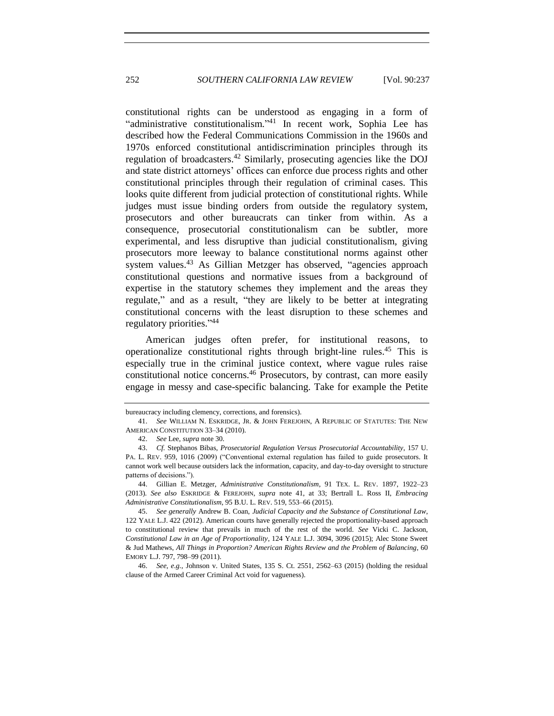<span id="page-15-0"></span>constitutional rights can be understood as engaging in a form of "administrative constitutionalism."<sup>41</sup> In recent work, Sophia Lee has described how the Federal Communications Commission in the 1960s and 1970s enforced constitutional antidiscrimination principles through its regulation of broadcasters.<sup>42</sup> Similarly, prosecuting agencies like the DOJ and state district attorneys' offices can enforce due process rights and other constitutional principles through their regulation of criminal cases. This looks quite different from judicial protection of constitutional rights. While judges must issue binding orders from outside the regulatory system, prosecutors and other bureaucrats can tinker from within. As a consequence, prosecutorial constitutionalism can be subtler, more experimental, and less disruptive than judicial constitutionalism, giving prosecutors more leeway to balance constitutional norms against other system values.<sup>43</sup> As Gillian Metzger has observed, "agencies approach constitutional questions and normative issues from a background of expertise in the statutory schemes they implement and the areas they regulate," and as a result, "they are likely to be better at integrating constitutional concerns with the least disruption to these schemes and regulatory priorities." 44

<span id="page-15-2"></span><span id="page-15-1"></span>American judges often prefer, for institutional reasons, to operationalize constitutional rights through bright-line rules.<sup>45</sup> This is especially true in the criminal justice context, where vague rules raise constitutional notice concerns.<sup>46</sup> Prosecutors, by contrast, can more easily engage in messy and case-specific balancing. Take for example the Petite

bureaucracy including clemency, corrections, and forensics).

<sup>41.</sup> *See* WILLIAM N. ESKRIDGE, JR. & JOHN FEREJOHN, A REPUBLIC OF STATUTES: THE NEW AMERICAN CONSTITUTION 33–34 (2010).

<sup>42.</sup> *See* Lee, *supra* not[e 30.](#page-12-0)

<sup>43.</sup> *Cf.* Stephanos Bibas, *Prosecutorial Regulation Versus Prosecutorial Accountability*, 157 U. PA. L. REV. 959, 1016 (2009) ("Conventional external regulation has failed to guide prosecutors. It cannot work well because outsiders lack the information, capacity, and day-to-day oversight to structure patterns of decisions.").

<sup>44.</sup> Gillian E. Metzger, *Administrative Constitutionalism*, 91 TEX. L. REV. 1897, 1922–23 (2013). *See also* ESKRIDGE & FEREJOHN, *supra* note [41,](#page-15-0) at 33; Bertrall L. Ross II, *Embracing Administrative Constitutionalism*, 95 B.U. L. REV. 519, 553–66 (2015).

<sup>45.</sup> *See generally* Andrew B. Coan, *Judicial Capacity and the Substance of Constitutional Law*, 122 YALE L.J. 422 (2012). American courts have generally rejected the proportionality-based approach to constitutional review that prevails in much of the rest of the world. *See* Vicki C. Jackson, *Constitutional Law in an Age of Proportionality*, 124 YALE L.J. 3094, 3096 (2015); Alec Stone Sweet & Jud Mathews, *All Things in Proportion? American Rights Review and the Problem of Balancing*, 60 EMORY L.J. 797, 798–99 (2011).

<sup>46.</sup> *See, e.g.*, Johnson v. United States, 135 S. Ct. 2551, 2562–63 (2015) (holding the residual clause of the Armed Career Criminal Act void for vagueness).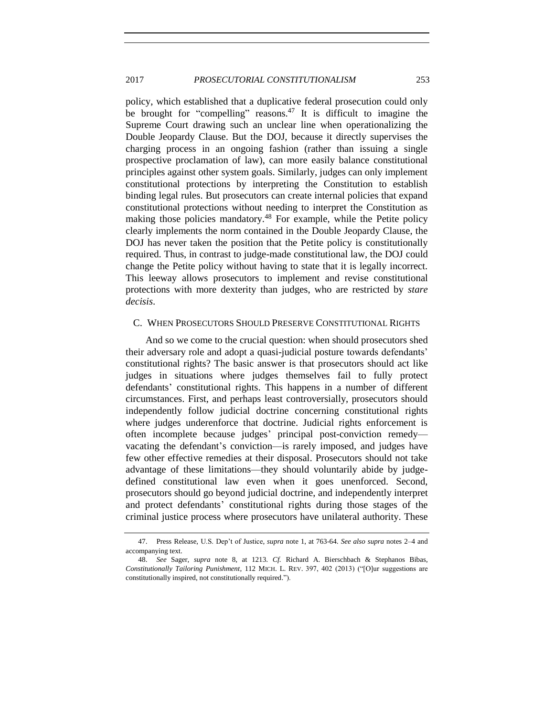## 2017 *PROSECUTORIAL CONSTITUTIONALISM* 253

policy, which established that a duplicative federal prosecution could only be brought for "compelling" reasons.<sup>47</sup> It is difficult to imagine the Supreme Court drawing such an unclear line when operationalizing the Double Jeopardy Clause. But the DOJ, because it directly supervises the charging process in an ongoing fashion (rather than issuing a single prospective proclamation of law), can more easily balance constitutional principles against other system goals. Similarly, judges can only implement constitutional protections by interpreting the Constitution to establish binding legal rules. But prosecutors can create internal policies that expand constitutional protections without needing to interpret the Constitution as making those policies mandatory.<sup>48</sup> For example, while the Petite policy clearly implements the norm contained in the Double Jeopardy Clause, the DOJ has never taken the position that the Petite policy is constitutionally required. Thus, in contrast to judge-made constitutional law, the DOJ could change the Petite policy without having to state that it is legally incorrect. This leeway allows prosecutors to implement and revise constitutional protections with more dexterity than judges, who are restricted by *stare decisis*.

## C. WHEN PROSECUTORS SHOULD PRESERVE CONSTITUTIONAL RIGHTS

And so we come to the crucial question: when should prosecutors shed their adversary role and adopt a quasi-judicial posture towards defendants' constitutional rights? The basic answer is that prosecutors should act like judges in situations where judges themselves fail to fully protect defendants' constitutional rights. This happens in a number of different circumstances. First, and perhaps least controversially, prosecutors should independently follow judicial doctrine concerning constitutional rights where judges underenforce that doctrine. Judicial rights enforcement is often incomplete because judges' principal post-conviction remedy vacating the defendant's conviction—is rarely imposed, and judges have few other effective remedies at their disposal. Prosecutors should not take advantage of these limitations—they should voluntarily abide by judgedefined constitutional law even when it goes unenforced. Second, prosecutors should go beyond judicial doctrine, and independently interpret and protect defendants' constitutional rights during those stages of the criminal justice process where prosecutors have unilateral authority. These

<sup>47.</sup> Press Release, U.S. Dep't of Justice, *supra* not[e 1,](#page-2-0) at 763-64. *See also supra* notes [2–](#page-2-2)[4](#page-2-1) and accompanying text.

<sup>48.</sup> *See* Sager, *supra* note [8,](#page-5-0) at 1213. *Cf.* Richard A. Bierschbach & Stephanos Bibas, *Constitutionally Tailoring Punishment*, 112 MICH. L. REV. 397, 402 (2013) ("[O]ur suggestions are constitutionally inspired, not constitutionally required.").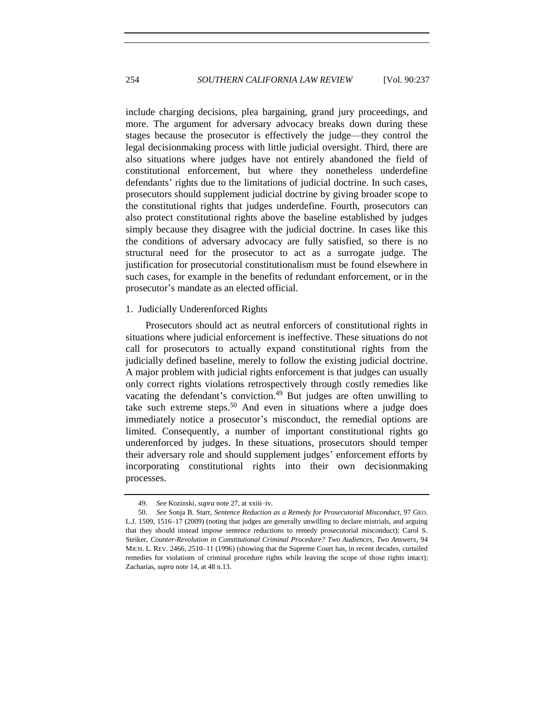include charging decisions, plea bargaining, grand jury proceedings, and more. The argument for adversary advocacy breaks down during these stages because the prosecutor is effectively the judge—they control the legal decisionmaking process with little judicial oversight. Third, there are also situations where judges have not entirely abandoned the field of constitutional enforcement, but where they nonetheless underdefine defendants' rights due to the limitations of judicial doctrine. In such cases, prosecutors should supplement judicial doctrine by giving broader scope to the constitutional rights that judges underdefine. Fourth, prosecutors can also protect constitutional rights above the baseline established by judges simply because they disagree with the judicial doctrine. In cases like this the conditions of adversary advocacy are fully satisfied, so there is no structural need for the prosecutor to act as a surrogate judge. The justification for prosecutorial constitutionalism must be found elsewhere in such cases, for example in the benefits of redundant enforcement, or in the prosecutor's mandate as an elected official.

## 1. Judicially Underenforced Rights

<span id="page-17-0"></span>Prosecutors should act as neutral enforcers of constitutional rights in situations where judicial enforcement is ineffective. These situations do not call for prosecutors to actually expand constitutional rights from the judicially defined baseline, merely to follow the existing judicial doctrine. A major problem with judicial rights enforcement is that judges can usually only correct rights violations retrospectively through costly remedies like vacating the defendant's conviction.<sup>49</sup> But judges are often unwilling to take such extreme steps.<sup>50</sup> And even in situations where a judge does immediately notice a prosecutor's misconduct, the remedial options are limited. Consequently, a number of important constitutional rights go underenforced by judges. In these situations, prosecutors should temper their adversary role and should supplement judges' enforcement efforts by incorporating constitutional rights into their own decisionmaking processes.

<sup>49.</sup> *See* Kozinski, *supra* not[e 27,](#page-11-1) at xxiii–iv.

<sup>50.</sup> *See* Sonja B. Starr, *Sentence Reduction as a Remedy for Prosecutorial Misconduct*, 97 GEO. L.J. 1509, 1516–17 (2009) (noting that judges are generally unwilling to declare mistrials, and arguing that they should instead impose sentence reductions to remedy prosecutorial misconduct); Carol S. Steiker, *Counter-Revolution in Constitutional Criminal Procedure? Two Audiences, Two Answers*, 94 MICH. L. REV. 2466, 2510–11 (1996) (showing that the Supreme Court has, in recent decades, curtailed remedies for violations of criminal procedure rights while leaving the scope of those rights intact); Zacharias, *supra* not[e 14,](#page-8-1) at 48 n.13.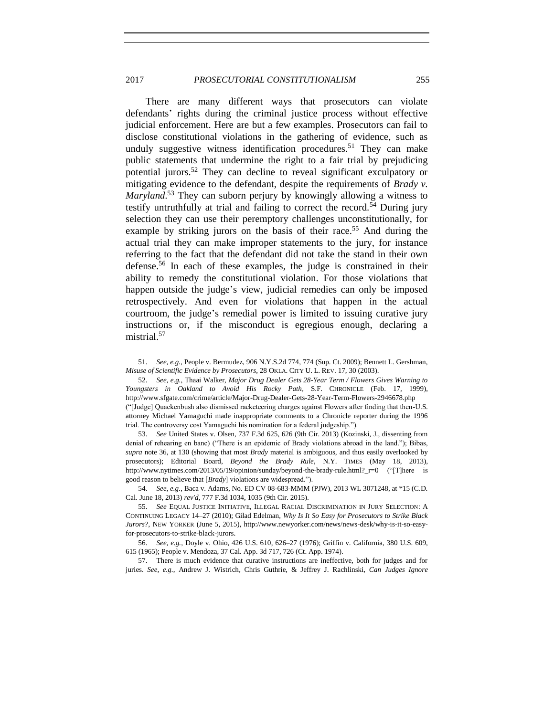## 2017 *PROSECUTORIAL CONSTITUTIONALISM* 255

<span id="page-18-0"></span>There are many different ways that prosecutors can violate defendants' rights during the criminal justice process without effective judicial enforcement. Here are but a few examples. Prosecutors can fail to disclose constitutional violations in the gathering of evidence, such as unduly suggestive witness identification procedures.<sup>51</sup> They can make public statements that undermine the right to a fair trial by prejudicing potential jurors.<sup>52</sup> They can decline to reveal significant exculpatory or mitigating evidence to the defendant, despite the requirements of *Brady v. Maryland*. <sup>53</sup> They can suborn perjury by knowingly allowing a witness to testify untruthfully at trial and failing to correct the record.<sup>54</sup> During jury selection they can use their peremptory challenges unconstitutionally, for example by striking jurors on the basis of their race.<sup>55</sup> And during the actual trial they can make improper statements to the jury, for instance referring to the fact that the defendant did not take the stand in their own defense.<sup>56</sup> In each of these examples, the judge is constrained in their ability to remedy the constitutional violation. For those violations that happen outside the judge's view, judicial remedies can only be imposed retrospectively. And even for violations that happen in the actual courtroom, the judge's remedial power is limited to issuing curative jury instructions or, if the misconduct is egregious enough, declaring a mistrial.<sup>57</sup>

trial. The controversy cost Yamaguchi his nomination for a federal judgeship.").

53. *See* United States v. Olsen, 737 F.3d 625, 626 (9th Cir. 2013) (Kozinski, J., dissenting from denial of rehearing en banc) ("There is an epidemic of Brady violations abroad in the land."); Bibas, *supra* note [36,](#page-13-0) at 130 (showing that most *Brady* material is ambiguous, and thus easily overlooked by prosecutors); Editorial Board, *Beyond the Brady Rule*, N.Y. TIMES (May 18, 2013), http://www.nytimes.com/2013/05/19/opinion/sunday/beyond-the-brady-rule.html?\_r=0 ("[T]here is good reason to believe that [*Brady*] violations are widespread.").

54. *See, e.g.*, Baca v. Adams, No. ED CV 08-683-MMM (PJW), 2013 WL 3071248, at \*15 (C.D. Cal. June 18, 2013) *rev'd*, 777 F.3d 1034, 1035 (9th Cir. 2015).

57. There is much evidence that curative instructions are ineffective, both for judges and for juries. *See, e.g.*, Andrew J. Wistrich, Chris Guthrie, & Jeffrey J. Rachlinski, *Can Judges Ignore* 

<sup>51.</sup> *See, e.g.*, People v. Bermudez, 906 N.Y.S.2d 774, 774 (Sup. Ct. 2009); Bennett L. Gershman, *Misuse of Scientific Evidence by Prosecutors*, 28 OKLA. CITY U. L. REV. 17, 30 (2003).

<sup>52.</sup> *See, e.g.*, Thaai Walker, *Major Drug Dealer Gets 28-Year Term / Flowers Gives Warning to Youngsters in Oakland to Avoid His Rocky Path*, S.F. CHRONICLE (Feb. 17, 1999), http://www.sfgate.com/crime/article/Major-Drug-Dealer-Gets-28-Year-Term-Flowers-2946678.php ("[Judge] Quackenbush also dismissed racketeering charges against Flowers after finding that then-U.S. attorney Michael Yamaguchi made inappropriate comments to a Chronicle reporter during the 1996

<sup>55.</sup> *See* EQUAL JUSTICE INITIATIVE, ILLEGAL RACIAL DISCRIMINATION IN JURY SELECTION: A CONTINUING LEGACY 14–27 (2010); Gilad Edelman, *Why Is It So Easy for Prosecutors to Strike Black Jurors?*, NEW YORKER (June 5, 2015), http://www.newyorker.com/news/news-desk/why-is-it-so-easyfor-prosecutors-to-strike-black-jurors.

<sup>56.</sup> *See, e.g.*, Doyle v. Ohio, 426 U.S. 610, 626–27 (1976); Griffin v. California, 380 U.S. 609, 615 (1965); People v. Mendoza, 37 Cal. App. 3d 717, 726 (Ct. App. 1974).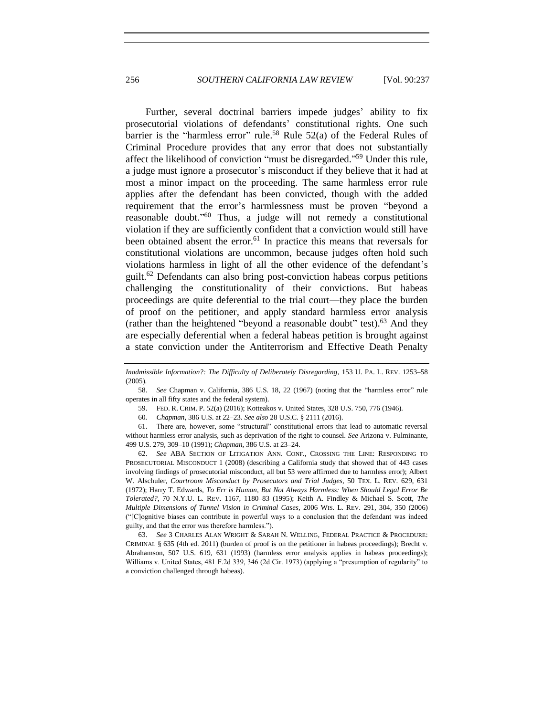Further, several doctrinal barriers impede judges' ability to fix prosecutorial violations of defendants' constitutional rights. One such barrier is the "harmless error" rule.<sup>58</sup> Rule  $52(a)$  of the Federal Rules of Criminal Procedure provides that any error that does not substantially affect the likelihood of conviction "must be disregarded." <sup>59</sup> Under this rule, a judge must ignore a prosecutor's misconduct if they believe that it had at most a minor impact on the proceeding. The same harmless error rule applies after the defendant has been convicted, though with the added requirement that the error's harmlessness must be proven "beyond a reasonable doubt."<sup>60</sup> Thus, a judge will not remedy a constitutional violation if they are sufficiently confident that a conviction would still have been obtained absent the error.<sup>61</sup> In practice this means that reversals for constitutional violations are uncommon, because judges often hold such violations harmless in light of all the other evidence of the defendant's guilt.<sup>62</sup> Defendants can also bring post-conviction habeas corpus petitions challenging the constitutionality of their convictions. But habeas proceedings are quite deferential to the trial court—they place the burden of proof on the petitioner, and apply standard harmless error analysis (rather than the heightened "beyond a reasonable doubt" test). $63$  And they are especially deferential when a federal habeas petition is brought against a state conviction under the Antiterrorism and Effective Death Penalty

62. *See* ABA SECTION OF LITIGATION ANN. CONF., CROSSING THE LINE: RESPONDING TO PROSECUTORIAL MISCONDUCT 1 (2008) (describing a California study that showed that of 443 cases involving findings of prosecutorial misconduct, all but 53 were affirmed due to harmless error); Albert W. Alschuler, *Courtroom Misconduct by Prosecutors and Trial Judges*, 50 TEX. L. REV. 629, 631 (1972); Harry T. Edwards, *To Err is Human, But Not Always Harmless: When Should Legal Error Be Tolerated?*, 70 N.Y.U. L. REV. 1167, 1180–83 (1995); Keith A. Findley & Michael S. Scott, *The Multiple Dimensions of Tunnel Vision in Criminal Cases*, 2006 WIS. L. REV. 291, 304, 350 (2006) ("[C]ognitive biases can contribute in powerful ways to a conclusion that the defendant was indeed guilty, and that the error was therefore harmless.").

63. *See* 3 CHARLES ALAN WRIGHT & SARAH N. WELLING, FEDERAL PRACTICE & PROCEDURE: CRIMINAL § 635 (4th ed. 2011) (burden of proof is on the petitioner in habeas proceedings); Brecht v. Abrahamson, 507 U.S. 619, 631 (1993) (harmless error analysis applies in habeas proceedings); Williams v. United States, 481 F.2d 339, 346 (2d Cir. 1973) (applying a "presumption of regularity" to a conviction challenged through habeas).

<span id="page-19-0"></span>*Inadmissible Information?: The Difficulty of Deliberately Disregarding*, 153 U. PA. L. REV. 1253–58 (2005).

<sup>58.</sup> *See* Chapman v. California, 386 U.S. 18, 22 (1967) (noting that the "harmless error" rule operates in all fifty states and the federal system).

<sup>59.</sup> FED. R. CRIM. P. 52(a) (2016); Kotteakos v. United States, 328 U.S. 750, 776 (1946).

<sup>60</sup>*. Chapman*, 386 U.S. at 22–23. *See also* 28 U.S.C. § 2111 (2016).

<sup>61.</sup> There are, however, some "structural" constitutional errors that lead to automatic reversal without harmless error analysis, such as deprivation of the right to counsel. *See* Arizona v. Fulminante, 499 U.S. 279, 309–10 (1991); *Chapman*, 386 U.S. at 23–24.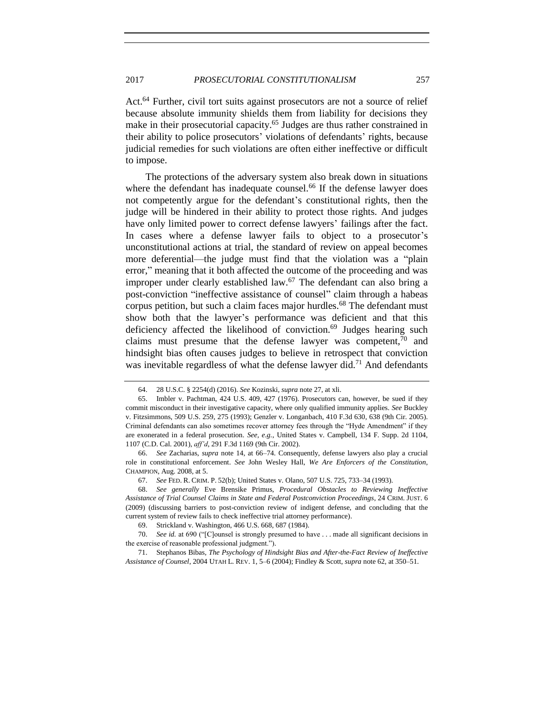Act.<sup>64</sup> Further, civil tort suits against prosecutors are not a source of relief because absolute immunity shields them from liability for decisions they make in their prosecutorial capacity.<sup>65</sup> Judges are thus rather constrained in their ability to police prosecutors' violations of defendants' rights, because judicial remedies for such violations are often either ineffective or difficult to impose.

The protections of the adversary system also break down in situations where the defendant has inadequate counsel.<sup>66</sup> If the defense lawyer does not competently argue for the defendant's constitutional rights, then the judge will be hindered in their ability to protect those rights. And judges have only limited power to correct defense lawyers' failings after the fact. In cases where a defense lawyer fails to object to a prosecutor's unconstitutional actions at trial, the standard of review on appeal becomes more deferential—the judge must find that the violation was a "plain error," meaning that it both affected the outcome of the proceeding and was improper under clearly established law.<sup>67</sup> The defendant can also bring a post-conviction "ineffective assistance of counsel" claim through a habeas corpus petition, but such a claim faces major hurdles.<sup>68</sup> The defendant must show both that the lawyer's performance was deficient and that this deficiency affected the likelihood of conviction. $69$  Judges hearing such claims must presume that the defense lawyer was competent,  $\frac{70}{10}$  and hindsight bias often causes judges to believe in retrospect that conviction was inevitable regardless of what the defense lawyer did.<sup>71</sup> And defendants

<sup>64.</sup> 28 U.S.C. § 2254(d) (2016). *See* Kozinski, *supra* not[e 27,](#page-11-1) at xli.

<sup>65.</sup> Imbler v. Pachtman, 424 U.S. 409, 427 (1976). Prosecutors can, however, be sued if they commit misconduct in their investigative capacity, where only qualified immunity applies. *See* Buckley v. Fitzsimmons, 509 U.S. 259, 275 (1993); Genzler v. Longanbach, 410 F.3d 630, 638 (9th Cir. 2005). Criminal defendants can also sometimes recover attorney fees through the "Hyde Amendment" if they are exonerated in a federal prosecution. *See, e.g.*, United States v. Campbell, 134 F. Supp. 2d 1104, 1107 (C.D. Cal. 2001), *aff'd*, 291 F.3d 1169 (9th Cir. 2002).

<sup>66.</sup> *See* Zacharias, *supra* note [14,](#page-8-1) at 66–74. Consequently, defense lawyers also play a crucial role in constitutional enforcement. *See* John Wesley Hall, *We Are Enforcers of the Constitution*, CHAMPION, Aug. 2008, at 5.

<sup>67.</sup> *See* FED. R. CRIM. P. 52(b); United States v. Olano, 507 U.S. 725, 733–34 (1993).

<sup>68.</sup> *See generally* Eve Brensike Primus, *Procedural Obstacles to Reviewing Ineffective Assistance of Trial Counsel Claims in State and Federal Postconviction Proceedings*, 24 CRIM. JUST. 6 (2009) (discussing barriers to post-conviction review of indigent defense, and concluding that the current system of review fails to check ineffective trial attorney performance).

<sup>69.</sup> Strickland v. Washington, 466 U.S. 668, 687 (1984).

<sup>70.</sup> *See id.* at 690 ("[C]ounsel is strongly presumed to have . . . made all significant decisions in the exercise of reasonable professional judgment.").

<sup>71.</sup> Stephanos Bibas, *The Psychology of Hindsight Bias and After-the-Fact Review of Ineffective Assistance of Counsel*, 2004 UTAH L. REV. 1, 5–6 (2004); Findley & Scott, *supra* not[e 62,](#page-19-0) at 350–51.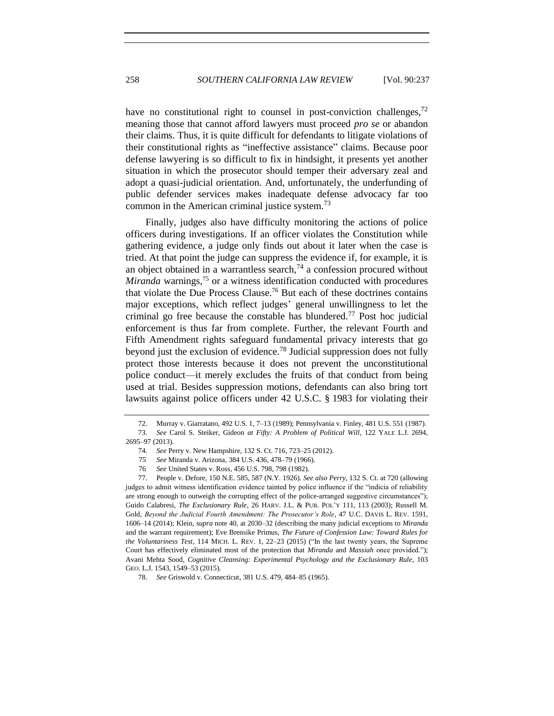have no constitutional right to counsel in post-conviction challenges,  $^{72}$ meaning those that cannot afford lawyers must proceed *pro se* or abandon their claims. Thus, it is quite difficult for defendants to litigate violations of their constitutional rights as "ineffective assistance" claims. Because poor defense lawyering is so difficult to fix in hindsight, it presents yet another situation in which the prosecutor should temper their adversary zeal and adopt a quasi-judicial orientation. And, unfortunately, the underfunding of public defender services makes inadequate defense advocacy far too common in the American criminal justice system.<sup>73</sup>

<span id="page-21-0"></span>Finally, judges also have difficulty monitoring the actions of police officers during investigations. If an officer violates the Constitution while gathering evidence, a judge only finds out about it later when the case is tried. At that point the judge can suppress the evidence if, for example, it is an object obtained in a warrantless search,  $^{74}$  a confession procured without *Miranda* warnings,<sup>75</sup> or a witness identification conducted with procedures that violate the Due Process Clause.<sup>76</sup> But each of these doctrines contains major exceptions, which reflect judges' general unwillingness to let the criminal go free because the constable has blundered.<sup>77</sup> Post hoc judicial enforcement is thus far from complete. Further, the relevant Fourth and Fifth Amendment rights safeguard fundamental privacy interests that go beyond just the exclusion of evidence.<sup>78</sup> Judicial suppression does not fully protect those interests because it does not prevent the unconstitutional police conduct—it merely excludes the fruits of that conduct from being used at trial. Besides suppression motions, defendants can also bring tort lawsuits against police officers under 42 U.S.C. § 1983 for violating their

<sup>72.</sup> Murray v. Giarratano, 492 U.S. 1, 7–13 (1989); Pennsylvania v. Finley, 481 U.S. 551 (1987). 73. *See* Carol S. Steiker, Gideon *at Fifty: A Problem of Political Will*, 122 YALE L.J. 2694, 2695–97 (2013).

<sup>74.</sup> *See* Perry v. New Hampshire, 132 S. Ct. 716, 723–25 (2012).

<sup>75</sup> *See* Miranda v. Arizona, 384 U.S. 436, 478–79 (1966).

<sup>76</sup> *See* United States v. Ross, 456 U.S. 798, 798 (1982).

<sup>77.</sup> People v. Defore, 150 N.E. 585, 587 (N.Y. 1926). *See also Perry*, 132 S. Ct. at 720 (allowing judges to admit witness identification evidence tainted by police influence if the "indicia of reliability are strong enough to outweigh the corrupting effect of the police-arranged suggestive circumstances"); Guido Calabresi, *The Exclusionary Rule*, 26 HARV. J.L. & PUB. POL'Y 111, 113 (2003); Russell M. Gold, *Beyond the Judicial Fourth Amendment: The Prosecutor's Role*, 47 U.C. DAVIS L. REV. 1591, 1606–14 (2014); Klein, *supra* not[e 40,](#page-14-0) at 2030–32 (describing the many judicial exceptions to *Miranda*  and the warrant requirement); Eve Brensike Primus, *The Future of Confession Law: Toward Rules for the Voluntariness Test*, 114 MICH. L. REV. 1, 22–23 (2015) ("In the last twenty years, the Supreme Court has effectively eliminated most of the protection that *Miranda* and *Massiah* once provided."); Avani Mehta Sood, *Cognitive Cleansing: Experimental Psychology and the Exclusionary Rule*, 103 GEO. L.J. 1543, 1549–53 (2015).

<sup>78.</sup> *See* Griswold v. Connecticut, 381 U.S. 479, 484–85 (1965).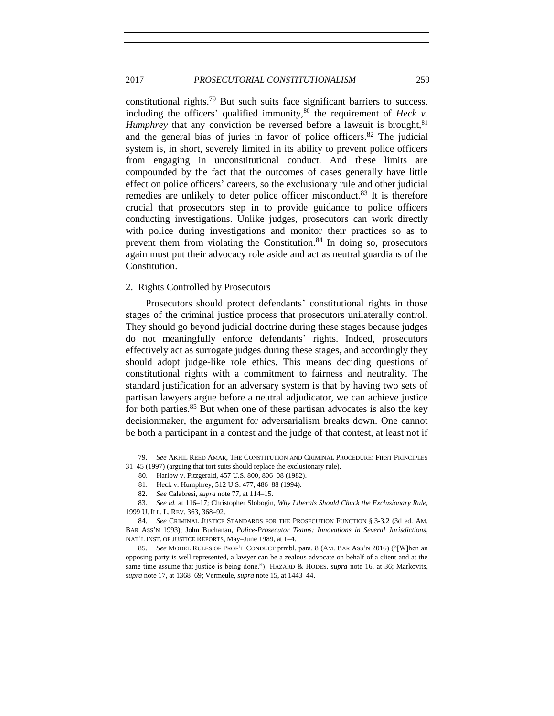## 2017 *PROSECUTORIAL CONSTITUTIONALISM* 259

constitutional rights.<sup>79</sup> But such suits face significant barriers to success, including the officers' qualified immunity,  $80$  the requirement of *Heck v*. *Humphrey* that any conviction be reversed before a lawsuit is brought,<sup>81</sup> and the general bias of juries in favor of police officers.<sup>82</sup> The judicial system is, in short, severely limited in its ability to prevent police officers from engaging in unconstitutional conduct. And these limits are compounded by the fact that the outcomes of cases generally have little effect on police officers' careers, so the exclusionary rule and other judicial remedies are unlikely to deter police officer misconduct.<sup>83</sup> It is therefore crucial that prosecutors step in to provide guidance to police officers conducting investigations. Unlike judges, prosecutors can work directly with police during investigations and monitor their practices so as to prevent them from violating the Constitution. $84$  In doing so, prosecutors again must put their advocacy role aside and act as neutral guardians of the Constitution.

#### 2. Rights Controlled by Prosecutors

Prosecutors should protect defendants' constitutional rights in those stages of the criminal justice process that prosecutors unilaterally control. They should go beyond judicial doctrine during these stages because judges do not meaningfully enforce defendants' rights. Indeed, prosecutors effectively act as surrogate judges during these stages, and accordingly they should adopt judge-like role ethics. This means deciding questions of constitutional rights with a commitment to fairness and neutrality. The standard justification for an adversary system is that by having two sets of partisan lawyers argue before a neutral adjudicator, we can achieve justice for both parties.<sup>85</sup> But when one of these partisan advocates is also the key decisionmaker, the argument for adversarialism breaks down. One cannot be both a participant in a contest and the judge of that contest, at least not if

<sup>79.</sup> *See* AKHIL REED AMAR, THE CONSTITUTION AND CRIMINAL PROCEDURE: FIRST PRINCIPLES 31–45 (1997) (arguing that tort suits should replace the exclusionary rule).

 <sup>80.</sup> Harlow v. Fitzgerald, 457 U.S. 800, 806–08 (1982).

 <sup>81.</sup> Heck v. Humphrey, 512 U.S. 477, 486–88 (1994).

<sup>82.</sup> *See* Calabresi, *supra* not[e 77,](#page-21-0) at 114–15.

<sup>83.</sup> *See id.* at 116–17; Christopher Slobogin, *Why Liberals Should Chuck the Exclusionary Rule*, 1999 U. ILL. L. REV. 363, 368–92.

<sup>84.</sup> *See* CRIMINAL JUSTICE STANDARDS FOR THE PROSECUTION FUNCTION § 3-3.2 (3d ed. AM. BAR ASS'N 1993); John Buchanan, *Police-Prosecutor Teams: Innovations in Several Jurisdictions*, NAT'L INST. OF JUSTICE REPORTS, May–June 1989, at 1–4.

<sup>85.</sup> *See* MODEL RULES OF PROF'L CONDUCT prmbl. para. 8 (AM. BAR ASS'N 2016) ("[W]hen an opposing party is well represented, a lawyer can be a zealous advocate on behalf of a client and at the same time assume that justice is being done."); HAZARD & HODES, *supra* note [16,](#page-8-2) at 36; Markovits, *supra* not[e 17,](#page-9-1) at 1368–69; Vermeule, *supra* not[e 15,](#page-8-3) at 1443–44.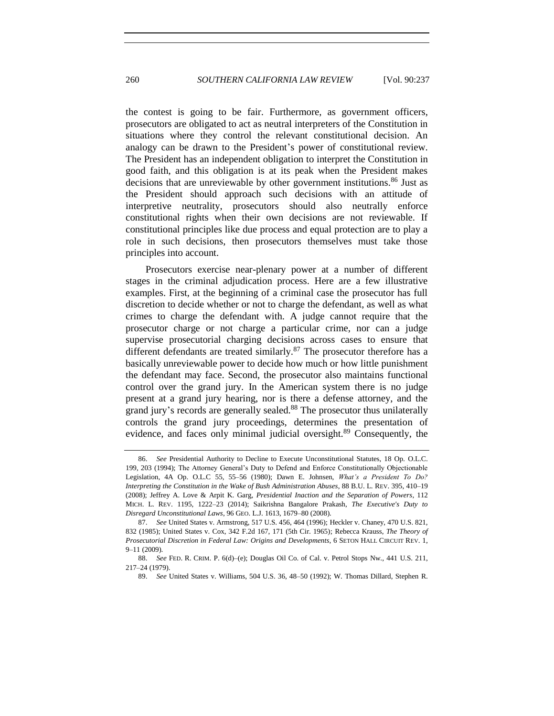the contest is going to be fair. Furthermore, as government officers, prosecutors are obligated to act as neutral interpreters of the Constitution in situations where they control the relevant constitutional decision. An analogy can be drawn to the President's power of constitutional review. The President has an independent obligation to interpret the Constitution in good faith, and this obligation is at its peak when the President makes decisions that are unreviewable by other government institutions.<sup>86</sup> Just as the President should approach such decisions with an attitude of interpretive neutrality, prosecutors should also neutrally enforce constitutional rights when their own decisions are not reviewable. If constitutional principles like due process and equal protection are to play a role in such decisions, then prosecutors themselves must take those principles into account.

Prosecutors exercise near-plenary power at a number of different stages in the criminal adjudication process. Here are a few illustrative examples. First, at the beginning of a criminal case the prosecutor has full discretion to decide whether or not to charge the defendant, as well as what crimes to charge the defendant with. A judge cannot require that the prosecutor charge or not charge a particular crime, nor can a judge supervise prosecutorial charging decisions across cases to ensure that different defendants are treated similarly.<sup>87</sup> The prosecutor therefore has a basically unreviewable power to decide how much or how little punishment the defendant may face. Second, the prosecutor also maintains functional control over the grand jury. In the American system there is no judge present at a grand jury hearing, nor is there a defense attorney, and the grand jury's records are generally sealed.<sup>88</sup> The prosecutor thus unilaterally controls the grand jury proceedings, determines the presentation of evidence, and faces only minimal judicial oversight.<sup>89</sup> Consequently, the

<span id="page-23-0"></span><sup>86.</sup> *See* Presidential Authority to Decline to Execute Unconstitutional Statutes, 18 Op. O.L.C. 199, 203 (1994); The Attorney General's Duty to Defend and Enforce Constitutionally Objectionable Legislation, 4A Op. O.L.C 55, 55–56 (1980); Dawn E. Johnsen, *What's a President To Do? Interpreting the Constitution in the Wake of Bush Administration Abuses*, 88 B.U. L. REV. 395, 410–19 (2008); Jeffrey A. Love & Arpit K. Garg, *Presidential Inaction and the Separation of Powers*, 112 MICH. L. REV. 1195, 1222–23 (2014); Saikrishna Bangalore Prakash, *The Executive's Duty to Disregard Unconstitutional Laws*, 96 GEO. L.J. 1613, 1679–80 (2008).

<sup>87.</sup> *See* United States v. Armstrong, 517 U.S. 456, 464 (1996); Heckler v. Chaney, 470 U.S. 821, 832 (1985); United States v. Cox, 342 F.2d 167, 171 (5th Cir. 1965); Rebecca Krauss, *The Theory of Prosecutorial Discretion in Federal Law: Origins and Developments*, 6 SETON HALL CIRCUIT REV. 1, 9–11 (2009).

<sup>88.</sup> *See* FED. R. CRIM. P. 6(d)–(e); Douglas Oil Co. of Cal. v. Petrol Stops Nw., 441 U.S. 211, 217–24 (1979).

<sup>89.</sup> *See* United States v. Williams, 504 U.S. 36, 48–50 (1992); W. Thomas Dillard, Stephen R.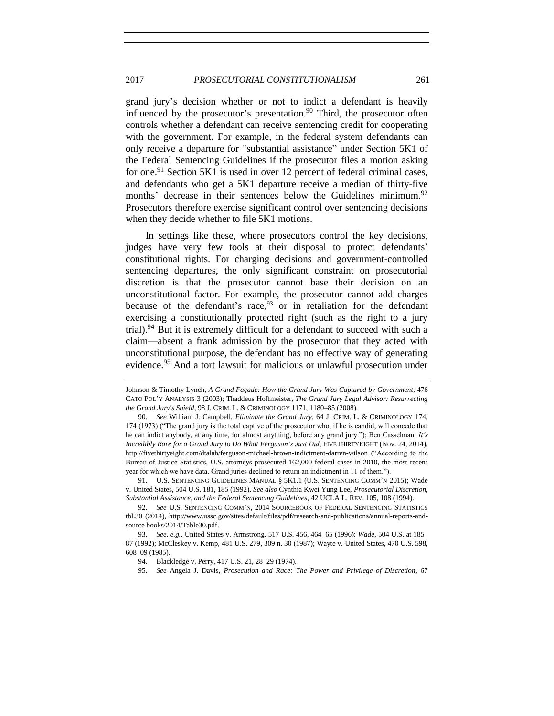<span id="page-24-0"></span>grand jury's decision whether or not to indict a defendant is heavily influenced by the prosecutor's presentation. $90$  Third, the prosecutor often controls whether a defendant can receive sentencing credit for cooperating with the government. For example, in the federal system defendants can only receive a departure for "substantial assistance" under Section 5K1 of the Federal Sentencing Guidelines if the prosecutor files a motion asking for one.<sup>91</sup> Section 5K1 is used in over 12 percent of federal criminal cases, and defendants who get a 5K1 departure receive a median of thirty-five months' decrease in their sentences below the Guidelines minimum.<sup>92</sup> Prosecutors therefore exercise significant control over sentencing decisions when they decide whether to file 5K1 motions.

In settings like these, where prosecutors control the key decisions, judges have very few tools at their disposal to protect defendants' constitutional rights. For charging decisions and government-controlled sentencing departures, the only significant constraint on prosecutorial discretion is that the prosecutor cannot base their decision on an unconstitutional factor. For example, the prosecutor cannot add charges because of the defendant's race,  $93$  or in retaliation for the defendant exercising a constitutionally protected right (such as the right to a jury trial).<sup>94</sup> But it is extremely difficult for a defendant to succeed with such a claim—absent a frank admission by the prosecutor that they acted with unconstitutional purpose, the defendant has no effective way of generating evidence.<sup>95</sup> And a tort lawsuit for malicious or unlawful prosecution under

91. U.S. SENTENCING GUIDELINES MANUAL § 5K1.1 (U.S. SENTENCING COMM'N 2015); Wade v. United States, 504 U.S. 181, 185 (1992). *See also* Cynthia Kwei Yung Lee, *Prosecutorial Discretion, Substantial Assistance, and the Federal Sentencing Guidelines*, 42 UCLA L. REV. 105, 108 (1994).

Johnson & Timothy Lynch, *A Grand Façade: How the Grand Jury Was Captured by Government*, 476 CATO POL'Y ANALYSIS 3 (2003); Thaddeus Hoffmeister, *The Grand Jury Legal Advisor: Resurrecting the Grand Jury's Shield*, 98 J. CRIM. L. & CRIMINOLOGY 1171, 1180–85 (2008).

<sup>90.</sup> *See* William J. Campbell, *Eliminate the Grand Jury*, 64 J. CRIM. L. & CRIMINOLOGY 174, 174 (1973) ("The grand jury is the total captive of the prosecutor who, if he is candid, will concede that he can indict anybody, at any time, for almost anything, before any grand jury."); Ben Casselman, *It's Incredibly Rare for a Grand Jury to Do What Ferguson's Just Did*, FIVETHIRTYEIGHT (Nov. 24, 2014), http://fivethirtyeight.com/dtalab/ferguson-michael-brown-indictment-darren-wilson ("According to the Bureau of Justice Statistics, U.S. attorneys prosecuted 162,000 federal cases in 2010, the most recent year for which we have data. Grand juries declined to return an indictment in 11 of them.").

<sup>92.</sup> *See* U.S. SENTENCING COMM'N, 2014 SOURCEBOOK OF FEDERAL SENTENCING STATISTICS tbl.30 (2014), http://www.ussc.gov/sites/default/files/pdf/research-and-publications/annual-reports-andsource books/2014/Table30.pdf.

<sup>93.</sup> *See, e.g.*, United States v. Armstrong, 517 U.S. 456, 464–65 (1996); *Wade*, 504 U.S. at 185– 87 (1992); McCleskey v. Kemp, 481 U.S. 279, 309 n. 30 (1987); Wayte v. United States, 470 U.S. 598, 608–09 (1985).

<sup>94.</sup> Blackledge v. Perry, 417 U.S. 21, 28–29 (1974).

<sup>95.</sup> *See* Angela J. Davis, *Prosecution and Race: The Power and Privilege of Discretion*, 67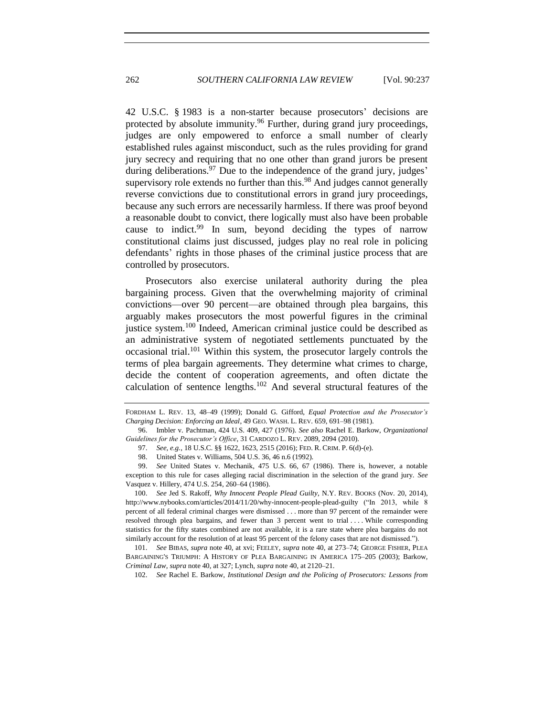<span id="page-25-1"></span>42 U.S.C. § 1983 is a non-starter because prosecutors' decisions are protected by absolute immunity.<sup>96</sup> Further, during grand jury proceedings, judges are only empowered to enforce a small number of clearly established rules against misconduct, such as the rules providing for grand jury secrecy and requiring that no one other than grand jurors be present during deliberations.  $97$  Due to the independence of the grand jury, judges' supervisory role extends no further than this. $98$  And judges cannot generally reverse convictions due to constitutional errors in grand jury proceedings, because any such errors are necessarily harmless. If there was proof beyond a reasonable doubt to convict, there logically must also have been probable cause to indict.<sup>99</sup> In sum, beyond deciding the types of narrow constitutional claims just discussed, judges play no real role in policing defendants' rights in those phases of the criminal justice process that are controlled by prosecutors.

<span id="page-25-2"></span>Prosecutors also exercise unilateral authority during the plea bargaining process. Given that the overwhelming majority of criminal convictions—over 90 percent—are obtained through plea bargains, this arguably makes prosecutors the most powerful figures in the criminal justice system.<sup>100</sup> Indeed, American criminal justice could be described as an administrative system of negotiated settlements punctuated by the occasional trial.<sup>101</sup> Within this system, the prosecutor largely controls the terms of plea bargain agreements. They determine what crimes to charge, decide the content of cooperation agreements, and often dictate the calculation of sentence lengths.<sup>102</sup> And several structural features of the

100. *See* Jed S. Rakoff, *Why Innocent People Plead Guilty*, N.Y. REV. BOOKS (Nov. 20, 2014), http://www.nybooks.com/articles/2014/11/20/why-innocent-people-plead-guilty ("In 2013, while 8 percent of all federal criminal charges were dismissed . . . more than 97 percent of the remainder were resolved through plea bargains, and fewer than 3 percent went to trial . . . . While corresponding statistics for the fifty states combined are not available, it is a rare state where plea bargains do not similarly account for the resolution of at least 95 percent of the felony cases that are not dismissed.").

101. *See* BIBAS, *supra* note [40,](#page-14-0) at xvi; FEELEY, *supra* note [40,](#page-14-0) at 273–74; GEORGE FISHER, PLEA BARGAINING'S TRIUMPH: A HISTORY OF PLEA BARGAINING IN AMERICA 175–205 (2003); Barkow, *Criminal Law*, *supra* not[e 40,](#page-14-0) at 327; Lynch, *supra* not[e 40,](#page-14-0) at 2120–21.

102. *See* Rachel E. Barkow, *Institutional Design and the Policing of Prosecutors: Lessons from* 

<span id="page-25-0"></span>FORDHAM L. REV. 13, 48–49 (1999); Donald G. Gifford, *Equal Protection and the Prosecutor's Charging Decision: Enforcing an Ideal*, 49 GEO. WASH. L. REV. 659, 691–98 (1981).

<sup>96.</sup> Imbler v. Pachtman, 424 U.S. 409, 427 (1976). *See also* Rachel E. Barkow, *Organizational Guidelines for the Prosecutor's Office*, 31 CARDOZO L. REV. 2089, 2094 (2010).

<sup>97.</sup> *See, e.g.*, 18 U.S.C. §§ 1622, 1623, 2515 (2016); FED. R. CRIM. P. 6(d)-(e).

<sup>98.</sup> United States v. Williams, 504 U.S. 36, 46 n.6 (1992).

<sup>99.</sup> *See* United States v. Mechanik, 475 U.S. 66, 67 (1986). There is, however, a notable exception to this rule for cases alleging racial discrimination in the selection of the grand jury. *See*  Vasquez v. Hillery, 474 U.S. 254, 260–64 (1986).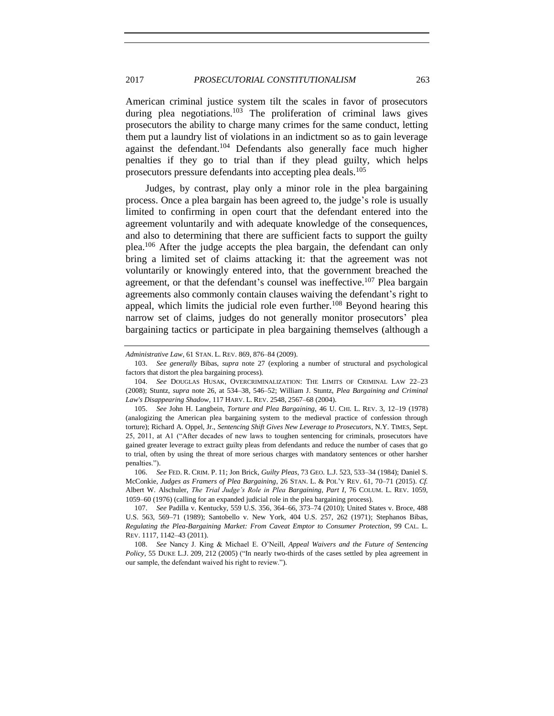American criminal justice system tilt the scales in favor of prosecutors during plea negotiations.<sup>103</sup> The proliferation of criminal laws gives prosecutors the ability to charge many crimes for the same conduct, letting them put a laundry list of violations in an indictment so as to gain leverage against the defendant.<sup>104</sup> Defendants also generally face much higher penalties if they go to trial than if they plead guilty, which helps prosecutors pressure defendants into accepting plea deals.<sup>105</sup>

<span id="page-26-0"></span>Judges, by contrast, play only a minor role in the plea bargaining process. Once a plea bargain has been agreed to, the judge's role is usually limited to confirming in open court that the defendant entered into the agreement voluntarily and with adequate knowledge of the consequences, and also to determining that there are sufficient facts to support the guilty plea.<sup>106</sup> After the judge accepts the plea bargain, the defendant can only bring a limited set of claims attacking it: that the agreement was not voluntarily or knowingly entered into, that the government breached the agreement, or that the defendant's counsel was ineffective.<sup>107</sup> Plea bargain agreements also commonly contain clauses waiving the defendant's right to appeal, which limits the judicial role even further.<sup>108</sup> Beyond hearing this narrow set of claims, judges do not generally monitor prosecutors' plea bargaining tactics or participate in plea bargaining themselves (although a

106. *See* FED. R. CRIM. P. 11; Jon Brick, *Guilty Pleas*, 73 GEO. L.J. 523, 533–34 (1984); Daniel S. McConkie, *Judges as Framers of Plea Bargaining*, 26 STAN. L. & POL'Y REV. 61, 70–71 (2015). *Cf.* Albert W. Alschuler, *The Trial Judge's Role in Plea Bargaining, Part I*, 76 COLUM. L. REV. 1059, 1059–60 (1976) (calling for an expanded judicial role in the plea bargaining process).

<span id="page-26-1"></span>*Administrative Law*, 61 STAN. L. REV. 869, 876–84 (2009).

<sup>103.</sup> *See generally* Bibas, *supra* note [27](#page-11-1) (exploring a number of structural and psychological factors that distort the plea bargaining process).

<sup>104.</sup> *See* DOUGLAS HUSAK, OVERCRIMINALIZATION: THE LIMITS OF CRIMINAL LAW 22–23 (2008); Stuntz, *supra* note [26,](#page-11-0) at 534–38, 546–52; William J. Stuntz, *Plea Bargaining and Criminal Law's Disappearing Shadow*, 117 HARV. L. REV. 2548, 2567–68 (2004).

<sup>105.</sup> *See* John H. Langbein, *Torture and Plea Bargaining*, 46 U. CHI. L. REV. 3, 12–19 (1978) (analogizing the American plea bargaining system to the medieval practice of confession through torture); Richard A. Oppel, Jr., *Sentencing Shift Gives New Leverage to Prosecutors*, N.Y. TIMES, Sept. 25, 2011, at A1 ("After decades of new laws to toughen sentencing for criminals, prosecutors have gained greater leverage to extract guilty pleas from defendants and reduce the number of cases that go to trial, often by using the threat of more serious charges with mandatory sentences or other harsher penalties.").

<sup>107.</sup> *See* Padilla v. Kentucky, 559 U.S. 356, 364–66, 373–74 (2010); United States v. Broce, 488 U.S. 563, 569–71 (1989); Santobello v. New York, 404 U.S. 257, 262 (1971); Stephanos Bibas, *Regulating the Plea-Bargaining Market: From Caveat Emptor to Consumer Protection*, 99 CAL. L. REV. 1117, 1142–43 (2011).

<sup>108.</sup> *See* Nancy J. King & Michael E. O'Neill, *Appeal Waivers and the Future of Sentencing Policy*, 55 DUKE L.J. 209, 212 (2005) ("In nearly two-thirds of the cases settled by plea agreement in our sample, the defendant waived his right to review.").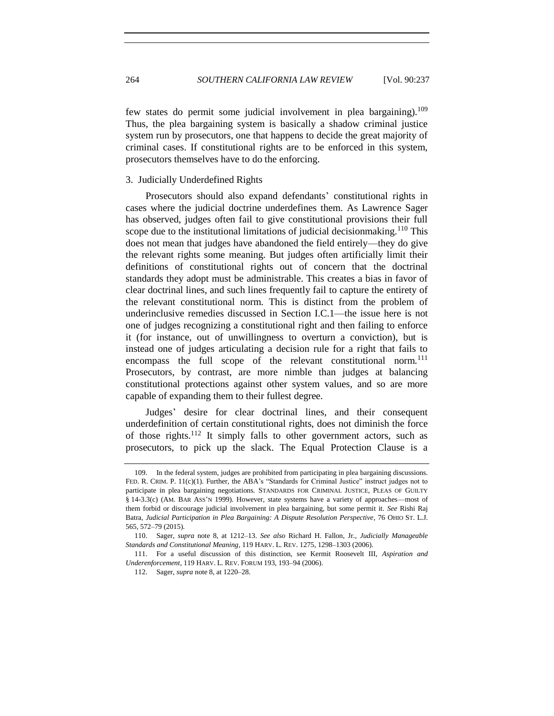few states do permit some judicial involvement in plea bargaining).<sup>109</sup> Thus, the plea bargaining system is basically a shadow criminal justice system run by prosecutors, one that happens to decide the great majority of criminal cases. If constitutional rights are to be enforced in this system, prosecutors themselves have to do the enforcing.

#### 3. Judicially Underdefined Rights

Prosecutors should also expand defendants' constitutional rights in cases where the judicial doctrine underdefines them. As Lawrence Sager has observed, judges often fail to give constitutional provisions their full scope due to the institutional limitations of judicial decision making.<sup>110</sup> This does not mean that judges have abandoned the field entirely—they do give the relevant rights some meaning. But judges often artificially limit their definitions of constitutional rights out of concern that the doctrinal standards they adopt must be administrable. This creates a bias in favor of clear doctrinal lines, and such lines frequently fail to capture the entirety of the relevant constitutional norm. This is distinct from the problem of underinclusive remedies discussed in Section I.C.1—the issue here is not one of judges recognizing a constitutional right and then failing to enforce it (for instance, out of unwillingness to overturn a conviction), but is instead one of judges articulating a decision rule for a right that fails to encompass the full scope of the relevant constitutional norm.<sup>111</sup> Prosecutors, by contrast, are more nimble than judges at balancing constitutional protections against other system values, and so are more capable of expanding them to their fullest degree.

Judges' desire for clear doctrinal lines, and their consequent underdefinition of certain constitutional rights, does not diminish the force of those rights.<sup>112</sup> It simply falls to other government actors, such as prosecutors, to pick up the slack. The Equal Protection Clause is a

<sup>109.</sup> In the federal system, judges are prohibited from participating in plea bargaining discussions. FED. R. CRIM. P. 11(c)(1). Further, the ABA's "Standards for Criminal Justice" instruct judges not to participate in plea bargaining negotiations. STANDARDS FOR CRIMINAL JUSTICE, PLEAS OF GUILTY § 14-3.3(c) (AM. BAR ASS'N 1999). However, state systems have a variety of approaches—most of them forbid or discourage judicial involvement in plea bargaining, but some permit it. *See* Rishi Raj Batra, *Judicial Participation in Plea Bargaining: A Dispute Resolution Perspective*, 76 OHIO ST. L.J. 565, 572–79 (2015).

<sup>110.</sup> Sager, *supra* note [8,](#page-5-0) at 1212–13. *See also* Richard H. Fallon, Jr., *Judicially Manageable Standards and Constitutional Meaning*, 119 HARV. L. REV. 1275, 1298–1303 (2006).

<sup>111.</sup> For a useful discussion of this distinction, see Kermit Roosevelt III, *Aspiration and Underenforcement*, 119 HARV. L. REV. FORUM 193, 193–94 (2006).

<sup>112.</sup> Sager, *supra* not[e 8,](#page-5-0) at 1220–28.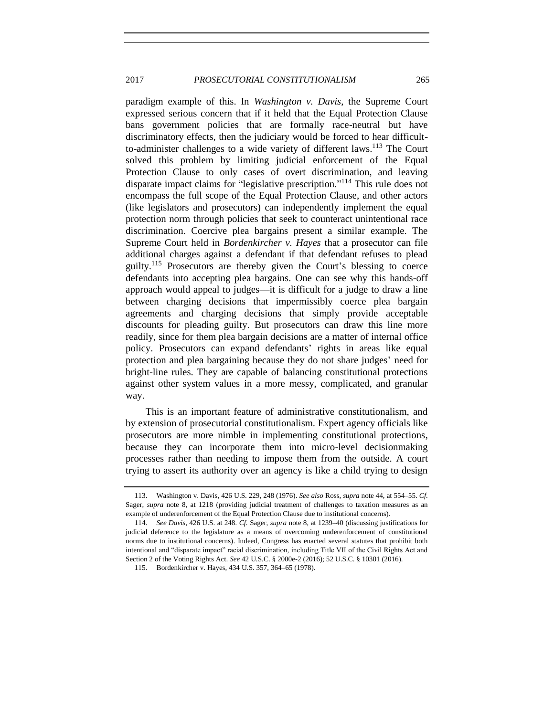paradigm example of this. In *Washington v. Davis*, the Supreme Court expressed serious concern that if it held that the Equal Protection Clause bans government policies that are formally race-neutral but have discriminatory effects, then the judiciary would be forced to hear difficultto-administer challenges to a wide variety of different laws.<sup>113</sup> The Court solved this problem by limiting judicial enforcement of the Equal Protection Clause to only cases of overt discrimination, and leaving disparate impact claims for "legislative prescription." <sup>114</sup> This rule does not encompass the full scope of the Equal Protection Clause, and other actors (like legislators and prosecutors) can independently implement the equal protection norm through policies that seek to counteract unintentional race discrimination. Coercive plea bargains present a similar example. The Supreme Court held in *Bordenkircher v. Hayes* that a prosecutor can file additional charges against a defendant if that defendant refuses to plead guilty.<sup>115</sup> Prosecutors are thereby given the Court's blessing to coerce defendants into accepting plea bargains. One can see why this hands-off approach would appeal to judges—it is difficult for a judge to draw a line between charging decisions that impermissibly coerce plea bargain agreements and charging decisions that simply provide acceptable discounts for pleading guilty. But prosecutors can draw this line more readily, since for them plea bargain decisions are a matter of internal office policy. Prosecutors can expand defendants' rights in areas like equal protection and plea bargaining because they do not share judges' need for bright-line rules. They are capable of balancing constitutional protections against other system values in a more messy, complicated, and granular way.

This is an important feature of administrative constitutionalism, and by extension of prosecutorial constitutionalism. Expert agency officials like prosecutors are more nimble in implementing constitutional protections, because they can incorporate them into micro-level decisionmaking processes rather than needing to impose them from the outside. A court trying to assert its authority over an agency is like a child trying to design

<sup>113.</sup> Washington v. Davis, 426 U.S. 229, 248 (1976). *See also* Ross, *supra* not[e 44,](#page-15-1) at 554–55. *Cf.*  Sager, *supra* note [8,](#page-5-0) at 1218 (providing judicial treatment of challenges to taxation measures as an example of underenforcement of the Equal Protection Clause due to institutional concerns).

<sup>114.</sup> *See Davis*, 426 U.S. at 248*. Cf.* Sager, *supra* not[e 8,](#page-5-0) at 1239–40 (discussing justifications for judicial deference to the legislature as a means of overcoming underenforcement of constitutional norms due to institutional concerns). Indeed, Congress has enacted several statutes that prohibit both intentional and "disparate impact" racial discrimination, including Title VII of the Civil Rights Act and Section 2 of the Voting Rights Act. *See* 42 U.S.C. § 2000e-2 (2016); 52 U.S.C. § 10301 (2016).

<sup>115.</sup> Bordenkircher v. Hayes, 434 U.S. 357, 364–65 (1978).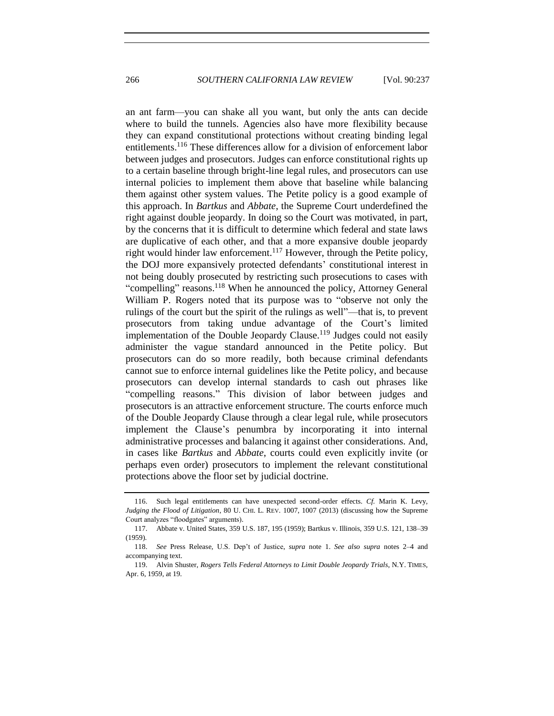an ant farm—you can shake all you want, but only the ants can decide where to build the tunnels. Agencies also have more flexibility because they can expand constitutional protections without creating binding legal entitlements. <sup>116</sup> These differences allow for a division of enforcement labor between judges and prosecutors. Judges can enforce constitutional rights up to a certain baseline through bright-line legal rules, and prosecutors can use internal policies to implement them above that baseline while balancing them against other system values. The Petite policy is a good example of this approach. In *Bartkus* and *Abbate*, the Supreme Court underdefined the right against double jeopardy. In doing so the Court was motivated, in part, by the concerns that it is difficult to determine which federal and state laws are duplicative of each other, and that a more expansive double jeopardy right would hinder law enforcement.<sup>117</sup> However, through the Petite policy, the DOJ more expansively protected defendants' constitutional interest in not being doubly prosecuted by restricting such prosecutions to cases with "compelling" reasons.<sup>118</sup> When he announced the policy, Attorney General William P. Rogers noted that its purpose was to "observe not only the rulings of the court but the spirit of the rulings as well"—that is, to prevent prosecutors from taking undue advantage of the Court's limited implementation of the Double Jeopardy Clause.<sup>119</sup> Judges could not easily administer the vague standard announced in the Petite policy. But prosecutors can do so more readily, both because criminal defendants cannot sue to enforce internal guidelines like the Petite policy, and because prosecutors can develop internal standards to cash out phrases like "compelling reasons." This division of labor between judges and prosecutors is an attractive enforcement structure. The courts enforce much of the Double Jeopardy Clause through a clear legal rule, while prosecutors implement the Clause's penumbra by incorporating it into internal administrative processes and balancing it against other considerations. And, in cases like *Bartkus* and *Abbate*, courts could even explicitly invite (or perhaps even order) prosecutors to implement the relevant constitutional protections above the floor set by judicial doctrine.

<sup>116.</sup> Such legal entitlements can have unexpected second-order effects. *Cf.* Marin K. Levy, *Judging the Flood of Litigation*, 80 U. CHI. L. REV. 1007, 1007 (2013) (discussing how the Supreme Court analyzes "floodgates" arguments).

<sup>117.</sup> Abbate v. United States, 359 U.S. 187, 195 (1959); Bartkus v. Illinois, 359 U.S. 121, 138–39 (1959).

<sup>118.</sup> *See* Press Release, U.S. Dep't of Justice, *supra* note [1.](#page-2-0) *See also supra* notes [2–](#page-2-2)[4](#page-2-1) and accompanying text.

<sup>119.</sup> Alvin Shuster, *Rogers Tells Federal Attorneys to Limit Double Jeopardy Trials*, N.Y. TIMES, Apr. 6, 1959, at 19.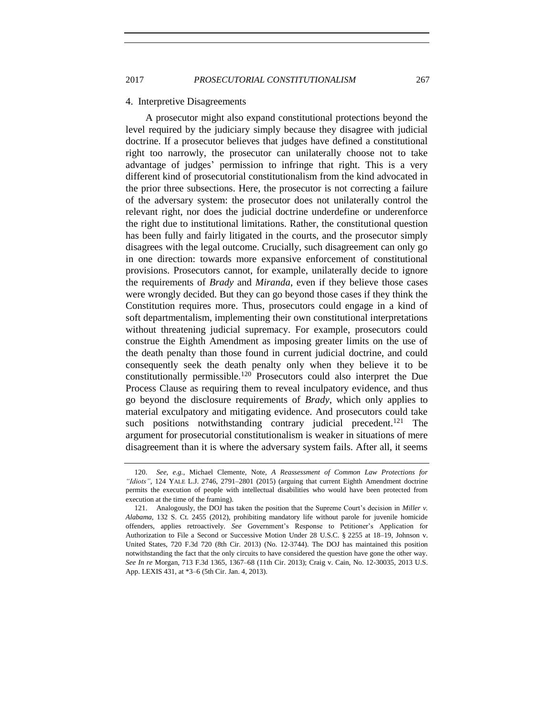#### 4. Interpretive Disagreements

A prosecutor might also expand constitutional protections beyond the level required by the judiciary simply because they disagree with judicial doctrine. If a prosecutor believes that judges have defined a constitutional right too narrowly, the prosecutor can unilaterally choose not to take advantage of judges' permission to infringe that right. This is a very different kind of prosecutorial constitutionalism from the kind advocated in the prior three subsections. Here, the prosecutor is not correcting a failure of the adversary system: the prosecutor does not unilaterally control the relevant right, nor does the judicial doctrine underdefine or underenforce the right due to institutional limitations. Rather, the constitutional question has been fully and fairly litigated in the courts, and the prosecutor simply disagrees with the legal outcome. Crucially, such disagreement can only go in one direction: towards more expansive enforcement of constitutional provisions. Prosecutors cannot, for example, unilaterally decide to ignore the requirements of *Brady* and *Miranda*, even if they believe those cases were wrongly decided. But they can go beyond those cases if they think the Constitution requires more. Thus, prosecutors could engage in a kind of soft departmentalism, implementing their own constitutional interpretations without threatening judicial supremacy. For example, prosecutors could construe the Eighth Amendment as imposing greater limits on the use of the death penalty than those found in current judicial doctrine, and could consequently seek the death penalty only when they believe it to be constitutionally permissible.<sup>120</sup> Prosecutors could also interpret the Due Process Clause as requiring them to reveal inculpatory evidence, and thus go beyond the disclosure requirements of *Brady*, which only applies to material exculpatory and mitigating evidence. And prosecutors could take such positions notwithstanding contrary judicial precedent.<sup>121</sup> The argument for prosecutorial constitutionalism is weaker in situations of mere disagreement than it is where the adversary system fails. After all, it seems

<sup>120.</sup> *See, e.g.*, Michael Clemente, Note, *A Reassessment of Common Law Protections for "Idiots"*, 124 YALE L.J. 2746, 2791–2801 (2015) (arguing that current Eighth Amendment doctrine permits the execution of people with intellectual disabilities who would have been protected from execution at the time of the framing).

<sup>121.</sup> Analogously, the DOJ has taken the position that the Supreme Court's decision in *Miller v. Alabama*, 132 S. Ct. 2455 (2012), prohibiting mandatory life without parole for juvenile homicide offenders, applies retroactively. *See* Government's Response to Petitioner's Application for Authorization to File a Second or Successive Motion Under 28 U.S.C. § 2255 at 18–19, Johnson v. United States, 720 F.3d 720 (8th Cir. 2013) (No. 12-3744). The DOJ has maintained this position notwithstanding the fact that the only circuits to have considered the question have gone the other way. *See In re* Morgan, 713 F.3d 1365, 1367–68 (11th Cir. 2013); Craig v. Cain, No. 12-30035, 2013 U.S. App. LEXIS 431, at \*3–6 (5th Cir. Jan. 4, 2013).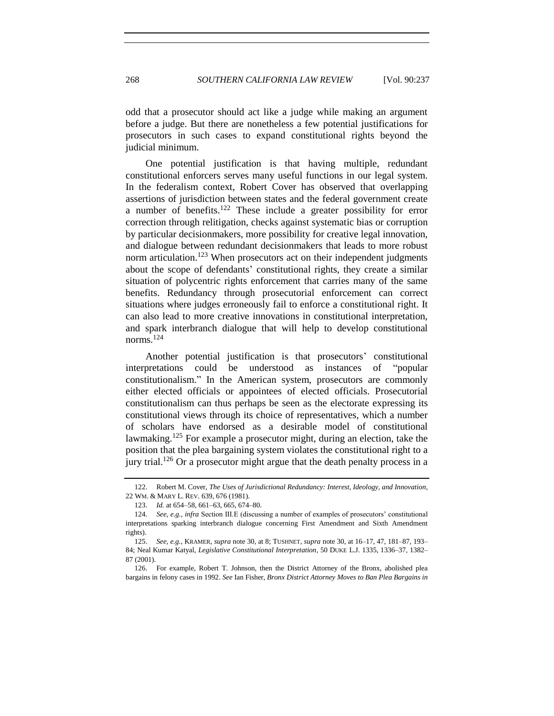odd that a prosecutor should act like a judge while making an argument before a judge. But there are nonetheless a few potential justifications for prosecutors in such cases to expand constitutional rights beyond the judicial minimum.

One potential justification is that having multiple, redundant constitutional enforcers serves many useful functions in our legal system. In the federalism context, Robert Cover has observed that overlapping assertions of jurisdiction between states and the federal government create a number of benefits.<sup>122</sup> These include a greater possibility for error correction through relitigation, checks against systematic bias or corruption by particular decisionmakers, more possibility for creative legal innovation, and dialogue between redundant decisionmakers that leads to more robust norm articulation.<sup>123</sup> When prosecutors act on their independent judgments about the scope of defendants' constitutional rights, they create a similar situation of polycentric rights enforcement that carries many of the same benefits. Redundancy through prosecutorial enforcement can correct situations where judges erroneously fail to enforce a constitutional right. It can also lead to more creative innovations in constitutional interpretation, and spark interbranch dialogue that will help to develop constitutional norms. $^{124}$ 

Another potential justification is that prosecutors' constitutional interpretations could be understood as instances of "popular constitutionalism." In the American system, prosecutors are commonly either elected officials or appointees of elected officials. Prosecutorial constitutionalism can thus perhaps be seen as the electorate expressing its constitutional views through its choice of representatives, which a number of scholars have endorsed as a desirable model of constitutional lawmaking.<sup>125</sup> For example a prosecutor might, during an election, take the position that the plea bargaining system violates the constitutional right to a jury trial.<sup>126</sup> Or a prosecutor might argue that the death penalty process in a

<span id="page-31-0"></span><sup>122.</sup> Robert M. Cover, *The Uses of Jurisdictional Redundancy: Interest, Ideology, and Innovation*, 22 WM. & MARY L. REV. 639, 676 (1981).

<sup>123.</sup> *Id.* at 654–58, 661–63, 665, 674–80.

<sup>124.</sup> *See, e.g.*, *infra* Section III.E (discussing a number of examples of prosecutors' constitutional interpretations sparking interbranch dialogue concerning First Amendment and Sixth Amendment rights).

<sup>125.</sup> *See, e.g.*, KRAMER, *supra* not[e 30,](#page-12-0) at 8; TUSHNET, *supra* not[e 30,](#page-12-0) at 16–17, 47, 181–87, 193– 84; Neal Kumar Katyal, *Legislative Constitutional Interpretation*, 50 DUKE L.J. 1335, 1336–37, 1382– 87 (2001).

<sup>126.</sup> For example, Robert T. Johnson, then the District Attorney of the Bronx, abolished plea bargains in felony cases in 1992. *See* Ian Fisher, *Bronx District Attorney Moves to Ban Plea Bargains in*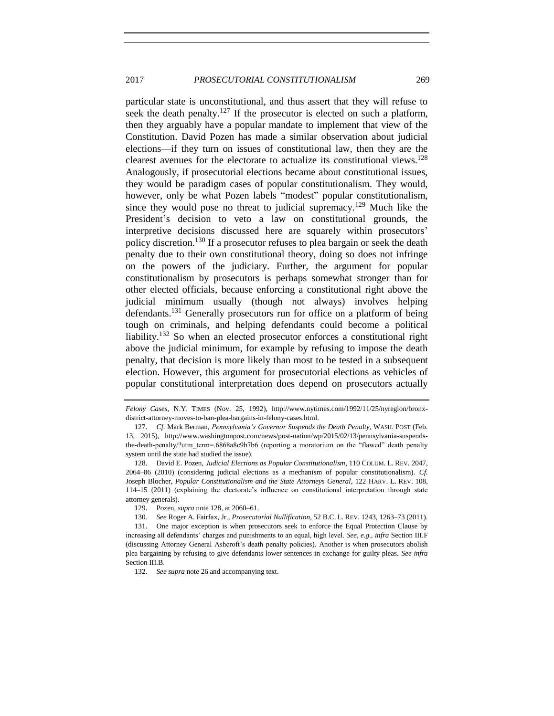<span id="page-32-0"></span>particular state is unconstitutional, and thus assert that they will refuse to seek the death penalty.<sup>127</sup> If the prosecutor is elected on such a platform, then they arguably have a popular mandate to implement that view of the Constitution. David Pozen has made a similar observation about judicial elections—if they turn on issues of constitutional law, then they are the clearest avenues for the electorate to actualize its constitutional views.<sup>128</sup> Analogously, if prosecutorial elections became about constitutional issues, they would be paradigm cases of popular constitutionalism. They would, however, only be what Pozen labels "modest" popular constitutionalism, since they would pose no threat to judicial supremacy.<sup>129</sup> Much like the President's decision to veto a law on constitutional grounds, the interpretive decisions discussed here are squarely within prosecutors' policy discretion.<sup>130</sup> If a prosecutor refuses to plea bargain or seek the death penalty due to their own constitutional theory, doing so does not infringe on the powers of the judiciary. Further, the argument for popular constitutionalism by prosecutors is perhaps somewhat stronger than for other elected officials, because enforcing a constitutional right above the judicial minimum usually (though not always) involves helping defendants.<sup>131</sup> Generally prosecutors run for office on a platform of being tough on criminals, and helping defendants could become a political liability.<sup>132</sup> So when an elected prosecutor enforces a constitutional right above the judicial minimum, for example by refusing to impose the death penalty, that decision is more likely than most to be tested in a subsequent election. However, this argument for prosecutorial elections as vehicles of popular constitutional interpretation does depend on prosecutors actually

*Felony Cases*, N.Y. TIMES (Nov. 25, 1992), http://www.nytimes.com/1992/11/25/nyregion/bronxdistrict-attorney-moves-to-ban-plea-bargains-in-felony-cases.html.

<sup>127.</sup> *Cf.* Mark Berman, *Pennsylvania's Governor Suspends the Death Penalty*, WASH. POST (Feb. 13, 2015), http://www.washingtonpost.com/news/post-nation/wp/2015/02/13/pennsylvania-suspendsthe-death-penalty/?utm\_term=.6868a8c9b7b6 (reporting a moratorium on the "flawed" death penalty system until the state had studied the issue).

<sup>128.</sup> David E. Pozen, *Judicial Elections as Popular Constitutionalism*, 110 COLUM. L. REV. 2047, 2064–86 (2010) (considering judicial elections as a mechanism of popular constitutionalism). *Cf.*  Joseph Blocher, *Popular Constitutionalism and the State Attorneys General*, 122 HARV. L. REV. 108, 114–15 (2011) (explaining the electorate's influence on constitutional interpretation through state attorney generals).

<sup>129.</sup> Pozen, *supra* not[e 128,](#page-32-0) at 2060–61.

<sup>130.</sup> *See* Roger A. Fairfax, Jr., *Prosecutorial Nullification*, 52 B.C. L. REV. 1243, 1263–73 (2011).

<sup>131.</sup> One major exception is when prosecutors seek to enforce the Equal Protection Clause by increasing all defendants' charges and punishments to an equal, high level. *See, e.g.*, *infra* Section III.F (discussing Attorney General Ashcroft's death penalty policies). Another is when prosecutors abolish plea bargaining by refusing to give defendants lower sentences in exchange for guilty pleas. *See infra*  Section III.B.

<sup>132.</sup> *See supra* not[e 26](#page-11-0) and accompanying text.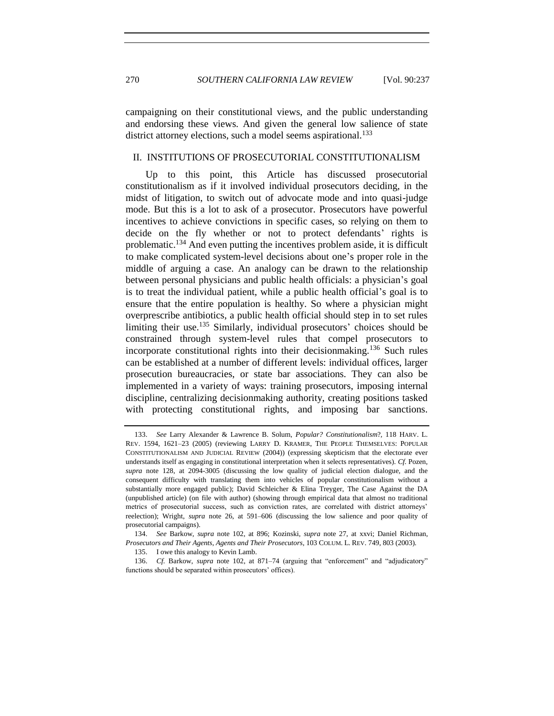270 *SOUTHERN CALIFORNIA LAW REVIEW* [Vol. 90:237

campaigning on their constitutional views, and the public understanding and endorsing these views. And given the general low salience of state district attorney elections, such a model seems aspirational.<sup>133</sup>

#### II. INSTITUTIONS OF PROSECUTORIAL CONSTITUTIONALISM

<span id="page-33-0"></span>Up to this point, this Article has discussed prosecutorial constitutionalism as if it involved individual prosecutors deciding, in the midst of litigation, to switch out of advocate mode and into quasi-judge mode. But this is a lot to ask of a prosecutor. Prosecutors have powerful incentives to achieve convictions in specific cases, so relying on them to decide on the fly whether or not to protect defendants' rights is problematic.<sup>134</sup> And even putting the incentives problem aside, it is difficult to make complicated system-level decisions about one's proper role in the middle of arguing a case. An analogy can be drawn to the relationship between personal physicians and public health officials: a physician's goal is to treat the individual patient, while a public health official's goal is to ensure that the entire population is healthy. So where a physician might overprescribe antibiotics, a public health official should step in to set rules limiting their use.<sup>135</sup> Similarly, individual prosecutors' choices should be constrained through system-level rules that compel prosecutors to incorporate constitutional rights into their decision making.<sup>136</sup> Such rules can be established at a number of different levels: individual offices, larger prosecution bureaucracies, or state bar associations. They can also be implemented in a variety of ways: training prosecutors, imposing internal discipline, centralizing decisionmaking authority, creating positions tasked with protecting constitutional rights, and imposing bar sanctions.

<sup>133.</sup> *See* Larry Alexander & Lawrence B. Solum, *Popular? Constitutionalism*?, 118 HARV. L. REV. 1594, 1621–23 (2005) (reviewing LARRY D. KRAMER, THE PEOPLE THEMSELVES: POPULAR CONSTITUTIONALISM AND JUDICIAL REVIEW (2004)) (expressing skepticism that the electorate ever understands itself as engaging in constitutional interpretation when it selects representatives). *Cf.* Pozen, *supra* note [128,](#page-32-0) at 2094-3005 (discussing the low quality of judicial election dialogue, and the consequent difficulty with translating them into vehicles of popular constitutionalism without a substantially more engaged public); David Schleicher & Elina Treyger, The Case Against the DA (unpublished article) (on file with author) (showing through empirical data that almost no traditional metrics of prosecutorial success, such as conviction rates, are correlated with district attorneys' reelection); Wright, *supra* note [26,](#page-11-0) at 591–606 (discussing the low salience and poor quality of prosecutorial campaigns).

<sup>134.</sup> *See* Barkow, *supra* note [102,](#page-25-0) at 896; Kozinski, *supra* note [27,](#page-11-1) at xxvi; Daniel Richman, *Prosecutors and Their Agents, Agents and Their Prosecutors*, 103 COLUM. L. REV. 749, 803 (2003).

<sup>135.</sup> I owe this analogy to Kevin Lamb.

<sup>136.</sup> *Cf.* Barkow, *supra* note [102,](#page-25-0) at 871–74 (arguing that "enforcement" and "adjudicatory" functions should be separated within prosecutors' offices).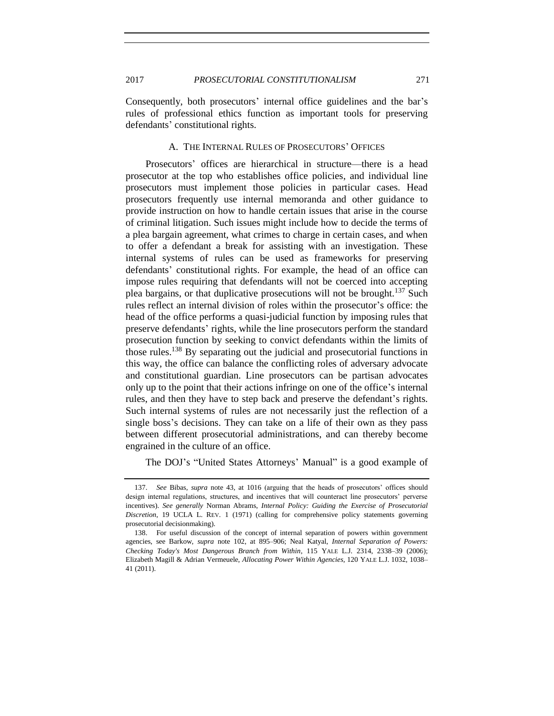Consequently, both prosecutors' internal office guidelines and the bar's rules of professional ethics function as important tools for preserving defendants' constitutional rights.

## A. THE INTERNAL RULES OF PROSECUTORS' OFFICES

Prosecutors' offices are hierarchical in structure—there is a head prosecutor at the top who establishes office policies, and individual line prosecutors must implement those policies in particular cases. Head prosecutors frequently use internal memoranda and other guidance to provide instruction on how to handle certain issues that arise in the course of criminal litigation. Such issues might include how to decide the terms of a plea bargain agreement, what crimes to charge in certain cases, and when to offer a defendant a break for assisting with an investigation. These internal systems of rules can be used as frameworks for preserving defendants' constitutional rights. For example, the head of an office can impose rules requiring that defendants will not be coerced into accepting plea bargains, or that duplicative prosecutions will not be brought.<sup>137</sup> Such rules reflect an internal division of roles within the prosecutor's office: the head of the office performs a quasi-judicial function by imposing rules that preserve defendants' rights, while the line prosecutors perform the standard prosecution function by seeking to convict defendants within the limits of those rules.<sup>138</sup> By separating out the judicial and prosecutorial functions in this way, the office can balance the conflicting roles of adversary advocate and constitutional guardian. Line prosecutors can be partisan advocates only up to the point that their actions infringe on one of the office's internal rules, and then they have to step back and preserve the defendant's rights. Such internal systems of rules are not necessarily just the reflection of a single boss's decisions. They can take on a life of their own as they pass between different prosecutorial administrations, and can thereby become engrained in the culture of an office.

<span id="page-34-0"></span>The DOJ's "United States Attorneys' Manual" is a good example of

<sup>137.</sup> *See* Bibas, *supra* note [43,](#page-15-2) at 1016 (arguing that the heads of prosecutors' offices should design internal regulations, structures, and incentives that will counteract line prosecutors' perverse incentives). *See generally* Norman Abrams, *Internal Policy: Guiding the Exercise of Prosecutorial Discretion*, 19 UCLA L. REV. 1 (1971) (calling for comprehensive policy statements governing prosecutorial decisionmaking).

<sup>138.</sup> For useful discussion of the concept of internal separation of powers within government agencies, see Barkow, *supra* note [102,](#page-25-0) at 895–906; Neal Katyal, *Internal Separation of Powers: Checking Today's Most Dangerous Branch from Within*, 115 YALE L.J. 2314, 2338–39 (2006); Elizabeth Magill & Adrian Vermeuele, *Allocating Power Within Agencies*, 120 YALE L.J. 1032, 1038– 41 (2011).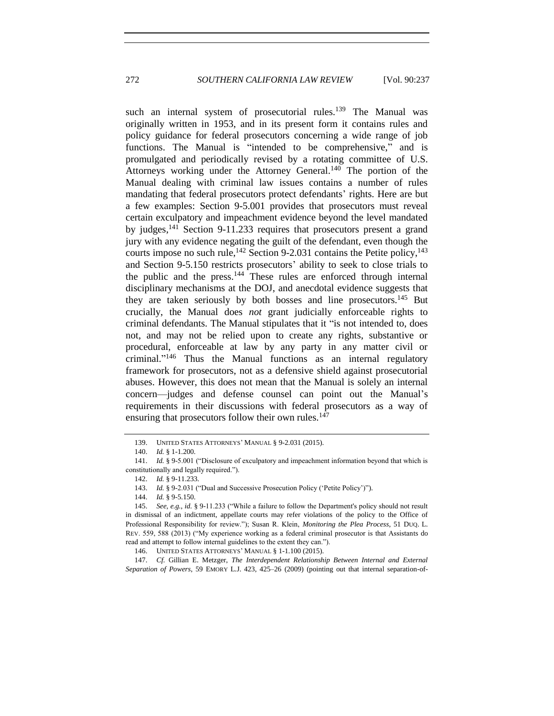such an internal system of prosecutorial rules.<sup>139</sup> The Manual was originally written in 1953, and in its present form it contains rules and policy guidance for federal prosecutors concerning a wide range of job functions. The Manual is "intended to be comprehensive," and is promulgated and periodically revised by a rotating committee of U.S. Attorneys working under the Attorney General.<sup>140</sup> The portion of the Manual dealing with criminal law issues contains a number of rules mandating that federal prosecutors protect defendants' rights. Here are but a few examples: Section 9-5.001 provides that prosecutors must reveal certain exculpatory and impeachment evidence beyond the level mandated by judges,<sup>141</sup> Section 9-11.233 requires that prosecutors present a grand jury with any evidence negating the guilt of the defendant, even though the courts impose no such rule,  $^{142}$  Section 9-2.031 contains the Petite policy,  $^{143}$ and Section 9-5.150 restricts prosecutors' ability to seek to close trials to the public and the press.<sup>144</sup> These rules are enforced through internal disciplinary mechanisms at the DOJ, and anecdotal evidence suggests that they are taken seriously by both bosses and line prosecutors.<sup>145</sup> But crucially, the Manual does *not* grant judicially enforceable rights to criminal defendants. The Manual stipulates that it "is not intended to, does not, and may not be relied upon to create any rights, substantive or procedural, enforceable at law by any party in any matter civil or criminal." <sup>146</sup> Thus the Manual functions as an internal regulatory framework for prosecutors, not as a defensive shield against prosecutorial abuses. However, this does not mean that the Manual is solely an internal concern—judges and defense counsel can point out the Manual's requirements in their discussions with federal prosecutors as a way of ensuring that prosecutors follow their own rules.<sup>147</sup>

147. *Cf.* Gillian E. Metzger, *The Interdependent Relationship Between Internal and External Separation of Powers*, 59 EMORY L.J. 423, 425–26 (2009) (pointing out that internal separation-of-

<span id="page-35-0"></span><sup>139.</sup> UNITED STATES ATTORNEYS' MANUAL § 9-2.031 (2015).

<sup>140.</sup> *Id.* § 1-1.200.

<sup>141.</sup> *Id.* § 9-5.001 ("Disclosure of exculpatory and impeachment information beyond that which is constitutionally and legally required.").

<sup>142.</sup> *Id.* § 9-11.233.

<sup>143.</sup> *Id.* § 9-2.031 ("Dual and Successive Prosecution Policy ('Petite Policy')").

<sup>144.</sup> *Id.* § 9-5.150.

<sup>145.</sup> *See, e.g.*, *id.* § 9-11.233 ("While a failure to follow the Department's policy should not result in dismissal of an indictment, appellate courts may refer violations of the policy to the Office of Professional Responsibility for review."); Susan R. Klein, *Monitoring the Plea Process*, 51 DUQ. L. REV. 559, 588 (2013) ("My experience working as a federal criminal prosecutor is that Assistants do read and attempt to follow internal guidelines to the extent they can.").

<sup>146.</sup> UNITED STATES ATTORNEYS' MANUAL § 1-1.100 (2015).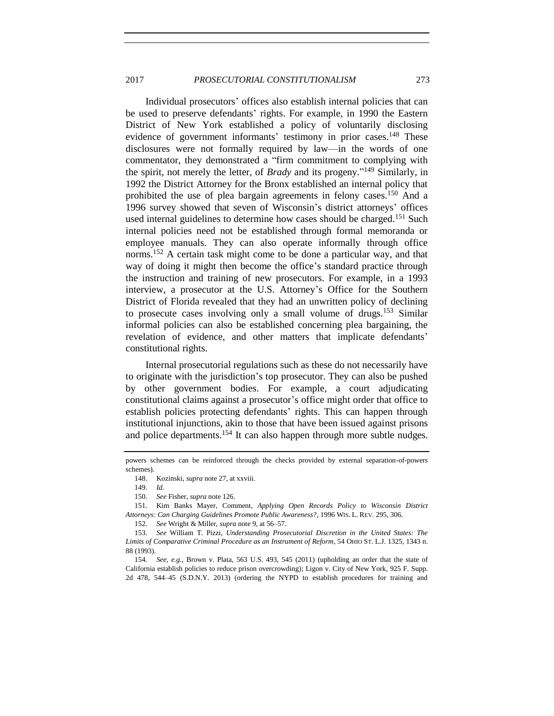#### 2017 *PROSECUTORIAL CONSTITUTIONALISM* 273

Individual prosecutors' offices also establish internal policies that can be used to preserve defendants' rights. For example, in 1990 the Eastern District of New York established a policy of voluntarily disclosing evidence of government informants' testimony in prior cases.<sup>148</sup> These disclosures were not formally required by law—in the words of one commentator, they demonstrated a "firm commitment to complying with the spirit, not merely the letter, of *Brady* and its progeny." <sup>149</sup> Similarly, in 1992 the District Attorney for the Bronx established an internal policy that prohibited the use of plea bargain agreements in felony cases.<sup>150</sup> And a 1996 survey showed that seven of Wisconsin's district attorneys' offices used internal guidelines to determine how cases should be charged.<sup>151</sup> Such internal policies need not be established through formal memoranda or employee manuals. They can also operate informally through office norms.<sup>152</sup> A certain task might come to be done a particular way, and that way of doing it might then become the office's standard practice through the instruction and training of new prosecutors. For example, in a 1993 interview, a prosecutor at the U.S. Attorney's Office for the Southern District of Florida revealed that they had an unwritten policy of declining to prosecute cases involving only a small volume of drugs.<sup>153</sup> Similar informal policies can also be established concerning plea bargaining, the revelation of evidence, and other matters that implicate defendants' constitutional rights.

Internal prosecutorial regulations such as these do not necessarily have to originate with the jurisdiction's top prosecutor. They can also be pushed by other government bodies. For example, a court adjudicating constitutional claims against a prosecutor's office might order that office to establish policies protecting defendants' rights. This can happen through institutional injunctions, akin to those that have been issued against prisons and police departments.<sup>154</sup> It can also happen through more subtle nudges.

149. *Id.*

152. *See* Wright & Miller, *supra* not[e 9,](#page-6-0) at 56–57.

powers schemes can be reinforced through the checks provided by external separation-of-powers schemes).

<sup>148.</sup> Kozinski, *supra* not[e 27,](#page-11-1) at xxviii.

<sup>150.</sup> *See* Fisher, *supra* not[e 126.](#page-31-0)

<sup>151.</sup> Kim Banks Mayer, Comment, *Applying Open Records Policy to Wisconsin District Attorneys: Can Charging Guidelines Promote Public Awareness?*, 1996 WIS. L. REV. 295, 306.

<sup>153.</sup> *See* William T. Pizzi, *Understanding Prosecutorial Discretion in the United States: The Limits of Comparative Criminal Procedure as an Instrument of Reform*, 54 OHIO ST. L.J. 1325, 1343 n. 88 (1993).

<sup>154.</sup> *See, e.g.*, Brown v. Plata, 563 U.S. 493, 545 (2011) (upholding an order that the state of California establish policies to reduce prison overcrowding); Ligon v. City of New York, 925 F. Supp. 2d 478, 544–45 (S.D.N.Y. 2013) (ordering the NYPD to establish procedures for training and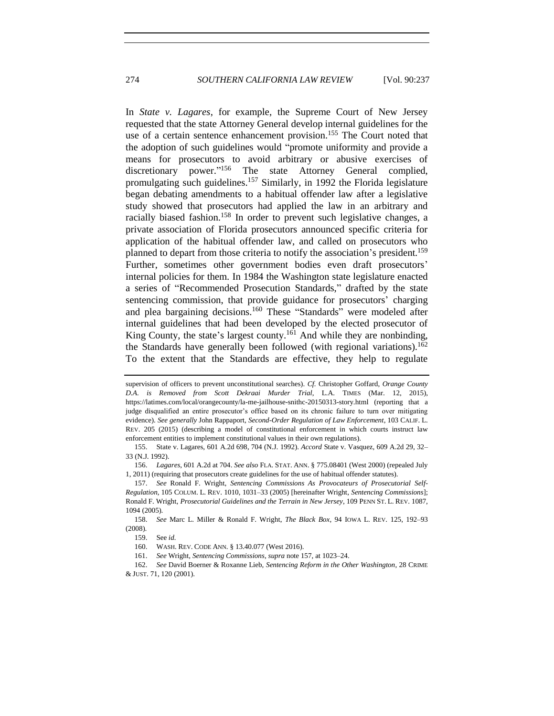<span id="page-37-1"></span><span id="page-37-0"></span>In *State v. Lagares*, for example, the Supreme Court of New Jersey requested that the state Attorney General develop internal guidelines for the use of a certain sentence enhancement provision.<sup>155</sup> The Court noted that the adoption of such guidelines would "promote uniformity and provide a means for prosecutors to avoid arbitrary or abusive exercises of discretionary power." <sup>156</sup> The state Attorney General complied, promulgating such guidelines.<sup>157</sup> Similarly, in 1992 the Florida legislature began debating amendments to a habitual offender law after a legislative study showed that prosecutors had applied the law in an arbitrary and racially biased fashion.<sup>158</sup> In order to prevent such legislative changes, a private association of Florida prosecutors announced specific criteria for application of the habitual offender law, and called on prosecutors who planned to depart from those criteria to notify the association's president.<sup>159</sup> Further, sometimes other government bodies even draft prosecutors' internal policies for them. In 1984 the Washington state legislature enacted a series of "Recommended Prosecution Standards," drafted by the state sentencing commission, that provide guidance for prosecutors' charging and plea bargaining decisions.<sup>160</sup> These "Standards" were modeled after internal guidelines that had been developed by the elected prosecutor of King County, the state's largest county.<sup>161</sup> And while they are nonbinding, the Standards have generally been followed (with regional variations).<sup>162</sup> To the extent that the Standards are effective, they help to regulate

supervision of officers to prevent unconstitutional searches). *Cf.* Christopher Goffard, *Orange County D.A. is Removed from Scott Dekraai Murder Trial*, L.A. TIMES (Mar. 12, 2015), https://latimes.com/local/orangecounty/la-me-jailhouse-snithc-20150313-story.html (reporting that a judge disqualified an entire prosecutor's office based on its chronic failure to turn over mitigating evidence). *See generally* John Rappaport, *Second-Order Regulation of Law Enforcement*, 103 CALIF. L. REV. 205 (2015) (describing a model of constitutional enforcement in which courts instruct law enforcement entities to implement constitutional values in their own regulations).

<sup>155.</sup> State v. Lagares, 601 A.2d 698, 704 (N.J. 1992). *Accord* State v. Vasquez, 609 A.2d 29, 32– 33 (N.J. 1992).

<sup>156.</sup> *Lagares*, 601 A.2d at 704. *See also* FLA. STAT. ANN. § 775.08401 (West 2000) (repealed July 1, 2011) (requiring that prosecutors create guidelines for the use of habitual offender statutes).

<sup>157.</sup> *See* Ronald F. Wright, *Sentencing Commissions As Provocateurs of Prosecutorial Self-Regulation*, 105 COLUM. L. REV. 1010, 1031–33 (2005) [hereinafter Wright, *Sentencing Commissions*]; Ronald F. Wright, *Prosecutorial Guidelines and the Terrain in New Jersey*, 109 PENN ST. L. REV. 1087, 1094 (2005).

<sup>158.</sup> *See* Marc L. Miller & Ronald F. Wright, *The Black Box*, 94 IOWA L. REV. 125, 192–93 (2008).

<sup>159.</sup> See *id.*

<sup>160.</sup> WASH. REV. CODE ANN. § 13.40.077 (West 2016).

<sup>161.</sup> *See* Wright, *Sentencing Commissions*, *supra* not[e 157,](#page-37-0) at 1023–24.

<sup>162.</sup> *See* David Boerner & Roxanne Lieb, *Sentencing Reform in the Other Washington*, 28 CRIME & JUST. 71, 120 (2001).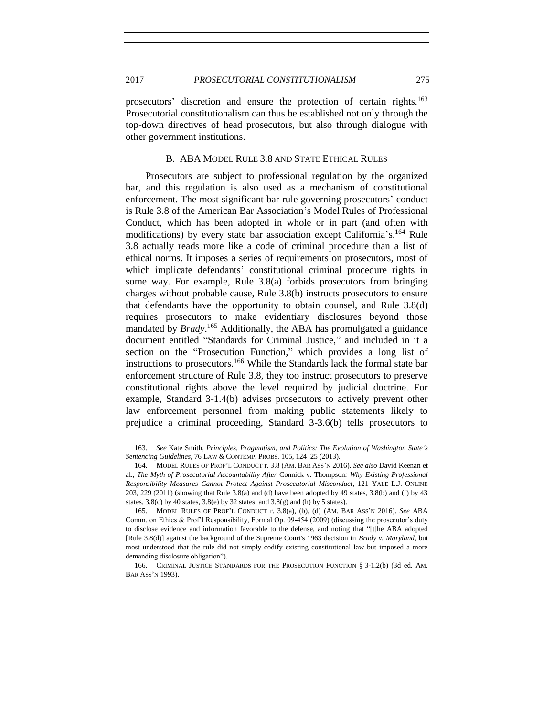prosecutors' discretion and ensure the protection of certain rights.<sup>163</sup> Prosecutorial constitutionalism can thus be established not only through the top-down directives of head prosecutors, but also through dialogue with other government institutions.

#### B. ABA MODEL RULE 3.8 AND STATE ETHICAL RULES

Prosecutors are subject to professional regulation by the organized bar, and this regulation is also used as a mechanism of constitutional enforcement. The most significant bar rule governing prosecutors' conduct is Rule 3.8 of the American Bar Association's Model Rules of Professional Conduct, which has been adopted in whole or in part (and often with modifications) by every state bar association except California's.<sup>164</sup> Rule 3.8 actually reads more like a code of criminal procedure than a list of ethical norms. It imposes a series of requirements on prosecutors, most of which implicate defendants' constitutional criminal procedure rights in some way. For example, Rule 3.8(a) forbids prosecutors from bringing charges without probable cause, Rule 3.8(b) instructs prosecutors to ensure that defendants have the opportunity to obtain counsel, and Rule 3.8(d) requires prosecutors to make evidentiary disclosures beyond those mandated by *Brady*. <sup>165</sup> Additionally, the ABA has promulgated a guidance document entitled "Standards for Criminal Justice," and included in it a section on the "Prosecution Function," which provides a long list of instructions to prosecutors.<sup>166</sup> While the Standards lack the formal state bar enforcement structure of Rule 3.8, they too instruct prosecutors to preserve constitutional rights above the level required by judicial doctrine. For example, Standard 3-1.4(b) advises prosecutors to actively prevent other law enforcement personnel from making public statements likely to prejudice a criminal proceeding, Standard 3-3.6(b) tells prosecutors to

<span id="page-38-0"></span>

<sup>163.</sup> *See* Kate Smith, *Principles, Pragmatism, and Politics: The Evolution of Washington State's Sentencing Guidelines*, 76 LAW & CONTEMP. PROBS. 105, 124–25 (2013).

<sup>164.</sup> MODEL RULES OF PROF'L CONDUCT r. 3.8 (AM. BAR ASS'N 2016). *See also* David Keenan et al., *The Myth of Prosecutorial Accountability After* Connick v. Thompson*: Why Existing Professional Responsibility Measures Cannot Protect Against Prosecutorial Misconduct*, 121 YALE L.J. ONLINE 203, 229 (2011) (showing that Rule 3.8(a) and (d) have been adopted by 49 states, 3.8(b) and (f) by 43 states,  $3.8(c)$  by 40 states,  $3.8(e)$  by 32 states, and  $3.8(g)$  and (h) by 5 states).

<sup>165.</sup> MODEL RULES OF PROF'L CONDUCT r. 3.8(a), (b), (d) (AM. BAR ASS'N 2016). *See* ABA Comm. on Ethics & Prof'l Responsibility, Formal Op. 09-454 (2009) (discussing the prosecutor's duty to disclose evidence and information favorable to the defense, and noting that "[t]he ABA adopted [Rule 3.8(d)] against the background of the Supreme Court's 1963 decision in *Brady v. Maryland*, but most understood that the rule did not simply codify existing constitutional law but imposed a more demanding disclosure obligation").

<sup>166.</sup> CRIMINAL JUSTICE STANDARDS FOR THE PROSECUTION FUNCTION § 3-1.2(b) (3d ed. AM. BAR ASS'N 1993).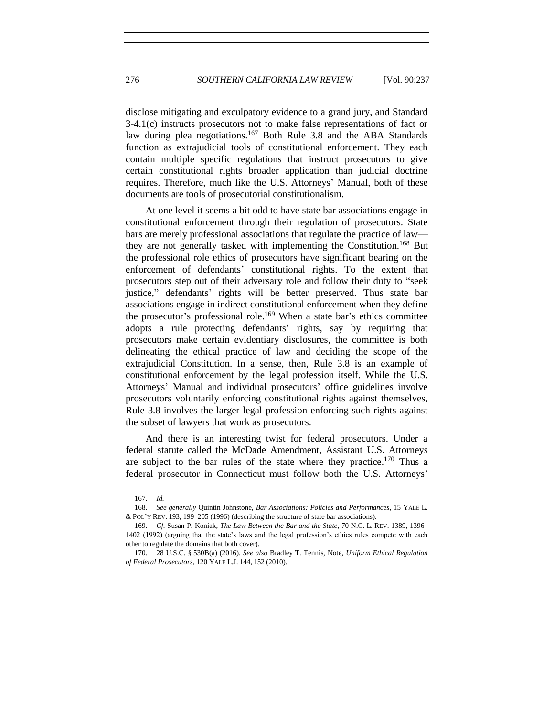disclose mitigating and exculpatory evidence to a grand jury, and Standard 3-4.1(c) instructs prosecutors not to make false representations of fact or law during plea negotiations.<sup>167</sup> Both Rule 3.8 and the ABA Standards function as extrajudicial tools of constitutional enforcement. They each contain multiple specific regulations that instruct prosecutors to give certain constitutional rights broader application than judicial doctrine requires. Therefore, much like the U.S. Attorneys' Manual, both of these documents are tools of prosecutorial constitutionalism.

<span id="page-39-1"></span>At one level it seems a bit odd to have state bar associations engage in constitutional enforcement through their regulation of prosecutors. State bars are merely professional associations that regulate the practice of law they are not generally tasked with implementing the Constitution.<sup>168</sup> But the professional role ethics of prosecutors have significant bearing on the enforcement of defendants' constitutional rights. To the extent that prosecutors step out of their adversary role and follow their duty to "seek justice," defendants' rights will be better preserved. Thus state bar associations engage in indirect constitutional enforcement when they define the prosecutor's professional role.<sup>169</sup> When a state bar's ethics committee adopts a rule protecting defendants' rights, say by requiring that prosecutors make certain evidentiary disclosures, the committee is both delineating the ethical practice of law and deciding the scope of the extrajudicial Constitution. In a sense, then, Rule 3.8 is an example of constitutional enforcement by the legal profession itself. While the U.S. Attorneys' Manual and individual prosecutors' office guidelines involve prosecutors voluntarily enforcing constitutional rights against themselves, Rule 3.8 involves the larger legal profession enforcing such rights against the subset of lawyers that work as prosecutors.

And there is an interesting twist for federal prosecutors. Under a federal statute called the McDade Amendment, Assistant U.S. Attorneys are subject to the bar rules of the state where they practice.<sup>170</sup> Thus a federal prosecutor in Connecticut must follow both the U.S. Attorneys'

<span id="page-39-0"></span><sup>167.</sup> *Id.*

<sup>168.</sup> *See generally* Quintin Johnstone, *Bar Associations: Policies and Performances*, 15 YALE L. & POL'Y REV. 193, 199–205 (1996) (describing the structure of state bar associations).

<sup>169.</sup> *Cf.* Susan P. Koniak, *The Law Between the Bar and the State*, 70 N.C. L. REV. 1389, 1396– 1402 (1992) (arguing that the state's laws and the legal profession's ethics rules compete with each other to regulate the domains that both cover).

<sup>170.</sup> 28 U.S.C. § 530B(a) (2016). *See also* Bradley T. Tennis, Note, *Uniform Ethical Regulation of Federal Prosecutors*, 120 YALE L.J. 144, 152 (2010).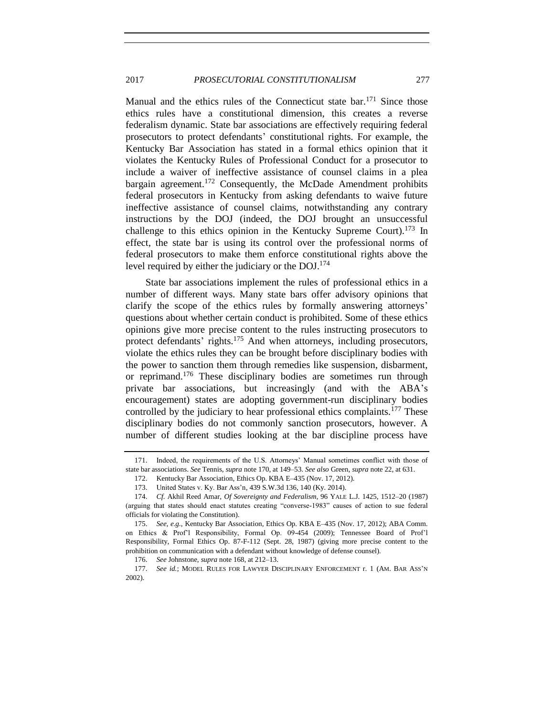<span id="page-40-0"></span>Manual and the ethics rules of the Connecticut state bar.<sup>171</sup> Since those ethics rules have a constitutional dimension, this creates a reverse federalism dynamic. State bar associations are effectively requiring federal prosecutors to protect defendants' constitutional rights. For example, the Kentucky Bar Association has stated in a formal ethics opinion that it violates the Kentucky Rules of Professional Conduct for a prosecutor to include a waiver of ineffective assistance of counsel claims in a plea bargain agreement.<sup>172</sup> Consequently, the McDade Amendment prohibits federal prosecutors in Kentucky from asking defendants to waive future ineffective assistance of counsel claims, notwithstanding any contrary instructions by the DOJ (indeed, the DOJ brought an unsuccessful challenge to this ethics opinion in the Kentucky Supreme Court).<sup>173</sup> In effect, the state bar is using its control over the professional norms of federal prosecutors to make them enforce constitutional rights above the level required by either the judiciary or the DOJ. 174

State bar associations implement the rules of professional ethics in a number of different ways. Many state bars offer advisory opinions that clarify the scope of the ethics rules by formally answering attorneys' questions about whether certain conduct is prohibited. Some of these ethics opinions give more precise content to the rules instructing prosecutors to protect defendants' rights.<sup>175</sup> And when attorneys, including prosecutors, violate the ethics rules they can be brought before disciplinary bodies with the power to sanction them through remedies like suspension, disbarment, or reprimand.<sup>176</sup> These disciplinary bodies are sometimes run through private bar associations, but increasingly (and with the ABA's encouragement) states are adopting government-run disciplinary bodies controlled by the judiciary to hear professional ethics complaints.<sup>177</sup> These disciplinary bodies do not commonly sanction prosecutors, however. A number of different studies looking at the bar discipline process have

<sup>171.</sup> Indeed, the requirements of the U.S. Attorneys' Manual sometimes conflict with those of state bar associations. *See* Tennis, *supra* note [170,](#page-39-0) at 149–53. *See also* Green, *supra* not[e 22,](#page-10-0) at 631.

<sup>172.</sup> Kentucky Bar Association, Ethics Op. KBA E–435 (Nov. 17, 2012).

<sup>173.</sup> United States v. Ky. Bar Ass'n, 439 S.W.3d 136, 140 (Ky. 2014).

<sup>174.</sup> *Cf.* Akhil Reed Amar, *Of Sovereignty and Federalism*, 96 YALE L.J. 1425, 1512–20 (1987) (arguing that states should enact statutes creating "converse-1983" causes of action to sue federal officials for violating the Constitution).

<sup>175.</sup> *See, e.g.*, Kentucky Bar Association, Ethics Op. KBA E–435 (Nov. 17, 2012); ABA Comm. on Ethics & Prof'l Responsibility, Formal Op. 09-454 (2009); Tennessee Board of Prof'l Responsibility, Formal Ethics Op. 87-F-112 (Sept. 28, 1987) (giving more precise content to the prohibition on communication with a defendant without knowledge of defense counsel).

<sup>176.</sup> *See* Johnstone, *supra* not[e 168,](#page-39-1) at 212–13.

<sup>177.</sup> *See id.*; MODEL RULES FOR LAWYER DISCIPLINARY ENFORCEMENT r. 1 (AM. BAR ASS'N 2002).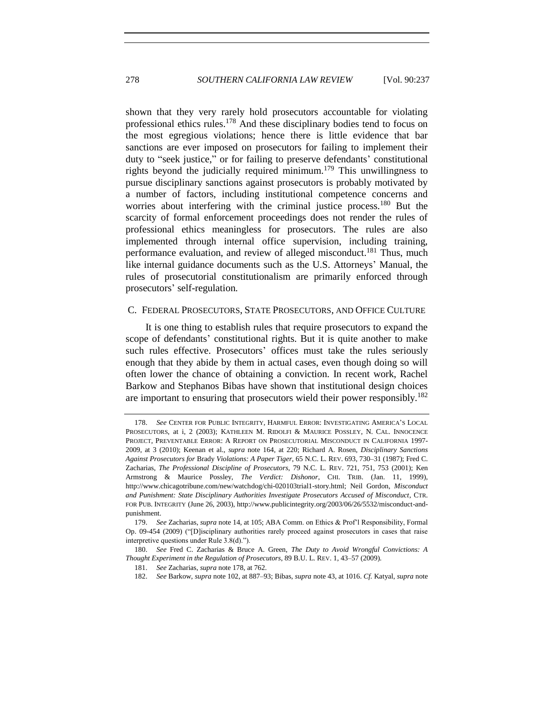<span id="page-41-0"></span>shown that they very rarely hold prosecutors accountable for violating professional ethics rules.<sup>178</sup> And these disciplinary bodies tend to focus on the most egregious violations; hence there is little evidence that bar sanctions are ever imposed on prosecutors for failing to implement their duty to "seek justice," or for failing to preserve defendants' constitutional rights beyond the judicially required minimum.<sup>179</sup> This unwillingness to pursue disciplinary sanctions against prosecutors is probably motivated by a number of factors, including institutional competence concerns and worries about interfering with the criminal justice process.<sup>180</sup> But the scarcity of formal enforcement proceedings does not render the rules of professional ethics meaningless for prosecutors. The rules are also implemented through internal office supervision, including training, performance evaluation, and review of alleged misconduct.<sup>181</sup> Thus, much like internal guidance documents such as the U.S. Attorneys' Manual, the rules of prosecutorial constitutionalism are primarily enforced through prosecutors' self-regulation.

#### C. FEDERAL PROSECUTORS, STATE PROSECUTORS, AND OFFICE CULTURE

It is one thing to establish rules that require prosecutors to expand the scope of defendants' constitutional rights. But it is quite another to make such rules effective. Prosecutors' offices must take the rules seriously enough that they abide by them in actual cases, even though doing so will often lower the chance of obtaining a conviction. In recent work, Rachel Barkow and Stephanos Bibas have shown that institutional design choices are important to ensuring that prosecutors wield their power responsibly.<sup>182</sup>

<sup>178.</sup> *See* CENTER FOR PUBLIC INTEGRITY, HARMFUL ERROR: INVESTIGATING AMERICA'S LOCAL PROSECUTORS, at i, 2 (2003); KATHLEEN M. RIDOLFI & MAURICE POSSLEY, N. CAL. INNOCENCE PROJECT, PREVENTABLE ERROR: A REPORT ON PROSECUTORIAL MISCONDUCT IN CALIFORNIA 1997- 2009, at 3 (2010); Keenan et al., *supra* note [164,](#page-38-0) at 220; Richard A. Rosen, *Disciplinary Sanctions Against Prosecutors for* Brady *Violations: A Paper Tiger*, 65 N.C. L. REV. 693, 730–31 (1987); Fred C. Zacharias, *The Professional Discipline of Prosecutors*, 79 N.C. L. REV. 721, 751, 753 (2001); Ken Armstrong & Maurice Possley, *The Verdict: Dishonor*, CHI. TRIB. (Jan. 11, 1999), http://www.chicagotribune.com/new/watchdog/chi-020103trial1-story.html; Neil Gordon, *Misconduct and Punishment: State Disciplinary Authorities Investigate Prosecutors Accused of Misconduct*, CTR. FOR PUB. INTEGRITY (June 26, 2003), http://www.publicintegrity.org/2003/06/26/5532/misconduct-andpunishment.

<sup>179.</sup> *See* Zacharias, *supra* not[e 14,](#page-8-1) at 105; ABA Comm. on Ethics & Prof'l Responsibility, Formal Op. 09-454 (2009) ("[D]isciplinary authorities rarely proceed against prosecutors in cases that raise interpretive questions under Rule 3.8(d).").

<sup>180.</sup> *See* Fred C. Zacharias & Bruce A. Green, *The Duty to Avoid Wrongful Convictions: A Thought Experiment in the Regulation of Prosecutors*, 89 B.U. L. REV. 1, 43–57 (2009).

<sup>181.</sup> *See* Zacharias, *supra* not[e 178,](#page-41-0) at 762.

<sup>182.</sup> *See* Barkow, *supra* not[e 102,](#page-25-0) at 887–93; Bibas, *supra* not[e 43,](#page-15-2) at 1016. *Cf.* Katyal, *supra* note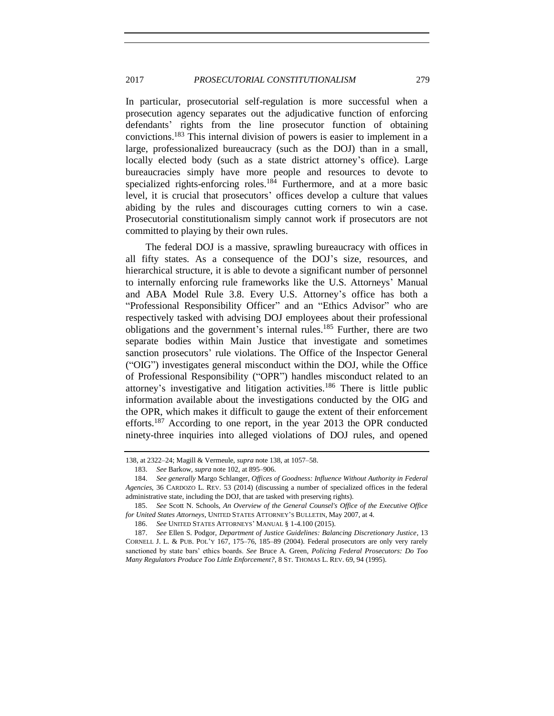In particular, prosecutorial self-regulation is more successful when a prosecution agency separates out the adjudicative function of enforcing defendants' rights from the line prosecutor function of obtaining convictions.<sup>183</sup> This internal division of powers is easier to implement in a large, professionalized bureaucracy (such as the DOJ) than in a small, locally elected body (such as a state district attorney's office). Large bureaucracies simply have more people and resources to devote to specialized rights-enforcing roles.<sup>184</sup> Furthermore, and at a more basic level, it is crucial that prosecutors' offices develop a culture that values abiding by the rules and discourages cutting corners to win a case. Prosecutorial constitutionalism simply cannot work if prosecutors are not committed to playing by their own rules.

The federal DOJ is a massive, sprawling bureaucracy with offices in all fifty states. As a consequence of the DOJ's size, resources, and hierarchical structure, it is able to devote a significant number of personnel to internally enforcing rule frameworks like the U.S. Attorneys' Manual and ABA Model Rule 3.8. Every U.S. Attorney's office has both a "Professional Responsibility Officer" and an "Ethics Advisor" who are respectively tasked with advising DOJ employees about their professional obligations and the government's internal rules.<sup>185</sup> Further, there are two separate bodies within Main Justice that investigate and sometimes sanction prosecutors' rule violations. The Office of the Inspector General ("OIG") investigates general misconduct within the DOJ, while the Office of Professional Responsibility ("OPR") handles misconduct related to an attorney's investigative and litigation activities.<sup>186</sup> There is little public information available about the investigations conducted by the OIG and the OPR, which makes it difficult to gauge the extent of their enforcement efforts.<sup>187</sup> According to one report, in the year 2013 the OPR conducted ninety-three inquiries into alleged violations of DOJ rules, and opened

<span id="page-42-0"></span>[<sup>138,</sup>](#page-34-0) at 2322–24; Magill & Vermeule, *supra* not[e 138,](#page-34-0) at 1057–58.

<sup>183.</sup> *See* Barkow, *supra* not[e 102,](#page-25-0) at 895–906.

<sup>184.</sup> *See generally* Margo Schlanger, *Offices of Goodness: Influence Without Authority in Federal Agencies*, 36 CARDOZO L. REV. 53 (2014) (discussing a number of specialized offices in the federal administrative state, including the DOJ, that are tasked with preserving rights).

<sup>185.</sup> *See* Scott N. Schools, *An Overview of the General Counsel's Office of the Executive Office for United States Attorneys*, UNITED STATES ATTORNEY'S BULLETIN, May 2007, at 4.

<sup>186.</sup> *See* UNITED STATES ATTORNEYS' MANUAL § 1-4.100 (2015).

<sup>187.</sup> *See* Ellen S. Podgor, *Department of Justice Guidelines: Balancing Discretionary Justice*, 13 CORNELL J. L. & PUB. POL'Y 167, 175–76, 185–89 (2004). Federal prosecutors are only very rarely sanctioned by state bars' ethics boards. *See* Bruce A. Green, *Policing Federal Prosecutors: Do Too Many Regulators Produce Too Little Enforcement?*, 8 ST. THOMAS L. REV. 69, 94 (1995).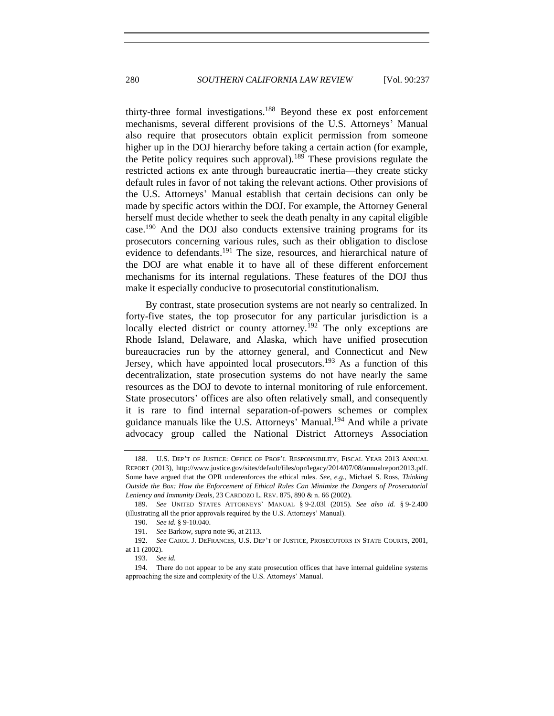thirty-three formal investigations.<sup>188</sup> Beyond these ex post enforcement mechanisms, several different provisions of the U.S. Attorneys' Manual also require that prosecutors obtain explicit permission from someone higher up in the DOJ hierarchy before taking a certain action (for example, the Petite policy requires such approval).<sup>189</sup> These provisions regulate the restricted actions ex ante through bureaucratic inertia—they create sticky default rules in favor of not taking the relevant actions. Other provisions of the U.S. Attorneys' Manual establish that certain decisions can only be made by specific actors within the DOJ. For example, the Attorney General herself must decide whether to seek the death penalty in any capital eligible case.<sup>190</sup> And the DOJ also conducts extensive training programs for its prosecutors concerning various rules, such as their obligation to disclose evidence to defendants.<sup>191</sup> The size, resources, and hierarchical nature of the DOJ are what enable it to have all of these different enforcement mechanisms for its internal regulations. These features of the DOJ thus make it especially conducive to prosecutorial constitutionalism.

By contrast, state prosecution systems are not nearly so centralized. In forty-five states, the top prosecutor for any particular jurisdiction is a locally elected district or county attorney.<sup>192</sup> The only exceptions are Rhode Island, Delaware, and Alaska, which have unified prosecution bureaucracies run by the attorney general, and Connecticut and New Jersey, which have appointed local prosecutors.<sup>193</sup> As a function of this decentralization, state prosecution systems do not have nearly the same resources as the DOJ to devote to internal monitoring of rule enforcement. State prosecutors' offices are also often relatively small, and consequently it is rare to find internal separation-of-powers schemes or complex guidance manuals like the U.S. Attorneys' Manual.<sup>194</sup> And while a private advocacy group called the National District Attorneys Association

<sup>188.</sup> U.S. DEP'T OF JUSTICE: OFFICE OF PROF'L RESPONSIBILITY, FISCAL YEAR 2013 ANNUAL REPORT (2013), http://www.justice.gov/sites/default/files/opr/legacy/2014/07/08/annualreport2013.pdf. Some have argued that the OPR underenforces the ethical rules. *See, e.g.*, Michael S. Ross, *Thinking Outside the Box: How the Enforcement of Ethical Rules Can Minimize the Dangers of Prosecutorial Leniency and Immunity Deals*, 23 CARDOZO L. REV. 875, 890 & n. 66 (2002).

<sup>189.</sup> *See* UNITED STATES ATTORNEYS' MANUAL § 9-2.03l (2015). *See also id.* § 9-2.400 (illustrating all the prior approvals required by the U.S. Attorneys' Manual).

<sup>190.</sup> *See id.* § 9-10.040.

<sup>191.</sup> *See* Barkow, *supra* note [96,](#page-25-1) at 2113.

<sup>192.</sup> *See* CAROL J. DEFRANCES, U.S. DEP'T OF JUSTICE, PROSECUTORS IN STATE COURTS, 2001, at 11 (2002).

<sup>193.</sup> *See id.*

<sup>194.</sup> There do not appear to be any state prosecution offices that have internal guideline systems approaching the size and complexity of the U.S. Attorneys' Manual.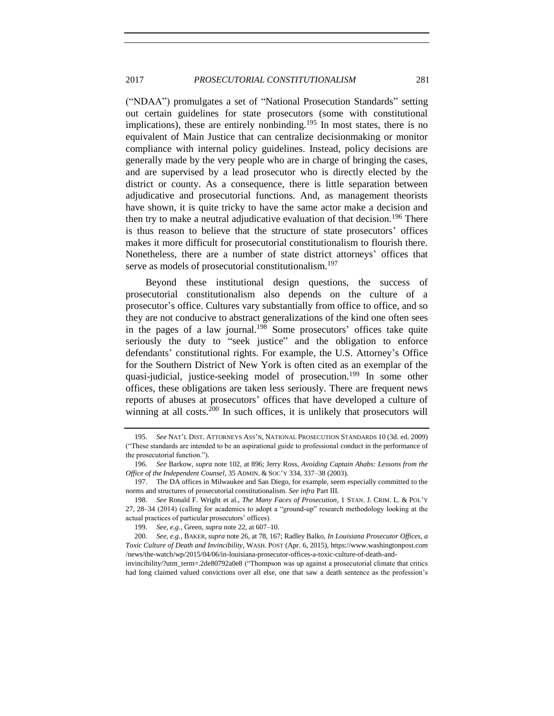("NDAA") promulgates a set of "National Prosecution Standards" setting out certain guidelines for state prosecutors (some with constitutional implications), these are entirely nonbinding.<sup>195</sup> In most states, there is no equivalent of Main Justice that can centralize decisionmaking or monitor compliance with internal policy guidelines. Instead, policy decisions are generally made by the very people who are in charge of bringing the cases, and are supervised by a lead prosecutor who is directly elected by the district or county. As a consequence, there is little separation between adjudicative and prosecutorial functions. And, as management theorists have shown, it is quite tricky to have the same actor make a decision and then try to make a neutral adjudicative evaluation of that decision.<sup>196</sup> There is thus reason to believe that the structure of state prosecutors' offices makes it more difficult for prosecutorial constitutionalism to flourish there. Nonetheless, there are a number of state district attorneys' offices that serve as models of prosecutorial constitutionalism.<sup>197</sup>

Beyond these institutional design questions, the success of prosecutorial constitutionalism also depends on the culture of a prosecutor's office. Cultures vary substantially from office to office, and so they are not conducive to abstract generalizations of the kind one often sees in the pages of a law journal.<sup>198</sup> Some prosecutors' offices take quite seriously the duty to "seek justice" and the obligation to enforce defendants' constitutional rights. For example, the U.S. Attorney's Office for the Southern District of New York is often cited as an exemplar of the quasi-judicial, justice-seeking model of prosecution.<sup>199</sup> In some other offices, these obligations are taken less seriously. There are frequent news reports of abuses at prosecutors' offices that have developed a culture of winning at all costs. $200$  In such offices, it is unlikely that prosecutors will

invincibility/?utm\_term=.2de80792a0e8 ("Thompson was up against a prosecutorial climate that critics had long claimed valued convictions over all else, one that saw a death sentence as the profession's

<sup>195.</sup> *See* NAT'L DIST. ATTORNEYS ASS'N, NATIONAL PROSECUTION STANDARDS 10 (3d. ed. 2009) ("These standards are intended to be an aspirational guide to professional conduct in the performance of the prosecutorial function.").

<sup>196.</sup> *See* Barkow, *supra* note [102,](#page-25-0) at 896; Jerry Ross, *Avoiding Captain Ahabs: Lessons from the Office of the Independent Counsel*, 35 ADMIN. & SOC'Y 334, 337–38 (2003).

<sup>197.</sup> The DA offices in Milwaukee and San Diego, for example, seem especially committed to the norms and structures of prosecutorial constitutionalism. *See infra* Part III.

<sup>198.</sup> *See* Ronald F. Wright et al., *The Many Faces of Prosecution*, 1 STAN. J. CRIM. L. & POL'Y 27, 28–34 (2014) (calling for academics to adopt a "ground-up" research methodology looking at the actual practices of particular prosecutors' offices).

<sup>199.</sup> *See, e.g.*, Green, *supra* not[e 22,](#page-10-0) at 607–10.

<sup>200.</sup> *See, e.g.*, BAKER, *supra* not[e 26,](#page-11-0) at 78, 167; Radley Balko, *In Louisiana Prosecutor Offices, a Toxic Culture of Death and Invincibility*, WASH. POST (Apr. 6, 2015), https://www.washingtonpost.com /news/the-watch/wp/2015/04/06/in-louisiana-prosecutor-offices-a-toxic-culture-of-death-and-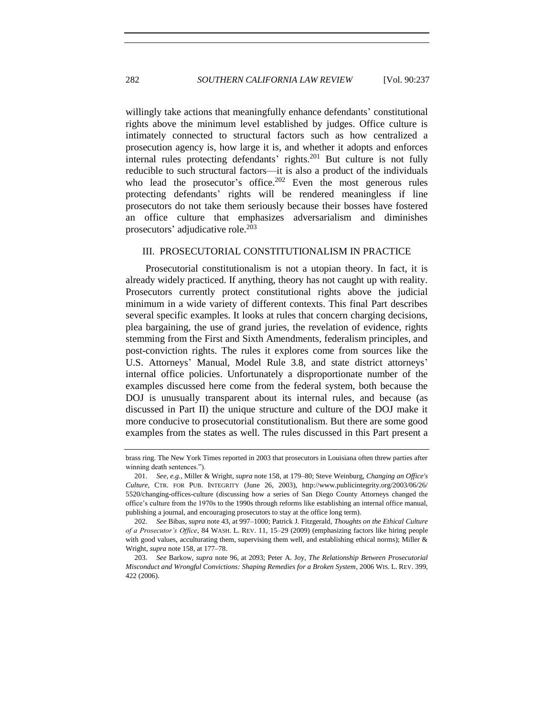willingly take actions that meaningfully enhance defendants' constitutional rights above the minimum level established by judges. Office culture is intimately connected to structural factors such as how centralized a prosecution agency is, how large it is, and whether it adopts and enforces internal rules protecting defendants' rights. $^{201}$  But culture is not fully reducible to such structural factors—it is also a product of the individuals who lead the prosecutor's office.<sup>202</sup> Even the most generous rules protecting defendants' rights will be rendered meaningless if line prosecutors do not take them seriously because their bosses have fostered an office culture that emphasizes adversarialism and diminishes prosecutors' adjudicative role.<sup>203</sup>

## III. PROSECUTORIAL CONSTITUTIONALISM IN PRACTICE

Prosecutorial constitutionalism is not a utopian theory. In fact, it is already widely practiced. If anything, theory has not caught up with reality. Prosecutors currently protect constitutional rights above the judicial minimum in a wide variety of different contexts. This final Part describes several specific examples. It looks at rules that concern charging decisions, plea bargaining, the use of grand juries, the revelation of evidence, rights stemming from the First and Sixth Amendments, federalism principles, and post-conviction rights. The rules it explores come from sources like the U.S. Attorneys' Manual, Model Rule 3.8, and state district attorneys' internal office policies. Unfortunately a disproportionate number of the examples discussed here come from the federal system, both because the DOJ is unusually transparent about its internal rules, and because (as discussed in Part II) the unique structure and culture of the DOJ make it more conducive to prosecutorial constitutionalism. But there are some good examples from the states as well. The rules discussed in this Part present a

brass ring. The New York Times reported in 2003 that prosecutors in Louisiana often threw parties after winning death sentences.").

<sup>201.</sup> *See, e.g.*, Miller & Wright, *supra* note [158,](#page-37-1) at 179–80; Steve Weinburg, *Changing an Office's Culture*, CTR. FOR PUB. INTEGRITY (June 26, 2003), http://www.publicintegrity.org/2003/06/26/ 5520/changing-offices-culture (discussing how a series of San Diego County Attorneys changed the office's culture from the 1970s to the 1990s through reforms like establishing an internal office manual, publishing a journal, and encouraging prosecutors to stay at the office long term).

<sup>202.</sup> *See* Bibas, *supra* not[e 43,](#page-15-2) at 997–1000; Patrick J. Fitzgerald, *Thoughts on the Ethical Culture of a Prosecutor's Office*, 84 WASH. L. REV. 11, 15–29 (2009) (emphasizing factors like hiring people with good values, acculturating them, supervising them well, and establishing ethical norms); Miller  $\&$ Wright, *supra* not[e 158,](#page-37-1) at 177–78.

<sup>203.</sup> *See* Barkow, *supra* note [96,](#page-25-1) at 2093; Peter A. Joy, *The Relationship Between Prosecutorial Misconduct and Wrongful Convictions: Shaping Remedies for a Broken System*, 2006 WIS. L. REV. 399, 422 (2006).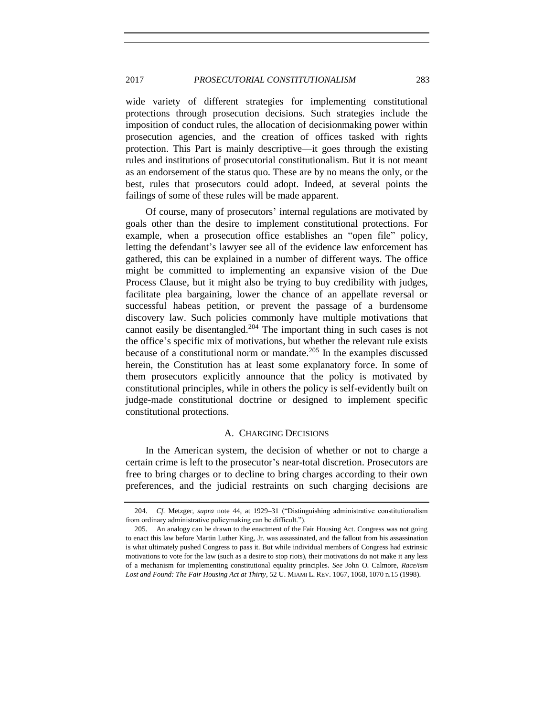wide variety of different strategies for implementing constitutional protections through prosecution decisions. Such strategies include the imposition of conduct rules, the allocation of decisionmaking power within prosecution agencies, and the creation of offices tasked with rights protection. This Part is mainly descriptive—it goes through the existing rules and institutions of prosecutorial constitutionalism. But it is not meant as an endorsement of the status quo. These are by no means the only, or the best, rules that prosecutors could adopt. Indeed, at several points the failings of some of these rules will be made apparent.

Of course, many of prosecutors' internal regulations are motivated by goals other than the desire to implement constitutional protections. For example, when a prosecution office establishes an "open file" policy, letting the defendant's lawyer see all of the evidence law enforcement has gathered, this can be explained in a number of different ways. The office might be committed to implementing an expansive vision of the Due Process Clause, but it might also be trying to buy credibility with judges, facilitate plea bargaining, lower the chance of an appellate reversal or successful habeas petition, or prevent the passage of a burdensome discovery law. Such policies commonly have multiple motivations that cannot easily be disentangled.<sup>204</sup> The important thing in such cases is not the office's specific mix of motivations, but whether the relevant rule exists because of a constitutional norm or mandate. $205$  In the examples discussed herein, the Constitution has at least some explanatory force. In some of them prosecutors explicitly announce that the policy is motivated by constitutional principles, while in others the policy is self-evidently built on judge-made constitutional doctrine or designed to implement specific constitutional protections.

#### A. CHARGING DECISIONS

In the American system, the decision of whether or not to charge a certain crime is left to the prosecutor's near-total discretion. Prosecutors are free to bring charges or to decline to bring charges according to their own preferences, and the judicial restraints on such charging decisions are

<sup>204.</sup> *Cf.* Metzger, *supra* note [44,](#page-15-1) at 1929–31 ("Distinguishing administrative constitutionalism from ordinary administrative policymaking can be difficult.").

<sup>205.</sup> An analogy can be drawn to the enactment of the Fair Housing Act. Congress was not going to enact this law before Martin Luther King, Jr. was assassinated, and the fallout from his assassination is what ultimately pushed Congress to pass it. But while individual members of Congress had extrinsic motivations to vote for the law (such as a desire to stop riots), their motivations do not make it any less of a mechanism for implementing constitutional equality principles. *See* John O. Calmore, *Race/ism Lost and Found: The Fair Housing Act at Thirty*, 52 U. MIAMI L. REV. 1067, 1068, 1070 n.15 (1998).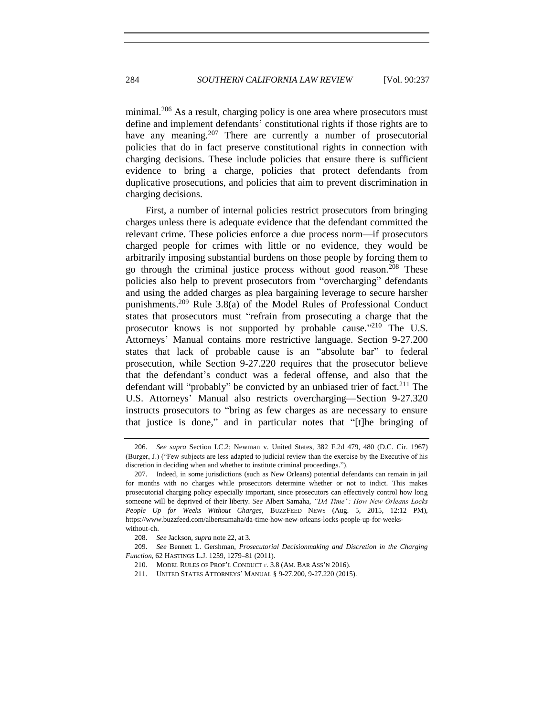minimal.<sup>206</sup> As a result, charging policy is one area where prosecutors must define and implement defendants' constitutional rights if those rights are to have any meaning.<sup>207</sup> There are currently a number of prosecutorial policies that do in fact preserve constitutional rights in connection with charging decisions. These include policies that ensure there is sufficient evidence to bring a charge, policies that protect defendants from duplicative prosecutions, and policies that aim to prevent discrimination in charging decisions.

First, a number of internal policies restrict prosecutors from bringing charges unless there is adequate evidence that the defendant committed the relevant crime. These policies enforce a due process norm—if prosecutors charged people for crimes with little or no evidence, they would be arbitrarily imposing substantial burdens on those people by forcing them to go through the criminal justice process without good reason.<sup>208</sup> These policies also help to prevent prosecutors from "overcharging" defendants and using the added charges as plea bargaining leverage to secure harsher punishments.<sup>209</sup> Rule 3.8(a) of the Model Rules of Professional Conduct states that prosecutors must "refrain from prosecuting a charge that the prosecutor knows is not supported by probable cause."<sup>210</sup> The U.S. Attorneys' Manual contains more restrictive language. Section 9-27.200 states that lack of probable cause is an "absolute bar" to federal prosecution, while Section 9-27.220 requires that the prosecutor believe that the defendant's conduct was a federal offense, and also that the defendant will "probably" be convicted by an unbiased trier of fact.<sup>211</sup> The U.S. Attorneys' Manual also restricts overcharging—Section 9-27.320 instructs prosecutors to "bring as few charges as are necessary to ensure that justice is done," and in particular notes that "[t]he bringing of

<sup>206.</sup> *See supra* Section I.C.2; Newman v. United States, 382 F.2d 479, 480 (D.C. Cir. 1967) (Burger, J.) ("Few subjects are less adapted to judicial review than the exercise by the Executive of his discretion in deciding when and whether to institute criminal proceedings.").

<sup>207.</sup> Indeed, in some jurisdictions (such as New Orleans) potential defendants can remain in jail for months with no charges while prosecutors determine whether or not to indict. This makes prosecutorial charging policy especially important, since prosecutors can effectively control how long someone will be deprived of their liberty. *See* Albert Samaha, *"DA Time": How New Orleans Locks People Up for Weeks Without Charges*, BUZZFEED NEWS (Aug. 5, 2015, 12:12 PM), https://www.buzzfeed.com/albertsamaha/da-time-how-new-orleans-locks-people-up-for-weekswithout-ch.

<sup>208.</sup> *See* Jackson, *supra* not[e 22,](#page-10-0) at 3.

<sup>209.</sup> *See* Bennett L. Gershman, *Prosecutorial Decisionmaking and Discretion in the Charging Function*, 62 HASTINGS L.J. 1259, 1279–81 (2011).

<sup>210.</sup> MODEL RULES OF PROF'L CONDUCT r. 3.8 (AM. BAR ASS'N 2016).

<sup>211.</sup> UNITED STATES ATTORNEYS' MANUAL § 9-27.200, 9-27.220 (2015).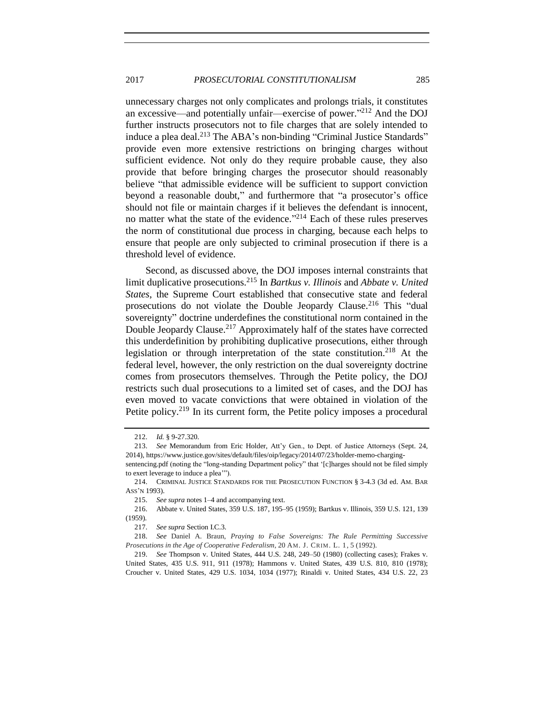unnecessary charges not only complicates and prolongs trials, it constitutes an excessive—and potentially unfair—exercise of power."<sup>212</sup> And the DOJ further instructs prosecutors not to file charges that are solely intended to induce a plea deal.<sup>213</sup> The ABA's non-binding "Criminal Justice Standards" provide even more extensive restrictions on bringing charges without sufficient evidence. Not only do they require probable cause, they also provide that before bringing charges the prosecutor should reasonably believe "that admissible evidence will be sufficient to support conviction beyond a reasonable doubt," and furthermore that "a prosecutor's office should not file or maintain charges if it believes the defendant is innocent, no matter what the state of the evidence."<sup>214</sup> Each of these rules preserves the norm of constitutional due process in charging, because each helps to ensure that people are only subjected to criminal prosecution if there is a threshold level of evidence.

Second, as discussed above, the DOJ imposes internal constraints that limit duplicative prosecutions.<sup>215</sup> In *Bartkus v. Illinois* and *Abbate v. United States*, the Supreme Court established that consecutive state and federal prosecutions do not violate the Double Jeopardy Clause.<sup>216</sup> This "dual sovereignty" doctrine underdefines the constitutional norm contained in the Double Jeopardy Clause.<sup>217</sup> Approximately half of the states have corrected this underdefinition by prohibiting duplicative prosecutions, either through legislation or through interpretation of the state constitution.<sup>218</sup> At the federal level, however, the only restriction on the dual sovereignty doctrine comes from prosecutors themselves. Through the Petite policy, the DOJ restricts such dual prosecutions to a limited set of cases, and the DOJ has even moved to vacate convictions that were obtained in violation of the Petite policy.<sup>219</sup> In its current form, the Petite policy imposes a procedural

<sup>212.</sup> *Id.* § 9-27.320.

<sup>213.</sup> *See* Memorandum from Eric Holder, Att'y Gen., to Dept. of Justice Attorneys (Sept. 24, 2014), https://www.justice.gov/sites/default/files/oip/legacy/2014/07/23/holder-memo-charging-

sentencing.pdf (noting the "long-standing Department policy" that '[c]harges should not be filed simply to exert leverage to induce a plea'").

<sup>214.</sup> CRIMINAL JUSTICE STANDARDS FOR THE PROSECUTION FUNCTION § 3-4.3 (3d ed. AM. BAR ASS'N 1993).

<sup>215.</sup> *See supra* note[s 1](#page-2-0)[–4](#page-2-1) and accompanying text.

<sup>216.</sup> Abbate v. United States, 359 U.S. 187, 195–95 (1959); Bartkus v. Illinois, 359 U.S. 121, 139 (1959).

<sup>217.</sup> *See supra* Section I.C.3.

<sup>218.</sup> *See* Daniel A. Braun, *Praying to False Sovereigns: The Rule Permitting Successive Prosecutions in the Age of Cooperative Federalism*, 20 AM. J. CRIM. L. 1, 5 (1992).

<sup>219.</sup> *See* Thompson v. United States, 444 U.S. 248, 249–50 (1980) (collecting cases); Frakes v. United States, 435 U.S. 911, 911 (1978); Hammons v. United States, 439 U.S. 810, 810 (1978); Croucher v. United States, 429 U.S. 1034, 1034 (1977); Rinaldi v. United States, 434 U.S. 22, 23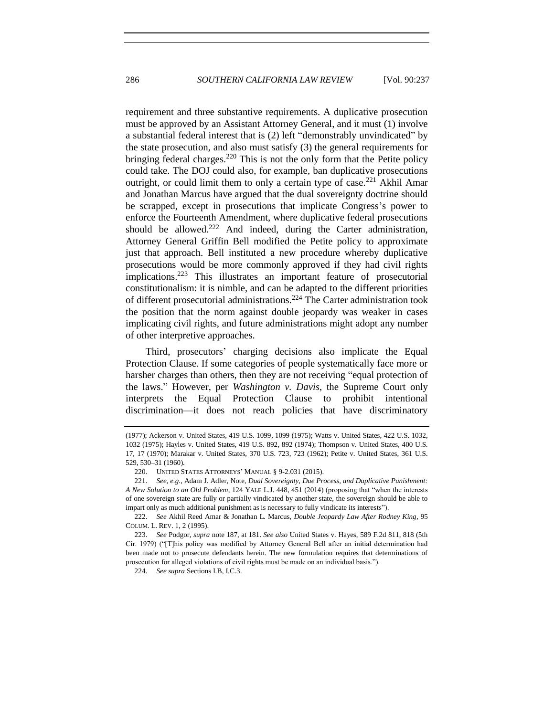requirement and three substantive requirements. A duplicative prosecution must be approved by an Assistant Attorney General, and it must (1) involve a substantial federal interest that is (2) left "demonstrably unvindicated" by the state prosecution, and also must satisfy (3) the general requirements for bringing federal charges.<sup>220</sup> This is not the only form that the Petite policy could take. The DOJ could also, for example, ban duplicative prosecutions outright, or could limit them to only a certain type of case.<sup>221</sup> Akhil Amar and Jonathan Marcus have argued that the dual sovereignty doctrine should be scrapped, except in prosecutions that implicate Congress's power to enforce the Fourteenth Amendment, where duplicative federal prosecutions should be allowed.<sup>222</sup> And indeed, during the Carter administration, Attorney General Griffin Bell modified the Petite policy to approximate just that approach. Bell instituted a new procedure whereby duplicative prosecutions would be more commonly approved if they had civil rights implications.<sup>223</sup> This illustrates an important feature of prosecutorial constitutionalism: it is nimble, and can be adapted to the different priorities of different prosecutorial administrations.<sup>224</sup> The Carter administration took the position that the norm against double jeopardy was weaker in cases implicating civil rights, and future administrations might adopt any number of other interpretive approaches.

Third, prosecutors' charging decisions also implicate the Equal Protection Clause. If some categories of people systematically face more or harsher charges than others, then they are not receiving "equal protection of the laws." However, per *Washington v. Davis*, the Supreme Court only interprets the Equal Protection Clause to prohibit intentional discrimination—it does not reach policies that have discriminatory

<sup>(1977);</sup> Ackerson v. United States, 419 U.S. 1099, 1099 (1975); Watts v. United States, 422 U.S. 1032, 1032 (1975); Hayles v. United States, 419 U.S. 892, 892 (1974); Thompson v. United States, 400 U.S. 17, 17 (1970); Marakar v. United States, 370 U.S. 723, 723 (1962); Petite v. United States, 361 U.S. 529, 530–31 (1960).

<sup>220.</sup> UNITED STATES ATTORNEYS' MANUAL § 9-2.031 (2015).

<sup>221.</sup> *See, e.g.*, Adam J. Adler, Note, *Dual Sovereignty, Due Process, and Duplicative Punishment: A New Solution to an Old Problem*, 124 YALE L.J. 448, 451 (2014) (proposing that "when the interests of one sovereign state are fully or partially vindicated by another state, the sovereign should be able to impart only as much additional punishment as is necessary to fully vindicate its interests").

<sup>222.</sup> *See* Akhil Reed Amar & Jonathan L. Marcus, *Double Jeopardy Law After Rodney King*, 95 COLUM. L. REV. 1, 2 (1995).

<sup>223.</sup> *See* Podgor, *supra* not[e 187,](#page-42-0) at 181. *See also* United States v. Hayes, 589 F.2d 811, 818 (5th Cir. 1979) ("[T]his policy was modified by Attorney General Bell after an initial determination had been made not to prosecute defendants herein. The new formulation requires that determinations of prosecution for alleged violations of civil rights must be made on an individual basis.").

<sup>224.</sup> *See supra* Sections I.B, I.C.3.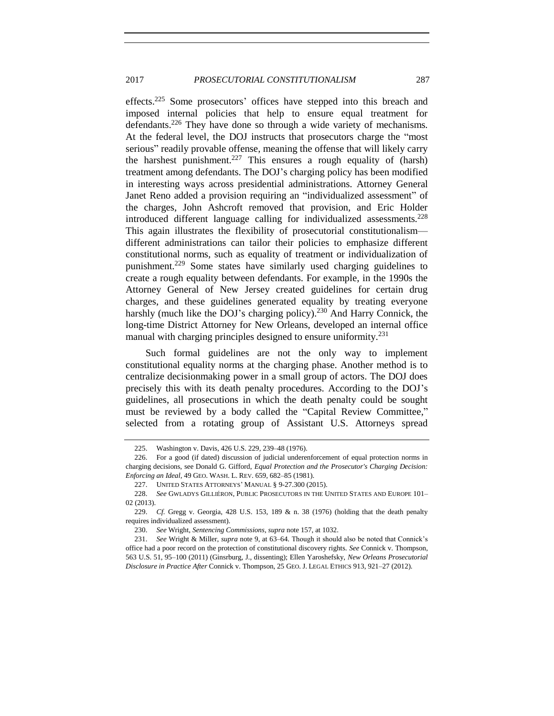effects.<sup>225</sup> Some prosecutors' offices have stepped into this breach and imposed internal policies that help to ensure equal treatment for defendants.<sup>226</sup> They have done so through a wide variety of mechanisms. At the federal level, the DOJ instructs that prosecutors charge the "most serious" readily provable offense, meaning the offense that will likely carry the harshest punishment.<sup>227</sup> This ensures a rough equality of (harsh) treatment among defendants. The DOJ's charging policy has been modified in interesting ways across presidential administrations. Attorney General Janet Reno added a provision requiring an "individualized assessment" of the charges, John Ashcroft removed that provision, and Eric Holder introduced different language calling for individualized assessments. $228$ This again illustrates the flexibility of prosecutorial constitutionalism different administrations can tailor their policies to emphasize different constitutional norms, such as equality of treatment or individualization of punishment.<sup>229</sup> Some states have similarly used charging guidelines to create a rough equality between defendants. For example, in the 1990s the Attorney General of New Jersey created guidelines for certain drug charges, and these guidelines generated equality by treating everyone harshly (much like the DOJ's charging policy).<sup>230</sup> And Harry Connick, the long-time District Attorney for New Orleans, developed an internal office manual with charging principles designed to ensure uniformity.<sup>231</sup>

Such formal guidelines are not the only way to implement constitutional equality norms at the charging phase. Another method is to centralize decisionmaking power in a small group of actors. The DOJ does precisely this with its death penalty procedures. According to the DOJ's guidelines, all prosecutions in which the death penalty could be sought must be reviewed by a body called the "Capital Review Committee," selected from a rotating group of Assistant U.S. Attorneys spread

<sup>225.</sup> Washington v. Davis, 426 U.S. 229, 239–48 (1976).

<sup>226.</sup> For a good (if dated) discussion of judicial underenforcement of equal protection norms in charging decisions, see Donald G. Gifford, *Equal Protection and the Prosecutor's Charging Decision: Enforcing an Ideal*, 49 GEO. WASH. L. REV. 659, 682–85 (1981).

<sup>227.</sup> UNITED STATES ATTORNEYS' MANUAL § 9-27.300 (2015).

<sup>228.</sup> *See* GWLADYS GILLIÉRON, PUBLIC PROSECUTORS IN THE UNITED STATES AND EUROPE 101– 02 (2013).

<sup>229.</sup> *Cf.* Gregg v. Georgia, 428 U.S. 153, 189 & n. 38 (1976) (holding that the death penalty requires individualized assessment).

<sup>230.</sup> *See* Wright, *Sentencing Commissions*, *supra* not[e 157,](#page-37-0) at 1032.

<sup>231.</sup> *See* Wright & Miller, *supra* not[e 9,](#page-6-0) at 63–64. Though it should also be noted that Connick's office had a poor record on the protection of constitutional discovery rights. *See* Connick v. Thompson, 563 U.S. 51, 95–100 (2011) (Ginsrburg, J., dissenting); Ellen Yaroshefsky, *New Orleans Prosecutorial Disclosure in Practice After* Connick v. Thompson, 25 GEO. J. LEGAL ETHICS 913, 921–27 (2012).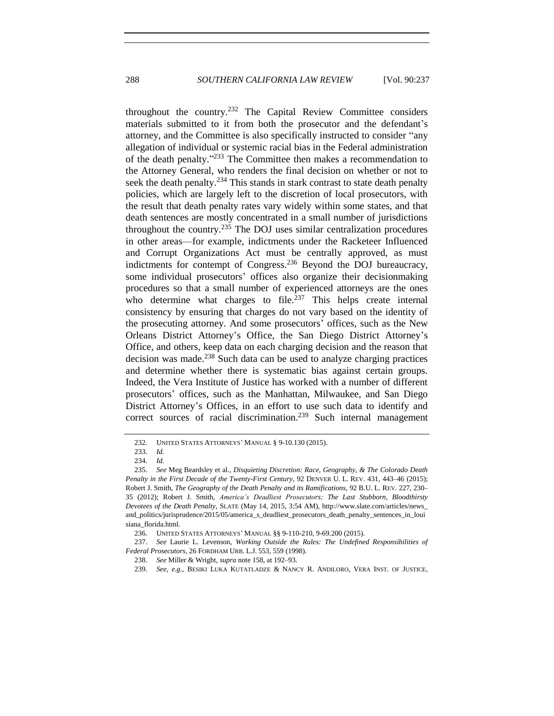throughout the country.<sup>232</sup> The Capital Review Committee considers materials submitted to it from both the prosecutor and the defendant's attorney, and the Committee is also specifically instructed to consider "any allegation of individual or systemic racial bias in the Federal administration of the death penalty." <sup>233</sup> The Committee then makes a recommendation to the Attorney General, who renders the final decision on whether or not to seek the death penalty.<sup>234</sup> This stands in stark contrast to state death penalty policies, which are largely left to the discretion of local prosecutors, with the result that death penalty rates vary widely within some states, and that death sentences are mostly concentrated in a small number of jurisdictions throughout the country.<sup>235</sup> The DOJ uses similar centralization procedures in other areas—for example, indictments under the Racketeer Influenced and Corrupt Organizations Act must be centrally approved, as must indictments for contempt of Congress.<sup>236</sup> Beyond the DOJ bureaucracy, some individual prosecutors' offices also organize their decisionmaking procedures so that a small number of experienced attorneys are the ones who determine what charges to file.<sup> $237$ </sup> This helps create internal consistency by ensuring that charges do not vary based on the identity of the prosecuting attorney. And some prosecutors' offices, such as the New Orleans District Attorney's Office, the San Diego District Attorney's Office, and others, keep data on each charging decision and the reason that decision was made.<sup>238</sup> Such data can be used to analyze charging practices and determine whether there is systematic bias against certain groups. Indeed, the Vera Institute of Justice has worked with a number of different prosecutors' offices, such as the Manhattan, Milwaukee, and San Diego District Attorney's Offices, in an effort to use such data to identify and correct sources of racial discrimination.<sup>239</sup> Such internal management

<sup>232.</sup> UNITED STATES ATTORNEYS' MANUAL § 9-10.130 (2015).

<sup>233.</sup> *Id.*

<sup>234.</sup> *Id.*

<sup>235.</sup> *See* Meg Beardsley et al., *Disquieting Discretion: Race, Geography, & The Colorado Death Penalty in the First Decade of the Twenty-First Century*, 92 DENVER U. L. REV. 431, 443–46 (2015); Robert J. Smith, *The Geography of the Death Penalty and its Ramifications*, 92 B.U. L. REV. 227, 230– 35 (2012); Robert J. Smith, *America's Deadliest Prosecutors: The Last Stubborn, Bloodthirsty Devotees of the Death Penalty*, SLATE (May 14, 2015, 3:54 AM), http://www.slate.com/articles/news\_ and\_politics/jurisprudence/2015/05/america\_s\_deadliest\_prosecutors\_death\_penalty\_sentences\_in\_loui siana\_florida.html.

<sup>236.</sup> UNITED STATES ATTORNEYS' MANUAL §§ 9-110-210, 9-69.200 (2015).

<sup>237.</sup> *See* Laurie L. Levenson, *Working Outside the Rules: The Undefined Responsibilities of Federal Prosecutors*, 26 FORDHAM URB. L.J. 553, 559 (1998).

<sup>238.</sup> *See* Miller & Wright, *supra* not[e 158,](#page-37-1) at 192–93.

<sup>239.</sup> *See, e.g.*, BESIKI LUKA KUTATLADZE & NANCY R. ANDILORO, VERA INST. OF JUSTICE,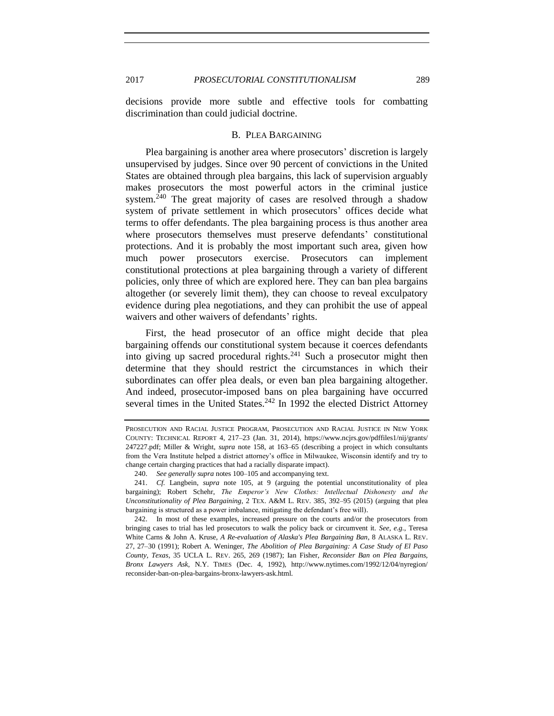decisions provide more subtle and effective tools for combatting discrimination than could judicial doctrine.

#### B. PLEA BARGAINING

Plea bargaining is another area where prosecutors' discretion is largely unsupervised by judges. Since over 90 percent of convictions in the United States are obtained through plea bargains, this lack of supervision arguably makes prosecutors the most powerful actors in the criminal justice system.<sup>240</sup> The great majority of cases are resolved through a shadow system of private settlement in which prosecutors' offices decide what terms to offer defendants. The plea bargaining process is thus another area where prosecutors themselves must preserve defendants' constitutional protections. And it is probably the most important such area, given how much power prosecutors exercise. Prosecutors can implement constitutional protections at plea bargaining through a variety of different policies, only three of which are explored here. They can ban plea bargains altogether (or severely limit them), they can choose to reveal exculpatory evidence during plea negotiations, and they can prohibit the use of appeal waivers and other waivers of defendants' rights.

First, the head prosecutor of an office might decide that plea bargaining offends our constitutional system because it coerces defendants into giving up sacred procedural rights.<sup>241</sup> Such a prosecutor might then determine that they should restrict the circumstances in which their subordinates can offer plea deals, or even ban plea bargaining altogether. And indeed, prosecutor-imposed bans on plea bargaining have occurred several times in the United States.<sup>242</sup> In 1992 the elected District Attorney

<span id="page-52-0"></span>PROSECUTION AND RACIAL JUSTICE PROGRAM, PROSECUTION AND RACIAL JUSTICE IN NEW YORK COUNTY: TECHNICAL REPORT 4, 217–23 (Jan. 31, 2014), https://www.ncjrs.gov/pdffiles1/nij/grants/ 247227.pdf; Miller & Wright, *supra* note [158,](#page-37-1) at 163–65 (describing a project in which consultants from the Vera Institute helped a district attorney's office in Milwaukee, Wisconsin identify and try to change certain charging practices that had a racially disparate impact).

<sup>240.</sup> *See generally supra* note[s 100–](#page-25-2)[105](#page-26-0) and accompanying text.

<sup>241.</sup> *Cf.* Langbein, *supra* note [105,](#page-26-0) at 9 (arguing the potential unconstitutionality of plea bargaining); Robert Schehr, *The Emperor's New Clothes: Intellectual Dishonesty and the Unconstitutionality of Plea Bargaining*, 2 TEX. A&M L. REV. 385, 392–95 (2015) (arguing that plea bargaining is structured as a power imbalance, mitigating the defendant's free will).

<sup>242.</sup> In most of these examples, increased pressure on the courts and/or the prosecutors from bringing cases to trial has led prosecutors to walk the policy back or circumvent it. *See, e.g.*, Teresa White Carns & John A. Kruse, *A Re-evaluation of Alaska's Plea Bargaining Ban*, 8 ALASKA L. REV. 27, 27–30 (1991); Robert A. Weninger, *The Abolition of Plea Bargaining: A Case Study of El Paso County, Texas*, 35 UCLA L. REV. 265, 269 (1987); Ian Fisher, *Reconsider Ban on Plea Bargains, Bronx Lawyers Ask*, N.Y. TIMES (Dec. 4, 1992), http://www.nytimes.com/1992/12/04/nyregion/ reconsider-ban-on-plea-bargains-bronx-lawyers-ask.html.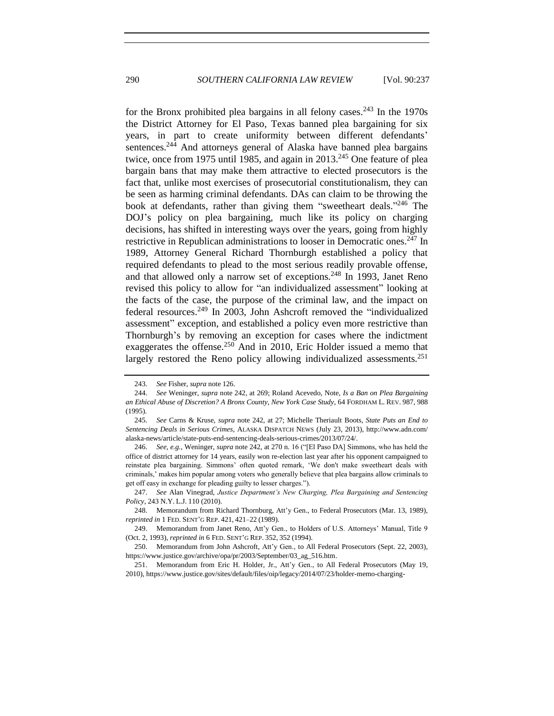for the Bronx prohibited plea bargains in all felony cases.<sup>243</sup> In the  $1970s$ the District Attorney for El Paso, Texas banned plea bargaining for six years, in part to create uniformity between different defendants' sentences.<sup>244</sup> And attorneys general of Alaska have banned plea bargains twice, once from 1975 until 1985, and again in 2013.<sup>245</sup> One feature of plea bargain bans that may make them attractive to elected prosecutors is the fact that, unlike most exercises of prosecutorial constitutionalism, they can be seen as harming criminal defendants. DAs can claim to be throwing the book at defendants, rather than giving them "sweetheart deals."<sup>246</sup> The DOJ's policy on plea bargaining, much like its policy on charging decisions, has shifted in interesting ways over the years, going from highly restrictive in Republican administrations to looser in Democratic ones.<sup>247</sup> In 1989, Attorney General Richard Thornburgh established a policy that required defendants to plead to the most serious readily provable offense, and that allowed only a narrow set of exceptions.<sup>248</sup> In 1993, Janet Reno revised this policy to allow for "an individualized assessment" looking at the facts of the case, the purpose of the criminal law, and the impact on federal resources.<sup>249</sup> In 2003, John Ashcroft removed the "individualized assessment" exception, and established a policy even more restrictive than Thornburgh's by removing an exception for cases where the indictment exaggerates the offense.<sup>250</sup> And in 2010, Eric Holder issued a memo that largely restored the Reno policy allowing individualized assessments.<sup>251</sup>

<sup>243.</sup> *See* Fisher, *supra* not[e 126.](#page-31-0)

<sup>244.</sup> *See* Weninger, *supra* not[e 242,](#page-52-0) at 269; Roland Acevedo, Note, *Is a Ban on Plea Bargaining an Ethical Abuse of Discretion? A Bronx County, New York Case Study*, 64 FORDHAM L. REV. 987, 988 (1995).

<sup>245.</sup> *See* Carns & Kruse, *supra* note [242,](#page-52-0) at 27; Michelle Theriault Boots, *State Puts an End to Sentencing Deals in Serious Crimes*, ALASKA DISPATCH NEWS (July 23, 2013), http://www.adn.com/ alaska-news/article/state-puts-end-sentencing-deals-serious-crimes/2013/07/24/.

<sup>246.</sup> *See, e.g.*, Weninger, *supra* note [242,](#page-52-0) at 270 n. 16 ("[El Paso DA] Simmons, who has held the office of district attorney for 14 years, easily won re-election last year after his opponent campaigned to reinstate plea bargaining. Simmons' often quoted remark, 'We don't make sweetheart deals with criminals,' makes him popular among voters who generally believe that plea bargains allow criminals to get off easy in exchange for pleading guilty to lesser charges.").

<sup>247.</sup> *See* Alan Vinegrad, *Justice Department's New Charging, Plea Bargaining and Sentencing Policy*, 243 N.Y. L.J. 110 (2010).

<sup>248.</sup> Memorandum from Richard Thornburg, Att'y Gen., to Federal Prosecutors (Mar. 13, 1989), *reprinted in* 1 FED. SENT'G REP. 421, 421–22 (1989).

<sup>249.</sup> Memorandum from Janet Reno, Att'y Gen., to Holders of U.S. Attorneys' Manual, Title 9 (Oct. 2, 1993), *reprinted in* 6 FED. SENT'G REP. 352, 352 (1994).

<sup>250.</sup> Memorandum from John Ashcroft, Att'y Gen., to All Federal Prosecutors (Sept. 22, 2003), https://www.justice.gov/archive/opa/pr/2003/September/03\_ag\_516.htm.

<sup>251.</sup> Memorandum from Eric H. Holder, Jr., Att'y Gen., to All Federal Prosecutors (May 19, 2010), https://www.justice.gov/sites/default/files/oip/legacy/2014/07/23/holder-memo-charging-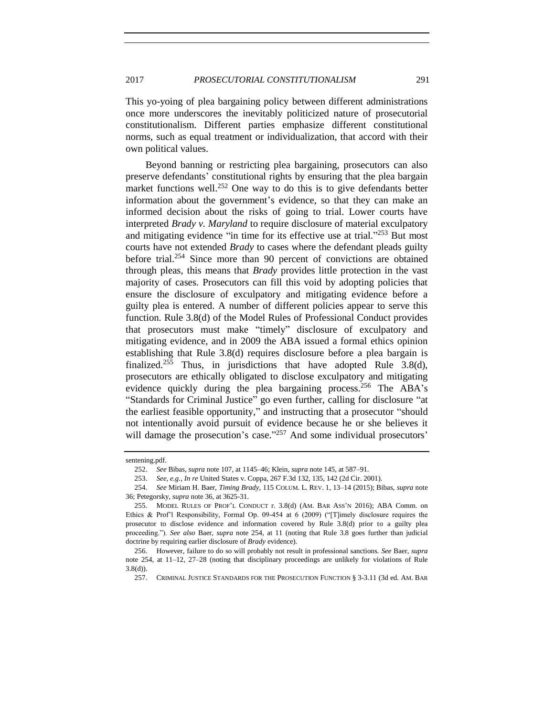This yo-yoing of plea bargaining policy between different administrations once more underscores the inevitably politicized nature of prosecutorial constitutionalism. Different parties emphasize different constitutional norms, such as equal treatment or individualization, that accord with their own political values.

<span id="page-54-0"></span>Beyond banning or restricting plea bargaining, prosecutors can also preserve defendants' constitutional rights by ensuring that the plea bargain market functions well.<sup>252</sup> One way to do this is to give defendants better information about the government's evidence, so that they can make an informed decision about the risks of going to trial. Lower courts have interpreted *Brady v. Maryland* to require disclosure of material exculpatory and mitigating evidence "in time for its effective use at trial."<sup>253</sup> But most courts have not extended *Brady* to cases where the defendant pleads guilty before trial.<sup>254</sup> Since more than 90 percent of convictions are obtained through pleas, this means that *Brady* provides little protection in the vast majority of cases. Prosecutors can fill this void by adopting policies that ensure the disclosure of exculpatory and mitigating evidence before a guilty plea is entered. A number of different policies appear to serve this function. Rule 3.8(d) of the Model Rules of Professional Conduct provides that prosecutors must make "timely" disclosure of exculpatory and mitigating evidence, and in 2009 the ABA issued a formal ethics opinion establishing that Rule 3.8(d) requires disclosure before a plea bargain is finalized.<sup>255</sup> Thus, in jurisdictions that have adopted Rule  $3.8(d)$ , prosecutors are ethically obligated to disclose exculpatory and mitigating evidence quickly during the plea bargaining process.<sup>256</sup> The ABA's "Standards for Criminal Justice" go even further, calling for disclosure "at the earliest feasible opportunity," and instructing that a prosecutor "should not intentionally avoid pursuit of evidence because he or she believes it will damage the prosecution's case."<sup>257</sup> And some individual prosecutors'

sentening.pdf.

<sup>252.</sup> *See* Bibas, *supra* not[e 107,](#page-26-1) at 1145–46; Klein, *supra* not[e 145,](#page-35-0) at 587–91.

<sup>253.</sup> *See, e.g.*, *In re* United States v. Coppa, 267 F.3d 132, 135, 142 (2d Cir. 2001).

<sup>254.</sup> *See* Miriam H. Baer, *Timing Brady*, 115 COLUM. L. REV. 1, 13–14 (2015); Bibas, *supra* note [36;](#page-13-0) Petegorsky, *supra* note [36,](#page-13-0) at 3625-31.

<sup>255.</sup> MODEL RULES OF PROF'L CONDUCT r. 3.8(d) (AM. BAR ASS'N 2016); ABA Comm. on Ethics & Prof'l Responsibility, Formal Op. 09-454 at 6 (2009) ("[T]imely disclosure requires the prosecutor to disclose evidence and information covered by Rule 3.8(d) prior to a guilty plea proceeding."). *See also* Baer, *supra* note [254,](#page-54-0) at 11 (noting that Rule 3.8 goes further than judicial doctrine by requiring earlier disclosure of *Brady* evidence).

<sup>256.</sup> However, failure to do so will probably not result in professional sanctions. *See* Baer, *supra*  note [254,](#page-54-0) at 11–12, 27–28 (noting that disciplinary proceedings are unlikely for violations of Rule  $3.8(d)$ ).

<sup>257.</sup> CRIMINAL JUSTICE STANDARDS FOR THE PROSECUTION FUNCTION § 3-3.11 (3d ed. AM. BAR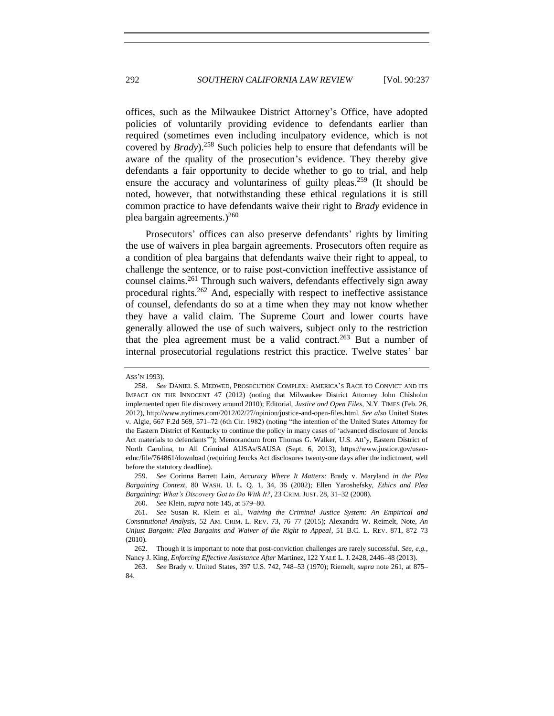<span id="page-55-1"></span>offices, such as the Milwaukee District Attorney's Office, have adopted policies of voluntarily providing evidence to defendants earlier than required (sometimes even including inculpatory evidence, which is not covered by *Brady*).<sup>258</sup> Such policies help to ensure that defendants will be aware of the quality of the prosecution's evidence. They thereby give defendants a fair opportunity to decide whether to go to trial, and help ensure the accuracy and voluntariness of guilty pleas.<sup>259</sup> (It should be noted, however, that notwithstanding these ethical regulations it is still common practice to have defendants waive their right to *Brady* evidence in plea bargain agreements.)<sup>260</sup>

<span id="page-55-2"></span><span id="page-55-0"></span>Prosecutors' offices can also preserve defendants' rights by limiting the use of waivers in plea bargain agreements. Prosecutors often require as a condition of plea bargains that defendants waive their right to appeal, to challenge the sentence, or to raise post-conviction ineffective assistance of counsel claims.<sup>261</sup> Through such waivers, defendants effectively sign away procedural rights.<sup>262</sup> And, especially with respect to ineffective assistance of counsel, defendants do so at a time when they may not know whether they have a valid claim. The Supreme Court and lower courts have generally allowed the use of such waivers, subject only to the restriction that the plea agreement must be a valid contract.<sup>263</sup> But a number of internal prosecutorial regulations restrict this practice. Twelve states' bar

ASS'N 1993).

<sup>258.</sup> *See* DANIEL S. MEDWED, PROSECUTION COMPLEX: AMERICA'S RACE TO CONVICT AND ITS IMPACT ON THE INNOCENT 47 (2012) (noting that Milwaukee District Attorney John Chisholm implemented open file discovery around 2010); Editorial, *Justice and Open Files*, N.Y. TIMES (Feb. 26, 2012), http://www.nytimes.com/2012/02/27/opinion/justice-and-open-files.html. *See also* United States v. Algie, 667 F.2d 569, 571–72 (6th Cir. 1982) (noting "the intention of the United States Attorney for the Eastern District of Kentucky to continue the policy in many cases of 'advanced disclosure of Jencks Act materials to defendants'"); Memorandum from Thomas G. Walker, U.S. Att'y, Eastern District of North Carolina, to All Criminal AUSAs/SAUSA (Sept. 6, 2013), https://www.justice.gov/usaoednc/file/764861/download (requiring Jencks Act disclosures twenty-one days after the indictment, well before the statutory deadline).

<sup>259.</sup> *See* Corinna Barrett Lain, *Accuracy Where It Matters:* Brady v. Maryland *in the Plea Bargaining Context*, 80 WASH. U. L. Q. 1, 34, 36 (2002); Ellen Yaroshefsky, *Ethics and Plea Bargaining: What's Discovery Got to Do With It?*, 23 CRIM. JUST. 28, 31–32 (2008).

<sup>260.</sup> *See* Klein, *supra* note [145,](#page-35-0) at 579–80.

<sup>261.</sup> *See* Susan R. Klein et al., *Waiving the Criminal Justice System: An Empirical and Constitutional Analysis*, 52 AM. CRIM. L. REV. 73, 76–77 (2015); Alexandra W. Reimelt, Note, *An Unjust Bargain: Plea Bargains and Waiver of the Right to Appeal*, 51 B.C. L. REV. 871, 872–73 (2010).

<sup>262.</sup> Though it is important to note that post-conviction challenges are rarely successful. *See, e.g.*, Nancy J. King, *Enforcing Effective Assistance After* Martinez, 122 YALE L. J. 2428, 2446–48 (2013).

<sup>263.</sup> *See* Brady v. United States, 397 U.S. 742, 748–53 (1970); Riemelt, *supra* note [261,](#page-55-0) at 875– 84.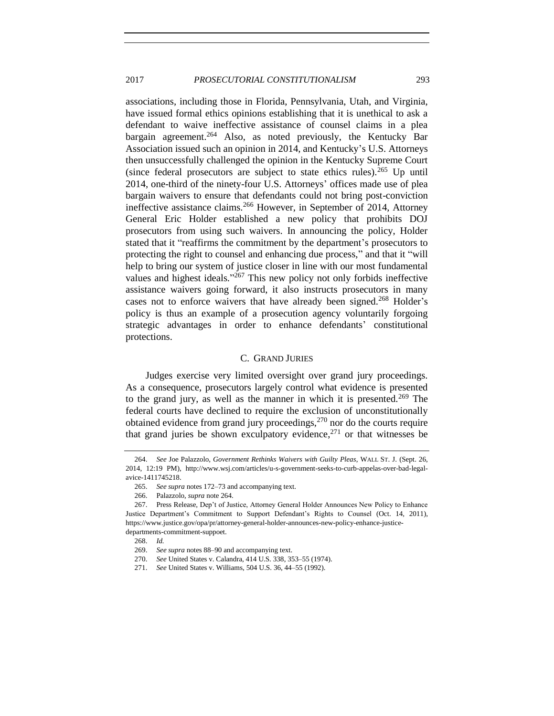## 2017 *PROSECUTORIAL CONSTITUTIONALISM* 293

<span id="page-56-0"></span>associations, including those in Florida, Pennsylvania, Utah, and Virginia, have issued formal ethics opinions establishing that it is unethical to ask a defendant to waive ineffective assistance of counsel claims in a plea bargain agreement.<sup>264</sup> Also, as noted previously, the Kentucky Bar Association issued such an opinion in 2014, and Kentucky's U.S. Attorneys then unsuccessfully challenged the opinion in the Kentucky Supreme Court (since federal prosecutors are subject to state ethics rules).<sup>265</sup> Up until 2014, one-third of the ninety-four U.S. Attorneys' offices made use of plea bargain waivers to ensure that defendants could not bring post-conviction ineffective assistance claims.<sup>266</sup> However, in September of 2014, Attorney General Eric Holder established a new policy that prohibits DOJ prosecutors from using such waivers. In announcing the policy, Holder stated that it "reaffirms the commitment by the department's prosecutors to protecting the right to counsel and enhancing due process," and that it "will help to bring our system of justice closer in line with our most fundamental values and highest ideals."<sup>267</sup> This new policy not only forbids ineffective assistance waivers going forward, it also instructs prosecutors in many cases not to enforce waivers that have already been signed.<sup>268</sup> Holder's policy is thus an example of a prosecution agency voluntarily forgoing strategic advantages in order to enhance defendants' constitutional protections.

## C. GRAND JURIES

Judges exercise very limited oversight over grand jury proceedings. As a consequence, prosecutors largely control what evidence is presented to the grand jury, as well as the manner in which it is presented.<sup>269</sup> The federal courts have declined to require the exclusion of unconstitutionally obtained evidence from grand jury proceedings,<sup>270</sup> nor do the courts require that grand juries be shown exculpatory evidence,  $271$  or that witnesses be

<sup>264.</sup> *See* Joe Palazzolo, *Government Rethinks Waivers with Guilty Pleas*, WALL ST. J. (Sept. 26, 2014, 12:19 PM), http://www.wsj.com/articles/u-s-government-seeks-to-curb-appelas-over-bad-legalavice-1411745218.

<sup>265.</sup> *See supra* note[s 172–](#page-40-0)73 and accompanying text.

<sup>266.</sup> Palazzolo, *supra* not[e 264.](#page-56-0)

<sup>267.</sup> Press Release, Dep't of Justice, Attorney General Holder Announces New Policy to Enhance Justice Department's Commitment to Support Defendant's Rights to Counsel (Oct. 14, 2011), https://www.justice.gov/opa/pr/attorney-general-holder-announces-new-policy-enhance-justicedepartments-commitment-suppoet.

<sup>268.</sup> *Id.*

<sup>269.</sup> *See supra* note[s 88](#page-23-0)[–90](#page-24-0) and accompanying text.

<sup>270.</sup> *See* United States v. Calandra, 414 U.S. 338, 353–55 (1974).

<sup>271.</sup> *See* United States v. Williams, 504 U.S. 36, 44–55 (1992).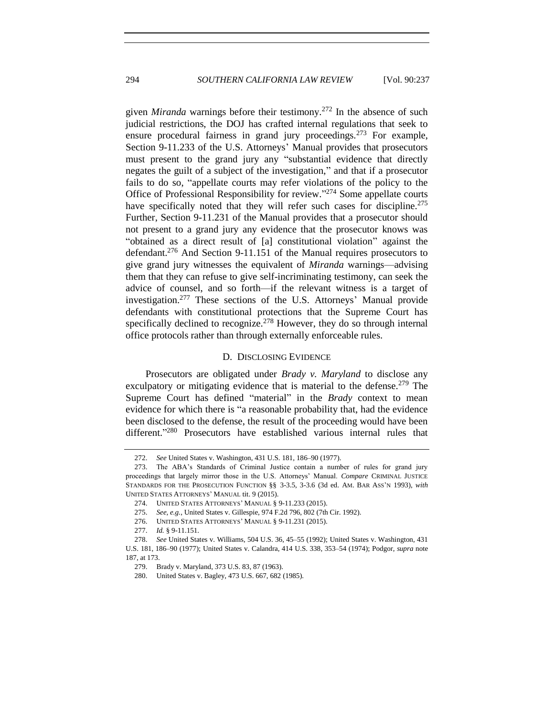given *Miranda* warnings before their testimony.<sup>272</sup> In the absence of such judicial restrictions, the DOJ has crafted internal regulations that seek to ensure procedural fairness in grand jury proceedings.<sup>273</sup> For example, Section 9-11.233 of the U.S. Attorneys' Manual provides that prosecutors must present to the grand jury any "substantial evidence that directly negates the guilt of a subject of the investigation," and that if a prosecutor fails to do so, "appellate courts may refer violations of the policy to the Office of Professional Responsibility for review."<sup>274</sup> Some appellate courts have specifically noted that they will refer such cases for discipline.<sup>275</sup> Further, Section 9-11.231 of the Manual provides that a prosecutor should not present to a grand jury any evidence that the prosecutor knows was "obtained as a direct result of [a] constitutional violation" against the defendant.<sup>276</sup> And Section 9-11.151 of the Manual requires prosecutors to give grand jury witnesses the equivalent of *Miranda* warnings—advising them that they can refuse to give self-incriminating testimony, can seek the advice of counsel, and so forth—if the relevant witness is a target of investigation.<sup>277</sup> These sections of the U.S. Attorneys' Manual provide defendants with constitutional protections that the Supreme Court has specifically declined to recognize.<sup>278</sup> However, they do so through internal office protocols rather than through externally enforceable rules.

#### D. DISCLOSING EVIDENCE

Prosecutors are obligated under *Brady v. Maryland* to disclose any exculpatory or mitigating evidence that is material to the defense.<sup>279</sup> The Supreme Court has defined "material" in the *Brady* context to mean evidence for which there is "a reasonable probability that, had the evidence been disclosed to the defense, the result of the proceeding would have been different."<sup>280</sup> Prosecutors have established various internal rules that

<sup>272.</sup> *See* United States v. Washington, 431 U.S. 181, 186–90 (1977).

<sup>273.</sup> The ABA's Standards of Criminal Justice contain a number of rules for grand jury proceedings that largely mirror those in the U.S. Attorneys' Manual. *Compare* CRIMINAL JUSTICE STANDARDS FOR THE PROSECUTION FUNCTION §§ 3-3.5, 3-3.6 (3d ed. AM. BAR ASS'N 1993), *with*  UNITED STATES ATTORNEYS' MANUAL tit. 9 (2015).

<sup>274.</sup> UNITED STATES ATTORNEYS' MANUAL § 9-11.233 (2015).

<sup>275.</sup> *See, e.g.*, United States v. Gillespie, 974 F.2d 796, 802 (7th Cir. 1992).

<sup>276.</sup> UNITED STATES ATTORNEYS' MANUAL § 9-11.231 (2015).

<sup>277.</sup> *Id.* § 9-11.151.

<sup>278.</sup> *See* United States v. Williams, 504 U.S. 36, 45–55 (1992); United States v. Washington, 431 U.S. 181, 186–90 (1977); United States v. Calandra, 414 U.S. 338, 353–54 (1974); Podgor, *supra* note [187,](#page-42-0) at 173.

<sup>279.</sup> Brady v. Maryland, 373 U.S. 83, 87 (1963).

<sup>280.</sup> United States v. Bagley, 473 U.S. 667, 682 (1985).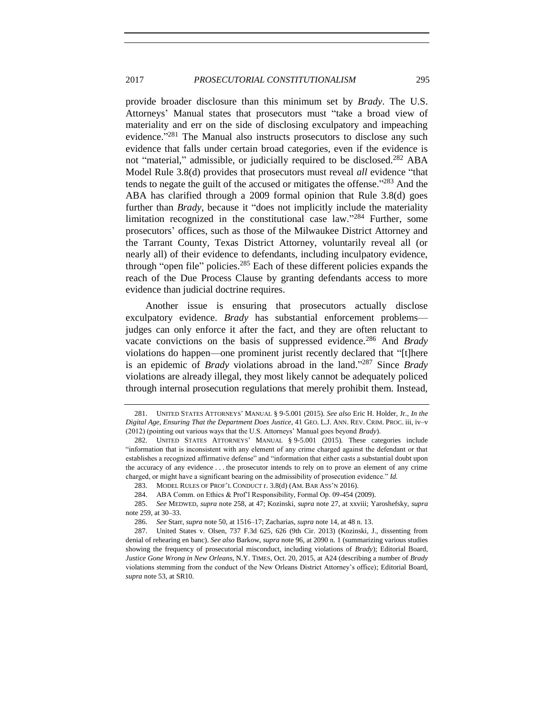provide broader disclosure than this minimum set by *Brady*. The U.S. Attorneys' Manual states that prosecutors must "take a broad view of materiality and err on the side of disclosing exculpatory and impeaching evidence."<sup>281</sup> The Manual also instructs prosecutors to disclose any such evidence that falls under certain broad categories, even if the evidence is not "material," admissible, or judicially required to be disclosed.<sup>282</sup> ABA Model Rule 3.8(d) provides that prosecutors must reveal *all* evidence "that tends to negate the guilt of the accused or mitigates the offense." <sup>283</sup> And the ABA has clarified through a 2009 formal opinion that Rule 3.8(d) goes further than *Brady*, because it "does not implicitly include the materiality limitation recognized in the constitutional case law."<sup>284</sup> Further, some prosecutors' offices, such as those of the Milwaukee District Attorney and the Tarrant County, Texas District Attorney, voluntarily reveal all (or nearly all) of their evidence to defendants, including inculpatory evidence, through "open file" policies.<sup>285</sup> Each of these different policies expands the reach of the Due Process Clause by granting defendants access to more evidence than judicial doctrine requires.

Another issue is ensuring that prosecutors actually disclose exculpatory evidence. *Brady* has substantial enforcement problems judges can only enforce it after the fact, and they are often reluctant to vacate convictions on the basis of suppressed evidence.<sup>286</sup> And *Brady*  violations do happen—one prominent jurist recently declared that "[t]here is an epidemic of *Brady* violations abroad in the land." <sup>287</sup> Since *Brady*  violations are already illegal, they most likely cannot be adequately policed through internal prosecution regulations that merely prohibit them. Instead,

<sup>281.</sup> UNITED STATES ATTORNEYS' MANUAL § 9-5.001 (2015). *See also* Eric H. Holder, Jr., *In the Digital Age, Ensuring That the Department Does Justice*, 41 GEO. L.J. ANN. REV. CRIM. PROC. iii, iv–v (2012) (pointing out various ways that the U.S. Attorneys' Manual goes beyond *Brady*).

<sup>282.</sup> UNITED STATES ATTORNEYS' MANUAL § 9-5.001 (2015)*.* These categories include "information that is inconsistent with any element of any crime charged against the defendant or that establishes a recognized affirmative defense" and "information that either casts a substantial doubt upon the accuracy of any evidence . . . the prosecutor intends to rely on to prove an element of any crime charged, or might have a significant bearing on the admissibility of prosecution evidence." *Id.*

<sup>283.</sup> MODEL RULES OF PROF'L CONDUCT r. 3.8(d) (AM. BAR ASS'N 2016).

<sup>284.</sup> ABA Comm. on Ethics & Prof'l Responsibility, Formal Op. 09-454 (2009).

<sup>285.</sup> *See* MEDWED, *supra* not[e 258,](#page-55-1) at 47; Kozinski, *supra* note [27,](#page-11-1) at xxviii; Yaroshefsky, *supra*  note [259,](#page-55-2) at 30–33.

<sup>286.</sup> *See* Starr, *supra* not[e 50,](#page-17-0) at 1516–17; Zacharias, *supra* not[e 14,](#page-8-1) at 48 n. 13.

<sup>287.</sup> United States v. Olsen, 737 F.3d 625, 626 (9th Cir. 2013) (Kozinski, J., dissenting from denial of rehearing en banc). *See also* Barkow, *supra* note [96,](#page-25-1) at 2090 n. 1 (summarizing various studies showing the frequency of prosecutorial misconduct, including violations of *Brady*); Editorial Board, *Justice Gone Wrong in New Orleans*, N.Y. TIMES, Oct. 20, 2015, at A24 (describing a number of *Brady*  violations stemming from the conduct of the New Orleans District Attorney's office); Editorial Board, *supra* not[e 53,](#page-18-0) at SR10.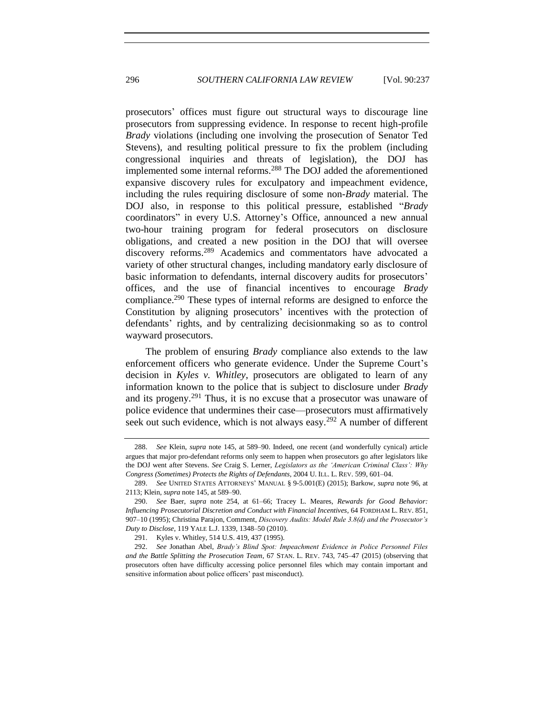<span id="page-59-0"></span>prosecutors' offices must figure out structural ways to discourage line prosecutors from suppressing evidence. In response to recent high-profile *Brady* violations (including one involving the prosecution of Senator Ted Stevens), and resulting political pressure to fix the problem (including congressional inquiries and threats of legislation), the DOJ has implemented some internal reforms.<sup>288</sup> The DOJ added the aforementioned expansive discovery rules for exculpatory and impeachment evidence, including the rules requiring disclosure of some non-*Brady* material. The DOJ also, in response to this political pressure, established "*Brady*  coordinators" in every U.S. Attorney's Office, announced a new annual two-hour training program for federal prosecutors on disclosure obligations, and created a new position in the DOJ that will oversee discovery reforms.<sup>289</sup> Academics and commentators have advocated a variety of other structural changes, including mandatory early disclosure of basic information to defendants, internal discovery audits for prosecutors' offices, and the use of financial incentives to encourage *Brady*  compliance.<sup>290</sup> These types of internal reforms are designed to enforce the Constitution by aligning prosecutors' incentives with the protection of defendants' rights, and by centralizing decisionmaking so as to control wayward prosecutors.

The problem of ensuring *Brady* compliance also extends to the law enforcement officers who generate evidence. Under the Supreme Court's decision in *Kyles v. Whitley*, prosecutors are obligated to learn of any information known to the police that is subject to disclosure under *Brady*  and its progeny.<sup>291</sup> Thus, it is no excuse that a prosecutor was unaware of police evidence that undermines their case—prosecutors must affirmatively seek out such evidence, which is not always easy.<sup>292</sup> A number of different

<sup>288.</sup> *See* Klein, *supra* note [145,](#page-35-0) at 589–90. Indeed, one recent (and wonderfully cynical) article argues that major pro-defendant reforms only seem to happen when prosecutors go after legislators like the DOJ went after Stevens. *See* Craig S. Lerner, *Legislators as the 'American Criminal Class': Why Congress (Sometimes) Protects the Rights of Defendants*, 2004 U. ILL. L. REV. 599, 601–04.

<sup>289.</sup> *See* UNITED STATES ATTORNEYS' MANUAL § 9-5.001(E) (2015); Barkow, *supra* not[e 96,](#page-25-1) at 2113; Klein, *supra* not[e 145,](#page-35-0) at 589–90.

<sup>290.</sup> *See* Baer, *supra* note [254,](#page-54-0) at 61–66; Tracey L. Meares, *Rewards for Good Behavior: Influencing Prosecutorial Discretion and Conduct with Financial Incentives*, 64 FORDHAM L. REV. 851, 907–10 (1995); Christina Parajon, Comment, *Discovery Audits: Model Rule 3.8(d) and the Prosecutor's Duty to Disclose*, 119 YALE L.J. 1339, 1348–50 (2010).

<sup>291.</sup> Kyles v. Whitley, 514 U.S. 419, 437 (1995).

<sup>292.</sup> *See* Jonathan Abel, *Brady's Blind Spot: Impeachment Evidence in Police Personnel Files and the Battle Splitting the Prosecution Team*, 67 STAN. L. REV. 743, 745–47 (2015) (observing that prosecutors often have difficulty accessing police personnel files which may contain important and sensitive information about police officers' past misconduct).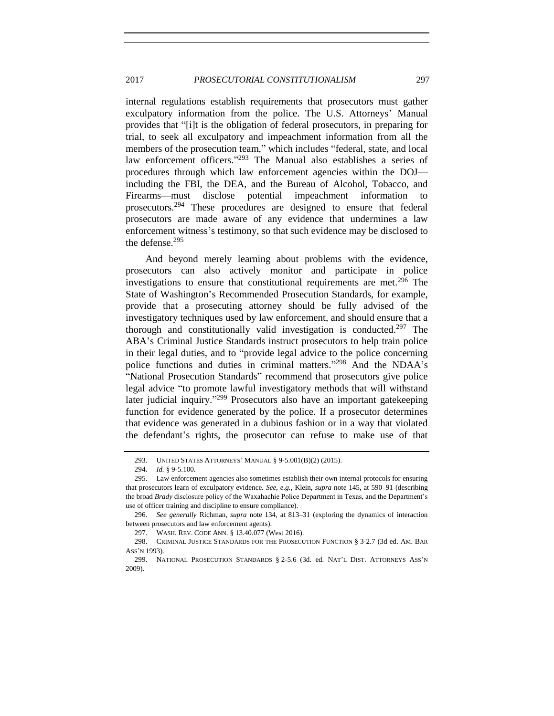internal regulations establish requirements that prosecutors must gather exculpatory information from the police. The U.S. Attorneys' Manual provides that "[i]t is the obligation of federal prosecutors, in preparing for trial, to seek all exculpatory and impeachment information from all the members of the prosecution team," which includes "federal, state, and local law enforcement officers."<sup>293</sup> The Manual also establishes a series of procedures through which law enforcement agencies within the DOJ including the FBI, the DEA, and the Bureau of Alcohol, Tobacco, and Firearms—must disclose potential impeachment information to prosecutors.<sup>294</sup> These procedures are designed to ensure that federal prosecutors are made aware of any evidence that undermines a law enforcement witness's testimony, so that such evidence may be disclosed to the defense. $295$ 

And beyond merely learning about problems with the evidence, prosecutors can also actively monitor and participate in police investigations to ensure that constitutional requirements are met.<sup>296</sup> The State of Washington's Recommended Prosecution Standards, for example, provide that a prosecuting attorney should be fully advised of the investigatory techniques used by law enforcement, and should ensure that a thorough and constitutionally valid investigation is conducted.<sup>297</sup> The ABA's Criminal Justice Standards instruct prosecutors to help train police in their legal duties, and to "provide legal advice to the police concerning police functions and duties in criminal matters." <sup>298</sup> And the NDAA's "National Prosecution Standards" recommend that prosecutors give police legal advice "to promote lawful investigatory methods that will withstand later judicial inquiry."<sup>299</sup> Prosecutors also have an important gatekeeping function for evidence generated by the police. If a prosecutor determines that evidence was generated in a dubious fashion or in a way that violated the defendant's rights, the prosecutor can refuse to make use of that

<sup>293.</sup> UNITED STATES ATTORNEYS' MANUAL § 9-5.001(B)(2) (2015).

<sup>294.</sup> *Id.* § 9-5.100.

<sup>295.</sup> Law enforcement agencies also sometimes establish their own internal protocols for ensuring that prosecutors learn of exculpatory evidence. *See, e.g.*, Klein, *supra* not[e 145,](#page-35-0) at 590–91 (describing the broad *Brady* disclosure policy of the Waxahachie Police Department in Texas, and the Department's use of officer training and discipline to ensure compliance).

<sup>296.</sup> *See generally* Richman, *supra* note [134,](#page-33-0) at 813–31 (exploring the dynamics of interaction between prosecutors and law enforcement agents).

<sup>297.</sup> WASH. REV. CODE ANN. § 13.40.077 (West 2016).

<sup>298.</sup> CRIMINAL JUSTICE STANDARDS FOR THE PROSECUTION FUNCTION § 3-2.7 (3d ed. AM. BAR ASS'N 1993).

<sup>299.</sup> NATIONAL PROSECUTION STANDARDS § 2-5.6 (3d. ed. NAT'L DIST. ATTORNEYS ASS'N 2009).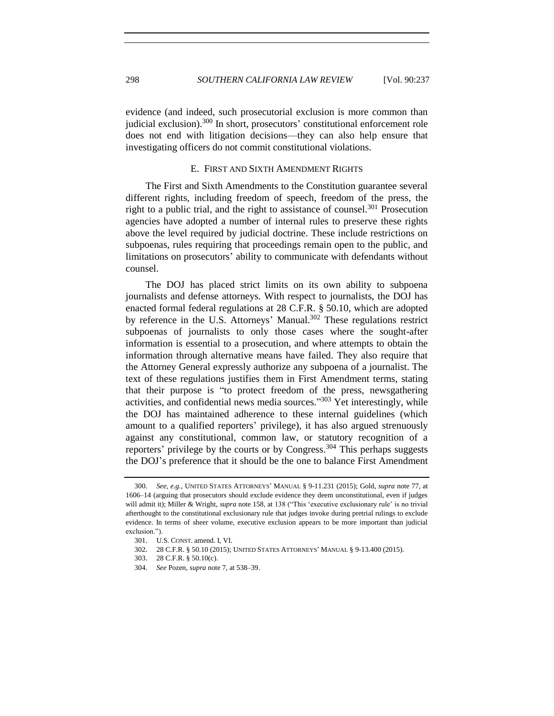evidence (and indeed, such prosecutorial exclusion is more common than judicial exclusion).<sup>300</sup> In short, prosecutors' constitutional enforcement role does not end with litigation decisions—they can also help ensure that investigating officers do not commit constitutional violations.

## E. FIRST AND SIXTH AMENDMENT RIGHTS

The First and Sixth Amendments to the Constitution guarantee several different rights, including freedom of speech, freedom of the press, the right to a public trial, and the right to assistance of counsel.<sup>301</sup> Prosecution agencies have adopted a number of internal rules to preserve these rights above the level required by judicial doctrine. These include restrictions on subpoenas, rules requiring that proceedings remain open to the public, and limitations on prosecutors' ability to communicate with defendants without counsel.

The DOJ has placed strict limits on its own ability to subpoena journalists and defense attorneys. With respect to journalists, the DOJ has enacted formal federal regulations at 28 C.F.R. § 50.10, which are adopted by reference in the U.S. Attorneys' Manual.<sup>302</sup> These regulations restrict subpoenas of journalists to only those cases where the sought-after information is essential to a prosecution, and where attempts to obtain the information through alternative means have failed. They also require that the Attorney General expressly authorize any subpoena of a journalist. The text of these regulations justifies them in First Amendment terms, stating that their purpose is "to protect freedom of the press, newsgathering activities, and confidential news media sources."<sup>303</sup> Yet interestingly, while the DOJ has maintained adherence to these internal guidelines (which amount to a qualified reporters' privilege), it has also argued strenuously against any constitutional, common law, or statutory recognition of a reporters' privilege by the courts or by Congress.<sup>304</sup> This perhaps suggests the DOJ's preference that it should be the one to balance First Amendment

<sup>300.</sup> *See, e.g.*, UNITED STATES ATTORNEYS' MANUAL § 9-11.231 (2015); Gold, *supra* note [77,](#page-21-0) at 1606–14 (arguing that prosecutors should exclude evidence they deem unconstitutional, even if judges will admit it); Miller & Wright, *supra* not[e 158,](#page-37-1) at 138 ("This 'executive exclusionary rule' is no trivial afterthought to the constitutional exclusionary rule that judges invoke during pretrial rulings to exclude evidence. In terms of sheer volume, executive exclusion appears to be more important than judicial exclusion.").

<sup>301.</sup> U.S. CONST. amend. I, VI.<br>302. 28 C.F.R. § 50.10 (2015); 302. 28 C.F.R. § 50.10 (2015); UNITED STATES ATTORNEYS' MANUAL § 9-13.400 (2015).

<sup>303.</sup> 28 C.F.R. § 50.10(c).

<sup>304.</sup> *See* Pozen, *supra* not[e 7,](#page-5-1) at 538–39.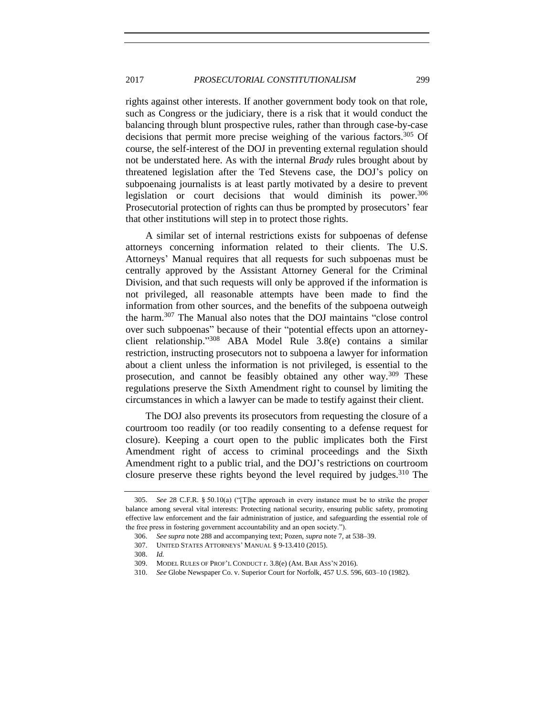## 2017 *PROSECUTORIAL CONSTITUTIONALISM* 299

rights against other interests. If another government body took on that role, such as Congress or the judiciary, there is a risk that it would conduct the balancing through blunt prospective rules, rather than through case-by-case decisions that permit more precise weighing of the various factors.<sup>305</sup> Of course, the self-interest of the DOJ in preventing external regulation should not be understated here. As with the internal *Brady* rules brought about by threatened legislation after the Ted Stevens case, the DOJ's policy on subpoenaing journalists is at least partly motivated by a desire to prevent legislation or court decisions that would diminish its power.<sup>306</sup> Prosecutorial protection of rights can thus be prompted by prosecutors' fear that other institutions will step in to protect those rights.

A similar set of internal restrictions exists for subpoenas of defense attorneys concerning information related to their clients. The U.S. Attorneys' Manual requires that all requests for such subpoenas must be centrally approved by the Assistant Attorney General for the Criminal Division, and that such requests will only be approved if the information is not privileged, all reasonable attempts have been made to find the information from other sources, and the benefits of the subpoena outweigh the harm.<sup>307</sup> The Manual also notes that the DOJ maintains "close control over such subpoenas" because of their "potential effects upon an attorneyclient relationship." <sup>308</sup> ABA Model Rule 3.8(e) contains a similar restriction, instructing prosecutors not to subpoena a lawyer for information about a client unless the information is not privileged, is essential to the prosecution, and cannot be feasibly obtained any other way.<sup>309</sup> These regulations preserve the Sixth Amendment right to counsel by limiting the circumstances in which a lawyer can be made to testify against their client.

The DOJ also prevents its prosecutors from requesting the closure of a courtroom too readily (or too readily consenting to a defense request for closure). Keeping a court open to the public implicates both the First Amendment right of access to criminal proceedings and the Sixth Amendment right to a public trial, and the DOJ's restrictions on courtroom closure preserve these rights beyond the level required by judges.<sup>310</sup> The

<sup>305.</sup> *See* 28 C.F.R. § 50.10(a) ("[T]he approach in every instance must be to strike the proper balance among several vital interests: Protecting national security, ensuring public safety, promoting effective law enforcement and the fair administration of justice, and safeguarding the essential role of the free press in fostering government accountability and an open society.").

<sup>306.</sup> *See supra* not[e 288](#page-59-0) and accompanying text; Pozen, *supra* not[e 7,](#page-5-1) at 538–39.

<sup>307.</sup> UNITED STATES ATTORNEYS' MANUAL § 9-13.410 (2015).

<sup>308.</sup> *Id.*

<sup>309.</sup> MODEL RULES OF PROF'L CONDUCT r. 3.8(e) (AM. BAR ASS'N 2016).

<sup>310.</sup> *See* Globe Newspaper Co. v. Superior Court for Norfolk, 457 U.S. 596, 603–10 (1982).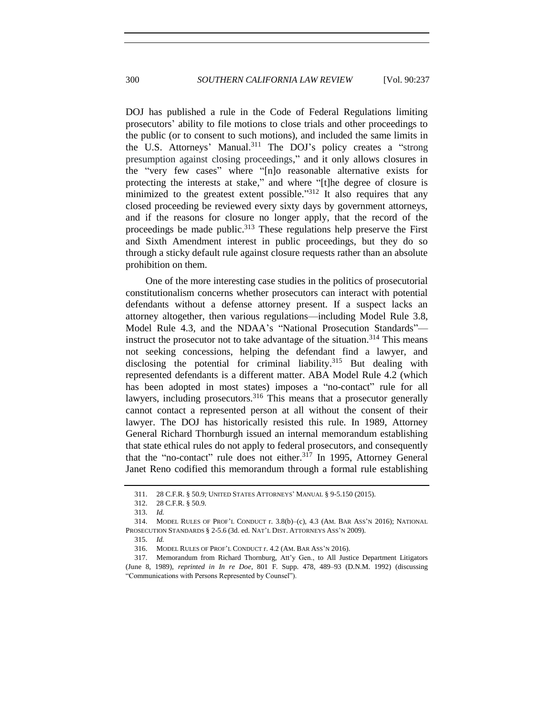DOJ has published a rule in the Code of Federal Regulations limiting prosecutors' ability to file motions to close trials and other proceedings to the public (or to consent to such motions), and included the same limits in the U.S. Attorneys' Manual.<sup>311</sup> The DOJ's policy creates a "strong presumption against closing proceedings," and it only allows closures in the "very few cases" where "[n]o reasonable alternative exists for protecting the interests at stake," and where "[t]he degree of closure is minimized to the greatest extent possible."<sup>312</sup> It also requires that any closed proceeding be reviewed every sixty days by government attorneys, and if the reasons for closure no longer apply, that the record of the proceedings be made public.<sup>313</sup> These regulations help preserve the First and Sixth Amendment interest in public proceedings, but they do so through a sticky default rule against closure requests rather than an absolute prohibition on them.

One of the more interesting case studies in the politics of prosecutorial constitutionalism concerns whether prosecutors can interact with potential defendants without a defense attorney present. If a suspect lacks an attorney altogether, then various regulations—including Model Rule 3.8, Model Rule 4.3, and the NDAA's "National Prosecution Standards" instruct the prosecutor not to take advantage of the situation.<sup>314</sup> This means not seeking concessions, helping the defendant find a lawyer, and disclosing the potential for criminal liability. <sup>315</sup> But dealing with represented defendants is a different matter. ABA Model Rule 4.2 (which has been adopted in most states) imposes a "no-contact" rule for all lawyers, including prosecutors.<sup>316</sup> This means that a prosecutor generally cannot contact a represented person at all without the consent of their lawyer. The DOJ has historically resisted this rule. In 1989, Attorney General Richard Thornburgh issued an internal memorandum establishing that state ethical rules do not apply to federal prosecutors, and consequently that the "no-contact" rule does not either.<sup>317</sup> In 1995, Attorney General Janet Reno codified this memorandum through a formal rule establishing

<sup>311.</sup> 28 C.F.R. § 50.9; UNITED STATES ATTORNEYS' MANUAL § 9-5.150 (2015).

<sup>312.</sup> 28 C.F.R. § 50.9.

<sup>313.</sup> *Id.*

<sup>314.</sup> MODEL RULES OF PROF'L CONDUCT r. 3.8(b)–(c), 4.3 (AM. BAR ASS'N 2016); NATIONAL PROSECUTION STANDARDS § 2-5.6 (3d. ed. NAT'L DIST. ATTORNEYS ASS'N 2009).

<sup>315.</sup> *Id.*

<sup>316.</sup> MODEL RULES OF PROF'L CONDUCT r. 4.2 (AM. BAR ASS'N 2016).

<sup>317.</sup> Memorandum from Richard Thornburg, Att'y Gen., to All Justice Department Litigators (June 8, 1989), *reprinted in In re Doe*, 801 F. Supp. 478, 489–93 (D.N.M. 1992) (discussing "Communications with Persons Represented by Counsel").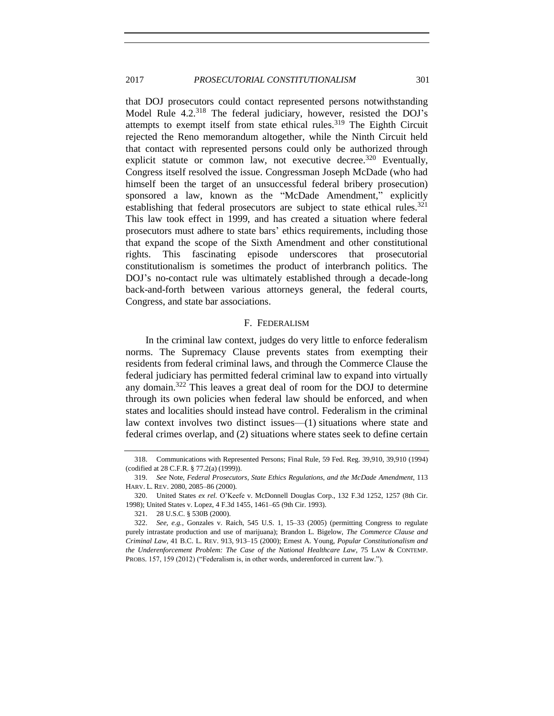that DOJ prosecutors could contact represented persons notwithstanding Model Rule 4.2<sup>318</sup> The federal judiciary, however, resisted the DOJ's attempts to exempt itself from state ethical rules.<sup>319</sup> The Eighth Circuit rejected the Reno memorandum altogether, while the Ninth Circuit held that contact with represented persons could only be authorized through explicit statute or common law, not executive decree.<sup>320</sup> Eventually, Congress itself resolved the issue. Congressman Joseph McDade (who had himself been the target of an unsuccessful federal bribery prosecution) sponsored a law, known as the "McDade Amendment," explicitly establishing that federal prosecutors are subject to state ethical rules.<sup>321</sup> This law took effect in 1999, and has created a situation where federal prosecutors must adhere to state bars' ethics requirements, including those that expand the scope of the Sixth Amendment and other constitutional rights. This fascinating episode underscores that prosecutorial constitutionalism is sometimes the product of interbranch politics. The DOJ's no-contact rule was ultimately established through a decade-long back-and-forth between various attorneys general, the federal courts, Congress, and state bar associations.

#### F. FEDERALISM

In the criminal law context, judges do very little to enforce federalism norms. The Supremacy Clause prevents states from exempting their residents from federal criminal laws, and through the Commerce Clause the federal judiciary has permitted federal criminal law to expand into virtually any domain.<sup>322</sup> This leaves a great deal of room for the DOJ to determine through its own policies when federal law should be enforced, and when states and localities should instead have control. Federalism in the criminal law context involves two distinct issues—(1) situations where state and federal crimes overlap, and (2) situations where states seek to define certain

<sup>318.</sup> Communications with Represented Persons; Final Rule, 59 Fed. Reg. 39,910, 39,910 (1994) (codified at 28 C.F.R. § 77.2(a) (1999)).

<sup>319.</sup> *See* Note, *Federal Prosecutors, State Ethics Regulations, and the McDade Amendment*, 113 HARV. L. REV. 2080, 2085–86 (2000).

<sup>320.</sup> United States *ex rel.* O'Keefe v. McDonnell Douglas Corp., 132 F.3d 1252, 1257 (8th Cir. 1998); United States v. Lopez, 4 F.3d 1455, 1461–65 (9th Cir. 1993).

<sup>321.</sup> 28 U.S.C. § 530B (2000).

<sup>322.</sup> *See, e.g.*, Gonzales v. Raich, 545 U.S. 1, 15–33 (2005) (permitting Congress to regulate purely intrastate production and use of marijuana); Brandon L. Bigelow, *The Commerce Clause and Criminal Law*, 41 B.C. L. REV. 913, 913–15 (2000); Ernest A. Young, *Popular Constitutionalism and the Underenforcement Problem: The Case of the National Healthcare Law*, 75 LAW & CONTEMP. PROBS. 157, 159 (2012) ("Federalism is, in other words, underenforced in current law.").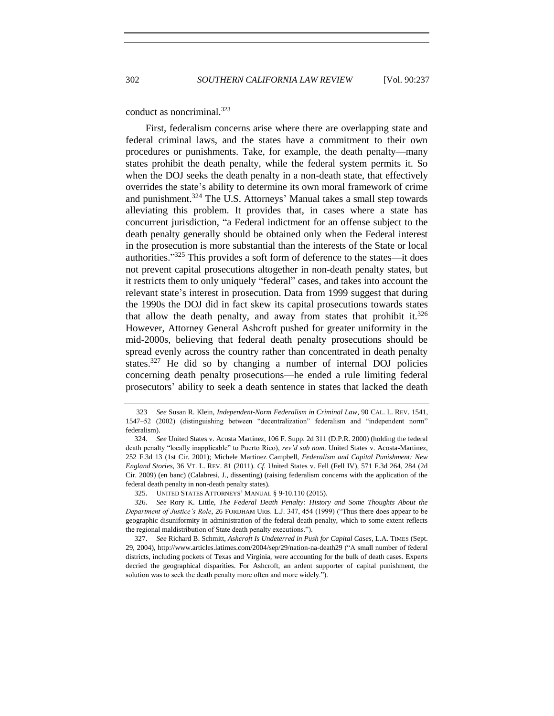conduct as noncriminal.<sup>323</sup>

First, federalism concerns arise where there are overlapping state and federal criminal laws, and the states have a commitment to their own procedures or punishments. Take, for example, the death penalty—many states prohibit the death penalty, while the federal system permits it. So when the DOJ seeks the death penalty in a non-death state, that effectively overrides the state's ability to determine its own moral framework of crime and punishment.<sup>324</sup> The U.S. Attorneys' Manual takes a small step towards alleviating this problem. It provides that, in cases where a state has concurrent jurisdiction, "a Federal indictment for an offense subject to the death penalty generally should be obtained only when the Federal interest in the prosecution is more substantial than the interests of the State or local authorities." <sup>325</sup> This provides a soft form of deference to the states—it does not prevent capital prosecutions altogether in non-death penalty states, but it restricts them to only uniquely "federal" cases, and takes into account the relevant state's interest in prosecution. Data from 1999 suggest that during the 1990s the DOJ did in fact skew its capital prosecutions towards states that allow the death penalty, and away from states that prohibit it.<sup>326</sup> However, Attorney General Ashcroft pushed for greater uniformity in the mid-2000s, believing that federal death penalty prosecutions should be spread evenly across the country rather than concentrated in death penalty states.<sup>327</sup> He did so by changing a number of internal DOJ policies concerning death penalty prosecutions—he ended a rule limiting federal prosecutors' ability to seek a death sentence in states that lacked the death

<sup>323</sup> *See* Susan R. Klein, *Independent-Norm Federalism in Criminal Law*, 90 CAL. L. REV. 1541, 1547–52 (2002) (distinguishing between "decentralization" federalism and "independent norm" federalism).

<sup>324.</sup> *See* United States v. Acosta Martinez, 106 F. Supp. 2d 311 (D.P.R. 2000) (holding the federal death penalty "locally inapplicable" to Puerto Rico), *rev'd sub nom*. United States v. Acosta-Martinez, 252 F.3d 13 (1st Cir. 2001); Michele Martinez Campbell, *Federalism and Capital Punishment: New England Stories*, 36 VT. L. REV. 81 (2011). *Cf.* United States v. Fell (Fell IV), 571 F.3d 264, 284 (2d Cir. 2009) (en banc) (Calabresi, J., dissenting) (raising federalism concerns with the application of the federal death penalty in non-death penalty states).

<sup>325.</sup> UNITED STATES ATTORNEYS' MANUAL § 9-10.110 (2015).

<sup>326.</sup> *See* Rory K. Little, *The Federal Death Penalty: History and Some Thoughts About the Department of Justice's Role*, 26 FORDHAM URB. L.J. 347, 454 (1999) ("Thus there does appear to be geographic disuniformity in administration of the federal death penalty, which to some extent reflects the regional maldistribution of State death penalty executions.").

<sup>327.</sup> *See* Richard B. Schmitt, *Ashcroft Is Undeterred in Push for Capital Cases*, L.A. TIMES (Sept. 29, 2004), http://www.articles.latimes.com/2004/sep/29/nation-na-death29 ("A small number of federal districts, including pockets of Texas and Virginia, were accounting for the bulk of death cases. Experts decried the geographical disparities. For Ashcroft, an ardent supporter of capital punishment, the solution was to seek the death penalty more often and more widely.").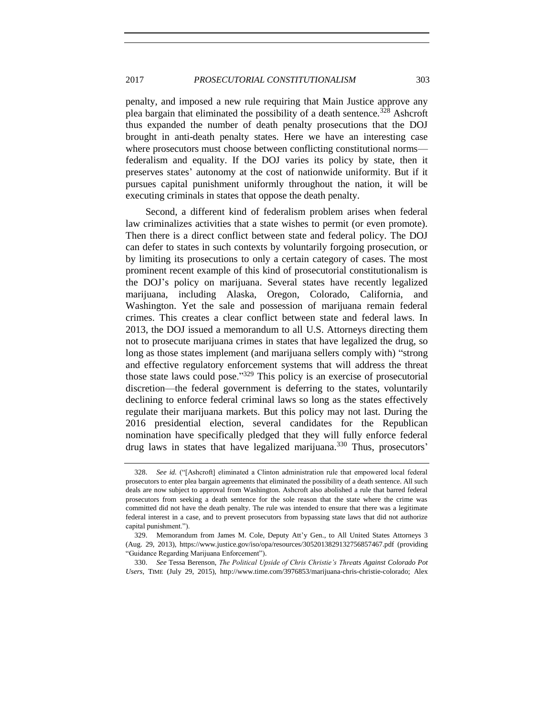penalty, and imposed a new rule requiring that Main Justice approve any plea bargain that eliminated the possibility of a death sentence.<sup>328</sup> Ashcroft thus expanded the number of death penalty prosecutions that the DOJ brought in anti-death penalty states. Here we have an interesting case where prosecutors must choose between conflicting constitutional norms federalism and equality. If the DOJ varies its policy by state, then it preserves states' autonomy at the cost of nationwide uniformity. But if it pursues capital punishment uniformly throughout the nation, it will be executing criminals in states that oppose the death penalty.

Second, a different kind of federalism problem arises when federal law criminalizes activities that a state wishes to permit (or even promote). Then there is a direct conflict between state and federal policy. The DOJ can defer to states in such contexts by voluntarily forgoing prosecution, or by limiting its prosecutions to only a certain category of cases. The most prominent recent example of this kind of prosecutorial constitutionalism is the DOJ's policy on marijuana. Several states have recently legalized marijuana, including Alaska, Oregon, Colorado, California, and Washington. Yet the sale and possession of marijuana remain federal crimes. This creates a clear conflict between state and federal laws. In 2013, the DOJ issued a memorandum to all U.S. Attorneys directing them not to prosecute marijuana crimes in states that have legalized the drug, so long as those states implement (and marijuana sellers comply with) "strong and effective regulatory enforcement systems that will address the threat those state laws could pose."<sup>329</sup> This policy is an exercise of prosecutorial discretion—the federal government is deferring to the states, voluntarily declining to enforce federal criminal laws so long as the states effectively regulate their marijuana markets. But this policy may not last. During the 2016 presidential election, several candidates for the Republican nomination have specifically pledged that they will fully enforce federal drug laws in states that have legalized marijuana.<sup>330</sup> Thus, prosecutors'

330. *See* Tessa Berenson, *The Political Upside of Chris Christie's Threats Against Colorado Pot Users*, TIME (July 29, 2015), http://www.time.com/3976853/marijuana-chris-christie-colorado; Alex

See id. <sup>("[Ashcroft] eliminated a Clinton administration rule that empowered local federal</sup> prosecutors to enter plea bargain agreements that eliminated the possibility of a death sentence. All such deals are now subject to approval from Washington. Ashcroft also abolished a rule that barred federal prosecutors from seeking a death sentence for the sole reason that the state where the crime was committed did not have the death penalty. The rule was intended to ensure that there was a legitimate federal interest in a case, and to prevent prosecutors from bypassing state laws that did not authorize capital punishment.").

<sup>329.</sup> Memorandum from James M. Cole, Deputy Att'y Gen., to All United States Attorneys 3 (Aug. 29, 2013), https://www.justice.gov/iso/opa/resources/3052013829132756857467.pdf (providing "Guidance Regarding Marijuana Enforcement").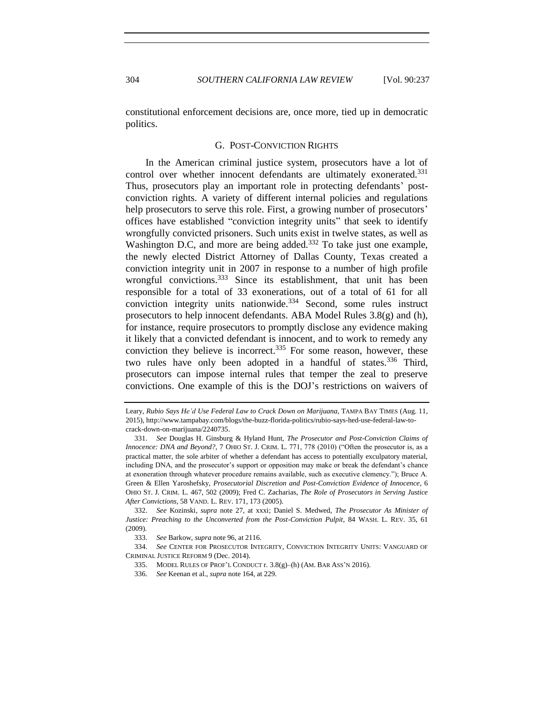constitutional enforcement decisions are, once more, tied up in democratic politics.

#### G. POST-CONVICTION RIGHTS

In the American criminal justice system, prosecutors have a lot of control over whether innocent defendants are ultimately exonerated.<sup>331</sup> Thus, prosecutors play an important role in protecting defendants' postconviction rights. A variety of different internal policies and regulations help prosecutors to serve this role. First, a growing number of prosecutors' offices have established "conviction integrity units" that seek to identify wrongfully convicted prisoners. Such units exist in twelve states, as well as Washington D.C, and more are being added.<sup>332</sup> To take just one example, the newly elected District Attorney of Dallas County, Texas created a conviction integrity unit in 2007 in response to a number of high profile wrongful convictions.<sup>333</sup> Since its establishment, that unit has been responsible for a total of 33 exonerations, out of a total of 61 for all conviction integrity units nationwide.<sup>334</sup> Second, some rules instruct prosecutors to help innocent defendants. ABA Model Rules 3.8(g) and (h), for instance, require prosecutors to promptly disclose any evidence making it likely that a convicted defendant is innocent, and to work to remedy any conviction they believe is incorrect.<sup>335</sup> For some reason, however, these two rules have only been adopted in a handful of states.<sup>336</sup> Third, prosecutors can impose internal rules that temper the zeal to preserve convictions. One example of this is the DOJ's restrictions on waivers of

Leary, *Rubio Says He'd Use Federal Law to Crack Down on Marijuana*, TAMPA BAY TIMES (Aug. 11, 2015), http://www.tampabay.com/blogs/the-buzz-florida-politics/rubio-says-hed-use-federal-law-tocrack-down-on-marijuana/2240735.

<sup>331.</sup> *See* Douglas H. Ginsburg & Hyland Hunt, *The Prosecutor and Post-Conviction Claims of Innocence: DNA and Beyond?*, 7 OHIO ST. J. CRIM. L. 771, 778 (2010) ("Often the prosecutor is, as a practical matter, the sole arbiter of whether a defendant has access to potentially exculpatory material, including DNA, and the prosecutor's support or opposition may make or break the defendant's chance at exoneration through whatever procedure remains available, such as executive clemency."); Bruce A. Green & Ellen Yaroshefsky, *Prosecutorial Discretion and Post-Conviction Evidence of Innocence*, 6 OHIO ST. J. CRIM. L. 467, 502 (2009); Fred C. Zacharias, *The Role of Prosecutors in Serving Justice After Convictions*, 58 VAND. L. REV. 171, 173 (2005).

<sup>332.</sup> *See* Kozinski, *supra* note [27,](#page-11-1) at xxxi; Daniel S. Medwed, *The Prosecutor As Minister of Justice: Preaching to the Unconverted from the Post-Conviction Pulpit*, 84 WASH. L. REV. 35, 61 (2009).

<sup>333.</sup> *See* Barkow, *supra* not[e 96,](#page-25-1) at 2116.

<sup>334.</sup> *See* CENTER FOR PROSECUTOR INTEGRITY, CONVICTION INTEGRITY UNITS: VANGUARD OF CRIMINAL JUSTICE REFORM 9 (Dec. 2014).

<sup>335.</sup> MODEL RULES OF PROF'L CONDUCT r*.* 3.8(g)–(h) (AM. BAR ASS'N 2016).

<sup>336.</sup> *See* Keenan et al., *supra* not[e 164,](#page-38-0) at 229.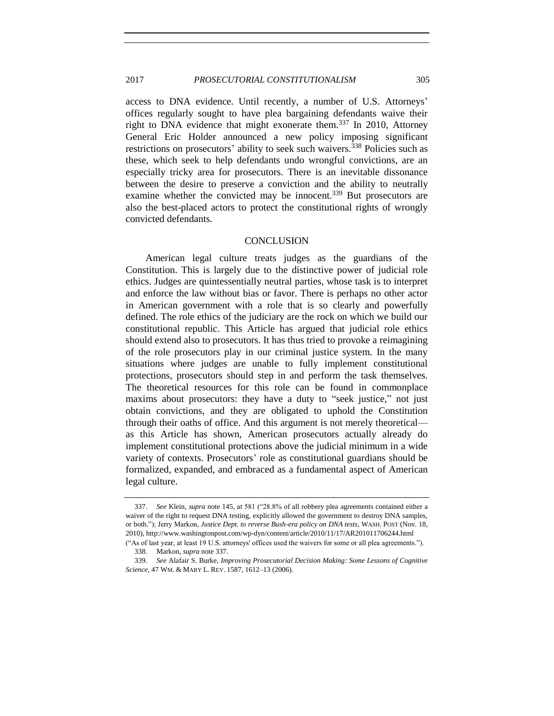## 2017 *PROSECUTORIAL CONSTITUTIONALISM* 305

access to DNA evidence. Until recently, a number of U.S. Attorneys' offices regularly sought to have plea bargaining defendants waive their right to DNA evidence that might exonerate them.<sup>337</sup> In 2010, Attorney General Eric Holder announced a new policy imposing significant restrictions on prosecutors' ability to seek such waivers.<sup>338</sup> Policies such as these, which seek to help defendants undo wrongful convictions, are an especially tricky area for prosecutors. There is an inevitable dissonance between the desire to preserve a conviction and the ability to neutrally examine whether the convicted may be innocent.<sup>339</sup> But prosecutors are also the best-placed actors to protect the constitutional rights of wrongly convicted defendants.

#### **CONCLUSION**

American legal culture treats judges as the guardians of the Constitution. This is largely due to the distinctive power of judicial role ethics. Judges are quintessentially neutral parties, whose task is to interpret and enforce the law without bias or favor. There is perhaps no other actor in American government with a role that is so clearly and powerfully defined. The role ethics of the judiciary are the rock on which we build our constitutional republic. This Article has argued that judicial role ethics should extend also to prosecutors. It has thus tried to provoke a reimagining of the role prosecutors play in our criminal justice system. In the many situations where judges are unable to fully implement constitutional protections, prosecutors should step in and perform the task themselves. The theoretical resources for this role can be found in commonplace maxims about prosecutors: they have a duty to "seek justice," not just obtain convictions, and they are obligated to uphold the Constitution through their oaths of office. And this argument is not merely theoretical as this Article has shown, American prosecutors actually already do implement constitutional protections above the judicial minimum in a wide variety of contexts. Prosecutors' role as constitutional guardians should be formalized, expanded, and embraced as a fundamental aspect of American legal culture.

<span id="page-68-0"></span>

<sup>337.</sup> *See* Klein, *supra* not[e 145,](#page-35-0) at 581 ("28.8% of all robbery plea agreements contained either a waiver of the right to request DNA testing, explicitly allowed the government to destroy DNA samples, or both."); Jerry Markon, *Justice Dept. to reverse Bush-era policy on DNA tests*, WASH. POST (Nov. 18, 2010), http://www.washingtonpost.com/wp-dyn/content/article/2010/11/17/AR201011706244.html

<sup>(&</sup>quot;As of last year, at least 19 U.S. attorneys' offices used the waivers for some or all plea agreements."). 338. Markon, *supra* not[e 337.](#page-68-0)

<sup>339.</sup> *See* Alafair S. Burke, *Improving Prosecutorial Decision Making: Some Lessons of Cognitive Science*, 47 WM. & MARY L. REV. 1587, 1612–13 (2006).